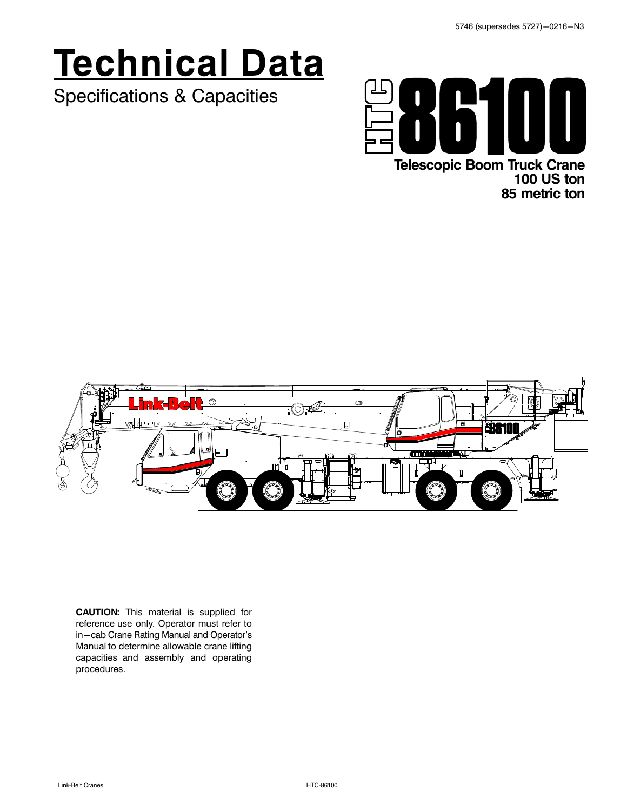# **Technical Data**

Specifications & Capacities



**100 US ton 85 metric ton**



**CAUTION:** This material is supplied for reference use only. Operator must refer to in-cab Crane Rating Manual and Operator's Manual to determine allowable crane lifting capacities and assembly and operating procedures.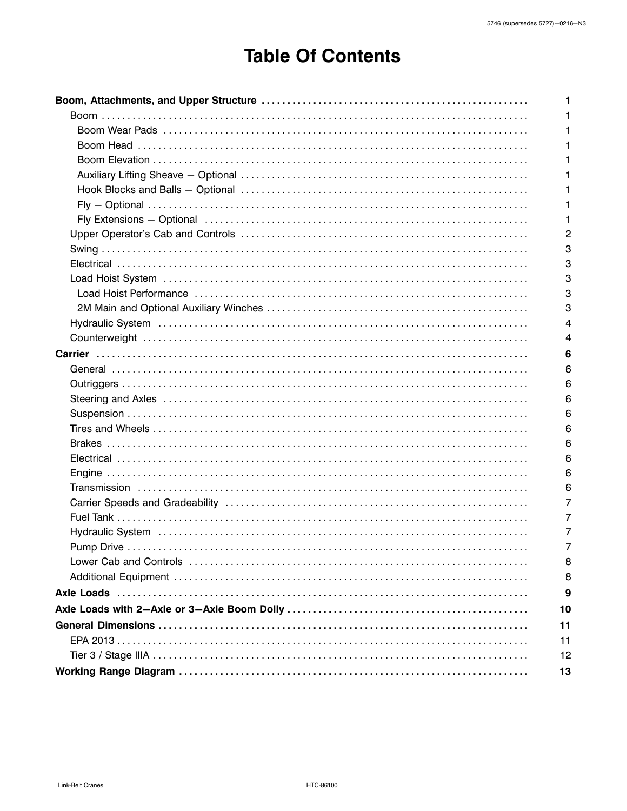# **Table Of Contents**

| 1              |
|----------------|
|                |
|                |
|                |
|                |
|                |
|                |
| 1              |
| 2              |
| 3              |
| 3              |
| 3              |
| 3              |
| 3              |
| 4              |
| 4              |
| 6              |
| 6              |
| 6              |
| 6              |
| 6              |
| 6              |
| 6              |
| 6              |
| 6              |
| 6              |
| 7              |
| $\overline{7}$ |
| $\overline{7}$ |
| $\overline{7}$ |
| 8              |
| 8              |
| 9              |
| 10             |
| 11             |
| 11             |
| 12             |
| 13             |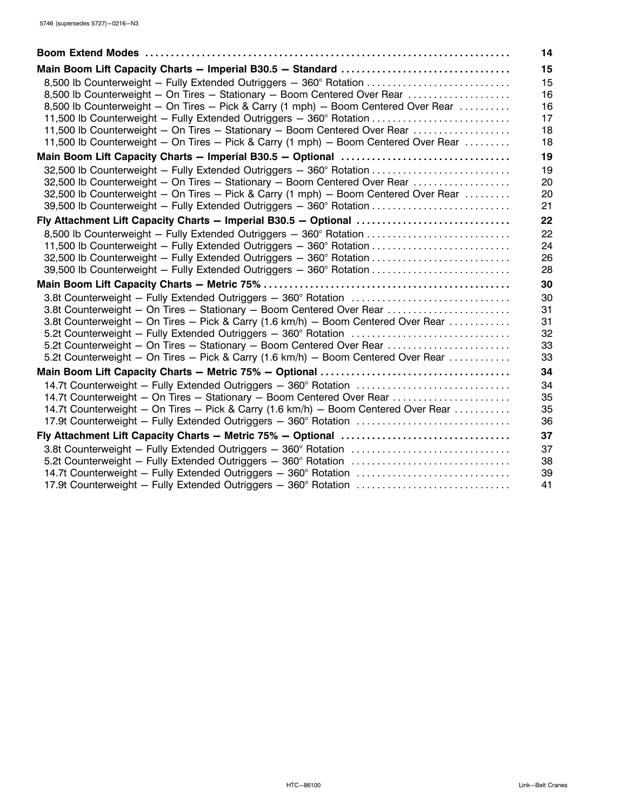|                                                                                     | 14 |
|-------------------------------------------------------------------------------------|----|
| Main Boom Lift Capacity Charts - Imperial B30.5 - Standard                          | 15 |
| 8,500 lb Counterweight - Fully Extended Outriggers - 360° Rotation                  | 15 |
| 8,500 lb Counterweight - On Tires - Stationary - Boom Centered Over Rear            | 16 |
| 8,500 lb Counterweight - On Tires - Pick & Carry (1 mph) - Boom Centered Over Rear  | 16 |
| 11,500 lb Counterweight - Fully Extended Outriggers - 360° Rotation                 | 17 |
| 11,500 lb Counterweight - On Tires - Stationary - Boom Centered Over Rear           | 18 |
| 11,500 lb Counterweight - On Tires - Pick & Carry (1 mph) - Boom Centered Over Rear | 18 |
| Main Boom Lift Capacity Charts - Imperial B30.5 - Optional                          | 19 |
| 32,500 lb Counterweight - Fully Extended Outriggers - 360° Rotation                 | 19 |
| 32,500 lb Counterweight - On Tires - Stationary - Boom Centered Over Rear           | 20 |
| 32,500 lb Counterweight - On Tires - Pick & Carry (1 mph) - Boom Centered Over Rear | 20 |
| 39,500 lb Counterweight - Fully Extended Outriggers - 360° Rotation                 | 21 |
| Fly Attachment Lift Capacity Charts - Imperial B30.5 - Optional                     | 22 |
| 8,500 lb Counterweight - Fully Extended Outriggers - 360° Rotation                  | 22 |
| 11,500 lb Counterweight - Fully Extended Outriggers - 360° Rotation                 | 24 |
| 32,500 lb Counterweight - Fully Extended Outriggers - 360° Rotation                 | 26 |
| 39,500 lb Counterweight - Fully Extended Outriggers - 360° Rotation                 | 28 |
|                                                                                     | 30 |
|                                                                                     | 30 |
| 3.8t Counterweight - On Tires - Stationary - Boom Centered Over Rear                | 31 |
| 3.8t Counterweight - On Tires - Pick & Carry (1.6 km/h) - Boom Centered Over Rear   | 31 |
|                                                                                     | 32 |
| 5.2t Counterweight - On Tires - Stationary - Boom Centered Over Rear                | 33 |
| 5.2t Counterweight - On Tires - Pick & Carry (1.6 km/h) - Boom Centered Over Rear   | 33 |
|                                                                                     | 34 |
| 14.7t Counterweight - Fully Extended Outriggers - 360° Rotation                     | 34 |
| 14.7t Counterweight - On Tires - Stationary - Boom Centered Over Rear               | 35 |
| 14.7t Counterweight - On Tires - Pick & Carry (1.6 km/h) - Boom Centered Over Rear  | 35 |
| 17.9t Counterweight - Fully Extended Outriggers - 360° Rotation                     | 36 |
| Fly Attachment Lift Capacity Charts - Metric 75% - Optional                         | 37 |
|                                                                                     | 37 |
|                                                                                     | 38 |
| 14.7t Counterweight - Fully Extended Outriggers - 360° Rotation                     | 39 |
| 17.9t Counterweight - Fully Extended Outriggers - 360° Rotation                     | 41 |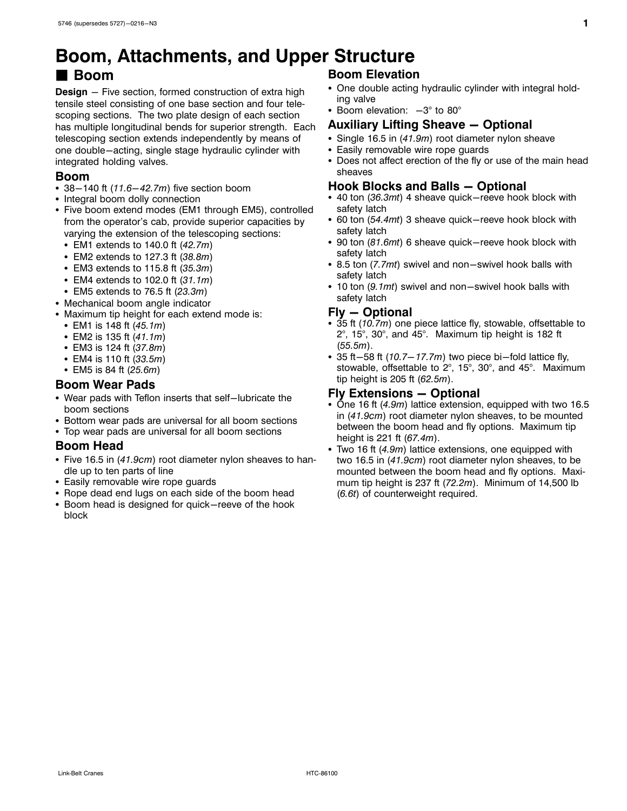# <span id="page-4-0"></span>**Boom, Attachments, and Upper Structure**

### - **Boom**

**Design** - Five section, formed construction of extra high tensile steel consisting of one base section and four telescoping sections. The two plate design of each section has multiple longitudinal bends for superior strength. Each telescoping section extends independently by means of one double-acting, single stage hydraulic cylinder with integrated holding valves.

### **Boom**

- 38–140 ft (*11.6–42.7m*) five section boom<br>• Integral boom dolly connection
- Integral boom dolly connection
- Five boom extend modes (EM1 through EM5), controlled from the operator's cab, provide superior capacities by varying the extension of the telescoping sections:
	- EM1 extends to 140.0 ft (*42.7m*)
	- EM2 extends to 127.3 ft (*38.8m*)
	- EM3 extends to 115.8 ft (*35.3m*)
	-
	- EM4 extends to 102.0 ft (*31.1m*)
- EM5 extends to 76.5 ft (*23.3m*) - Mechanical boom angle indicator
- Maximum tip height for each extend mode is:
	- EM1 is 148 ft (*45.1m*)
	- EM2 is 135 ft (*41.1m*)
	- EM3 is 124 ft (*37.8m*)
	-
	- EM4 is 110 ft (*33.5m*) - EM5 is 84 ft (*25.6m*)

#### **Boom Wear Pads**

- Wear pads with Teflon inserts that self-lubricate the boom sections
- Bottom wear pads are universal for all boom sections
- Top wear pads are universal for all boom sections

### **Boom Head**

- Five 16.5 in (*41.9cm*) root diameter nylon sheaves to handle up to ten parts of line
- Easily removable wire rope guards
- Rope dead end lugs on each side of the boom head
- Boom head is designed for quick-reeve of the hook block

### **Boom Elevation**

- One double acting hydraulic cylinder with integral holding valve
- $\bullet$  Boom elevation:  $-3^{\circ}$  to 80°

### **Auxiliary Lifting Sheave – Optional**

- Single 16.5 in (41.9*m*) root diameter nylon sheave<br>• Easily removable wire rone quards
- Easily removable wire rope guards
- Does not affect erection of the fly or use of the main head sheaves

#### **Hook Blocks and Balls - Optional**

- 40 ton (*36.3mt*) 4 sheave quick-reeve hook block with safety latch
- 60 ton (54.4mt) 3 sheave quick-reeve hook block with<br>safety latch safety latch
- 90 ton (*81.6mt*) 6 sheave quick-reeve hook block with safety latch
- 8.5 ton (*7.7mt*) swivel and non-swivel hook balls with safety latch
- 10 ton (9.1mt) swivel and non-swivel hook balls with<br>safety latch safety latch

### **Fly - Optional**

- $35$  ft ( $70.7m$ ) one piece lattice fly, stowable, offsettable to  $2^\circ$  15°  $30^\circ$  and  $45^\circ$  Maximum tip beight is 182 ft 2°, 15°, 30°, and 45°. Maximum tip height is 182 ft (*55.5m*).
- $35$  ft-58 ft (10.7-17.7m) two piece bi-fold lattice fly,<br>stowable, offsettable to 2° 15° 30° and 45°. Maxim stowable, offsettable to 2°, 15°, 30°, and 45°. Maximum tip height is 205 ft (*62.5m*).

#### **Fly Extensions - Optional**

- One 16 ft (*4.9m*) lattice extension, equipped with two 16.5<br>in (41.9c*m*) root diameter nylon sheaves to be mounted in (*41.9cm*) root diameter nylon sheaves, to be mounted between the boom head and fly options. Maximum tip height is 221 ft (*67.4m*).
- Two 16 ft (*4.9m*) lattice extensions, one equipped with two 16.5 in (*41.9cm*) root diameter nylon sheaves to b two 16.5 in (*41.9cm*) root diameter nylon sheaves, to be mounted between the boom head and fly options. Maximum tip height is 237 ft (*72.2m*). Minimum of 14,500 lb (*6.6t*) of counterweight required.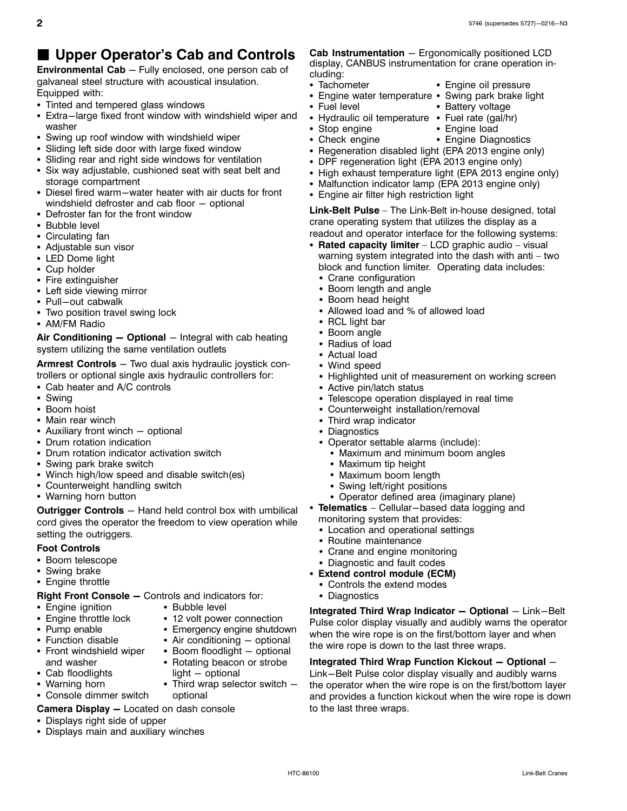### <span id="page-5-0"></span> $\blacksquare$  **Upper Operator's Cab and Controls**

**Environmental Cab** – Fully enclosed, one person cab of galvaneal steel structure with acoustical insulation. Equipped with:

- Tinted and tempered glass windows
- Extra-large fixed front window with windshield wiper and washer
- Swing up roof window with windshield wiper
- Sliding left side door with large fixed window
- Sliding rear and right side windows for ventilation
- Six way adjustable, cushioned seat with seat belt and storage compartment
- Diesel fired warm-water heater with air ducts for front windshield defroster and cab floor  $-$  optional
- Defroster fan for the front window
- Bubble level
- -Circulating fan
- Adjustable sun visor
- LED Dome light
- Cup holder
- Fire extinguisher
- Left side viewing mirror
- Pull-out cabwalk
- Two position travel swing lock
- AM/FM Radio

Air Conditioning - Optional - Integral with cab heating system utilizing the same ventilation outlets

**Armrest Controls** - Two dual axis hydraulic joystick controllers or optional single axis hydraulic controllers for:

- Cab heater and A/C controls
- Swing
- Boom hoist
- Main rear winch
- Auxiliary front winch optional
- Drum rotation indication
- Drum rotation indicator activation switch
- -Swing park brake switch
- Winch high/low speed and disable switch(es)
- Counterweight handling switch
- Warning horn button

**Outrigger Controls** – Hand held control box with umbilical cord gives the operator the freedom to view operation while setting the outriggers.

Emergency engine shutdown

 $\bullet$  Air conditioning  $-$  optional

 $\bullet$  Boom floodlight  $-$  optional

• Rotating beacon or strobe

• Third wrap selector switch  $-$ 

#### **Foot Controls**

- Boom telescope
- Swing brake
- Engine throttle

**Right Front Console - Controls and indicators for:** 

- Engine ignition • Bubble level • 12 volt power connection
- Engine throttle lock •
- Pump enable •
- Function disable •
- Front windshield wiper and washer
- Cab floodlights light optional
- Warning horn •
- Console dimmer switch optional
- **Camera Display Located on dash console**
- Displays right side of upper
- Displays main and auxiliary winches

**Cab Instrumentation** - Ergonomically positioned LCD display, CANBUS instrumentation for crane operation including:

- Tachometer •
- -• Engine water temperature • Swing park brake light
- Fuel level •
- Hydraulic oil temperature Fuel rate (gal/hr)
- --
- Stop engine -Check engine

-

 $\bullet$ 

• Engine load • Engine Diagnostics

• Battery voltage

Engine oil pressure

- Regeneration disabled light (EPA 2013 engine only)
- DPF regeneration light (EPA 2013 engine only)
- High exhaust temperature light (EPA 2013 engine only)
- Malfunction indicator lamp (EPA 2013 engine only)
- Engine air filter high restriction light

**Link-Belt Pulse** – The Link-Belt in-house designed, total crane operating system that utilizes the display as a readout and operator interface for the following systems:

- **Rated capacity limiter** LCD graphic audio visual warning system integrated into the dash with anti – two block and function limiter. Operating data includes:
	- Crane configuration
	- Boom length and angle
	- Boom head height
	- Allowed load and % of allowed load
	- RCL light bar
	- Boom angle
	- Radius of load
	- Actual load
	- Wind speed
	- Highlighted unit of measurement on working screen
	- Active pin/latch status
	- Telescope operation displayed in real time
	- Counterweight installation/removal
	- Third wrap indicator
	- Diagnostics
	- Operator settable alarms (include):
		- Maximum and minimum boom angles
		- $\bullet$ Maximum tip height
		- $\bullet$ Maximum boom length
		- $\bullet$ Swing left/right positions
		- Operator defined area (imaginary plane)
- **Telematics** Cellular-based data logging and
- monitoring system that provides:
- Location and operational settings
- Routine maintenance
- Crane and engine monitoring
- Diagnostic and fault codes
- **Extend control module (ECM)**
	- Controls the extend modes
	- Diagnostics

**Integrated Third Wrap Indicator - Optional** - Link-Belt Pulse color display visually and audibly warns the operator when the wire rope is on the first/bottom layer and when the wire rope is down to the last three wraps.

**Integrated Third Wrap Function Kickout – Optional –** 

Link-Belt Pulse color display visually and audibly warns the operator when the wire rope is on the first/bottom layer and provides a function kickout when the wire rope is down to the last three wraps.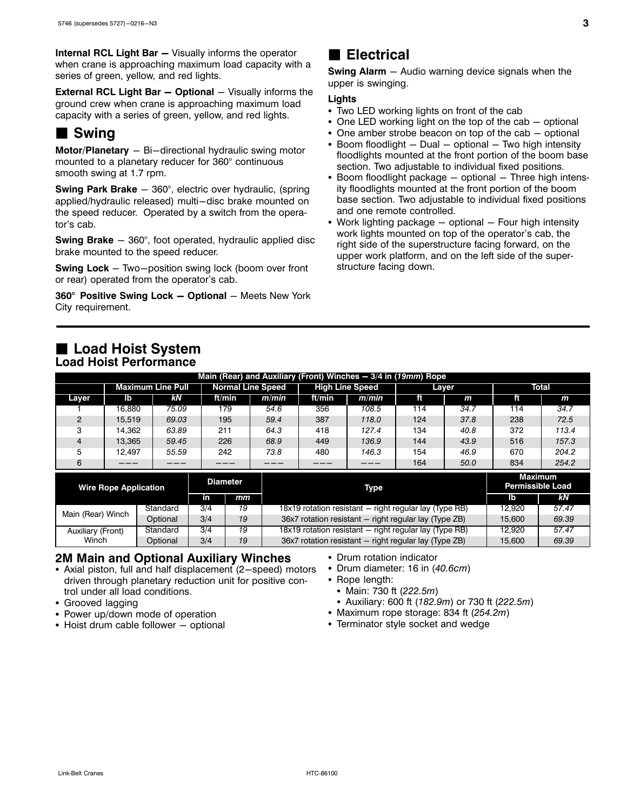<span id="page-6-0"></span>**Internal RCL Light Bar -** Visually informs the operator when crane is approaching maximum load capacity with a series of green, yellow, and red lights.

**External RCL Light Bar - Optional** - Visually informs the ground crew when crane is approaching maximum load capacity with a series of green, yellow, and red lights.

### ■ Swing

**Motor/Planetary** - Bi-directional hydraulic swing motor mounted to a planetary reducer for 360° continuous smooth swing at 1.7 rpm.

**Swing Park Brake** – 360°, electric over hydraulic, (spring applied/hydraulic released) multi-disc brake mounted on the speed reducer. Operated by a switch from the operator's cab.

**Swing Brake** – 360°, foot operated, hydraulic applied disc brake mounted to the speed reducer.

**Swing Lock** – Two-position swing lock (boom over front or rear) operated from the operator's cab.

**360° Positive Swing Lock - Optional** - Meets New York City requirement.

### - **Electrical**

**Swing Alarm** - Audio warning device signals when the upper is swinging.

#### **Lights**

- Two LED working lights on front of the cab
- One LED working light on the top of the cab optional
- One amber strobe beacon on top of the cab optional
- Boom floodlight Dual optional Two high intensity floodlights mounted at the front portion of the boom base section. Two adjustable to individual fixed positions.
- Boom floodlight package optional Three high intensity floodlights mounted at the front portion of the boom base section. Two adjustable to individual fixed positions and one remote controlled.
- Work lighting package optional Four high intensity work lights mounted on top of the operator's cab, the right side of the superstructure facing forward, on the upper work platform, and on the left side of the superstructure facing down.

| <b>Load Hoist System</b><br><b>State</b> |  |
|------------------------------------------|--|
| <b>Load Hoist Performance</b>            |  |

| Main (Rear) and Auxiliary (Front) Winches $-3/4$ in (19mm) Rope |        |                          |    |                          |             |        |                        |     |       |                                           |       |  |
|-----------------------------------------------------------------|--------|--------------------------|----|--------------------------|-------------|--------|------------------------|-----|-------|-------------------------------------------|-------|--|
|                                                                 |        | <b>Maximum Line Pull</b> |    | <b>Normal Line Speed</b> |             |        | <b>High Line Speed</b> |     | Layer |                                           | Total |  |
| Layer                                                           | lb     | kΝ                       |    | ft/min                   | m/min       | ft/min | m/min                  | Ħ.  | m     | ft                                        | m     |  |
|                                                                 | 16.880 | 75.09                    |    | 179                      | 54.6        | 356    | 108.5                  | 114 | 34.7  | 114                                       | 34.7  |  |
| $\mathcal{P}$                                                   | 15.519 | 69.03                    |    | 195                      | 59.4        | 387    | 118.0                  | 124 | 37.8  | 238                                       | 72.5  |  |
| з                                                               | 14.362 | 63.89                    |    | 211                      | 64.3        | 418    | 127.4                  | 134 | 40.8  | 372                                       | 113.4 |  |
| 4                                                               | 13,365 | 59.45                    |    | 226                      | 68.9        | 449    | 136.9                  | 144 | 43.9  | 516                                       | 157.3 |  |
| 5                                                               | 12.497 | 55.59                    |    | 242                      | 73.8        | 480    | 146.3                  | 154 | 46.9  | 670                                       | 204.2 |  |
| 6                                                               |        |                          |    |                          |             |        |                        | 164 | 50.0  | 834                                       | 254.2 |  |
| <b>Diameter</b><br><b>Wire Rope Application</b>                 |        |                          |    |                          | <b>Type</b> |        |                        |     |       | <b>Maximum</b><br><b>Permissible Load</b> |       |  |
|                                                                 |        |                          | in | mm                       |             |        |                        |     |       | lb                                        | kΝ    |  |

|                   |          | .in | mm |                                                            | lb     | kN    |
|-------------------|----------|-----|----|------------------------------------------------------------|--------|-------|
| Main (Rear) Winch | Standard | 3/4 | 19 | 18x19 rotation resistant - right regular lay (Type RB)     | 12.920 | 57.47 |
|                   | Optional | 3/4 | 19 | 36x7 rotation resistant – right regular lay (Type ZB)      | 15.600 | 69.39 |
| Auxiliary (Front) | Standard | 3/4 | 19 | $18x19$ rotation resistant $-$ right regular lay (Type RB) | 12.920 | 57.47 |
| Winch             | Optional | 3/4 | 19 | 36x7 rotation resistant - right regular lay (Type ZB)      | 15.600 | 69.39 |
|                   |          |     |    |                                                            |        |       |

### **2M Main and Optional Auxiliary Winches**

- Axial piston, full and half displacement (2-speed) motors driven through planetary reduction unit for positive control under all load conditions.
- Grooved lagging
- Power up/down mode of operation
- Hoist drum cable follower optional
- Drum rotation indicator
- Drum diameter: 16 in (*40.6cm*)
- Rope length:
- Main: 730 ft (*222.5m*)
- Auxiliary: 600 ft (*182.9m*) or 730 ft (*222.5m*)
- Maximum rope storage: 834 ft (*254.2m*)
- Terminator style socket and wedge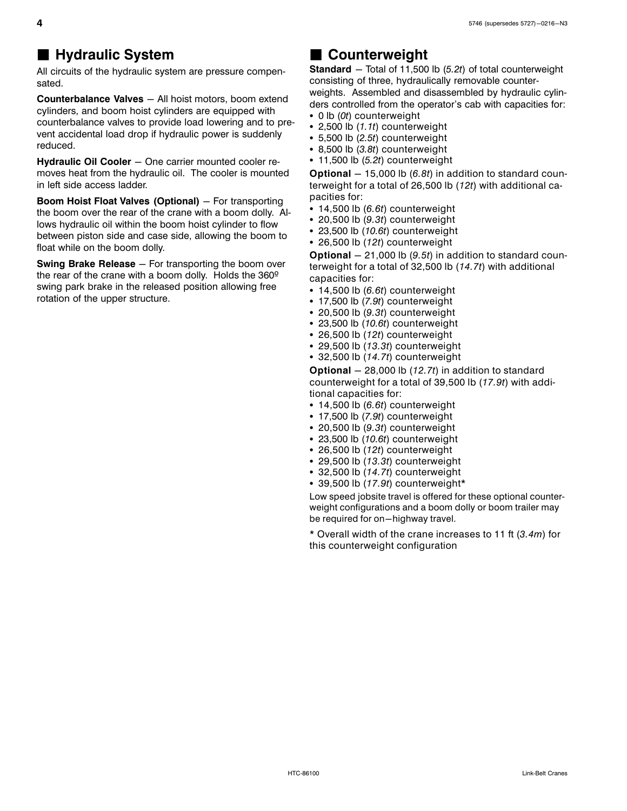### <span id="page-7-0"></span> $\blacksquare$  **Hydraulic System**

All circuits of the hydraulic system are pressure compensated.

**Counterbalance Valves** - All hoist motors, boom extend cylinders, and boom hoist cylinders are equipped with counterbalance valves to provide load lowering and to prevent accidental load drop if hydraulic power is suddenly reduced.

Hydraulic Oil Cooler - One carrier mounted cooler removes heat from the hydraulic oil. The cooler is mounted in left side access ladder.

**Boom Hoist Float Valves (Optional)** - For transporting the boom over the rear of the crane with a boom dolly. Allows hydraulic oil within the boom hoist cylinder to flow between piston side and case side, allowing the boom to float while on the boom dolly.

**Swing Brake Release** - For transporting the boom over the rear of the crane with a boom dolly. Holds the 360º swing park brake in the released position allowing free rotation of the upper structure.

### $\blacksquare$  Counterweight

**Standard** - Total of 11,500 lb (5.2t) of total counterweight consisting of three, hydraulically removable counterweights. Assembled and disassembled by hydraulic cylinders controlled from the operator's cab with capacities for:

- **•** 0 lb (0t) counterweight<br>• 2 500 lb (1 1t) countery
- 2,500 lb (*1.1t*) counterweight
- 5,500 lb (*2.5t*) counterweight
- 8,500 lb (*3.8t*) counterweight

- 11,500 lb (*5.2t*) counterweight **Optional** - 15,000 lb (6.8t) in addition to standard counterweight for a total of 26,500 lb (*12t*) with additional capacities for:

- .<br>▪ 14,500 lb (*6.6t*) counterweight<br>▪ 20,500 lb (9.3t) counterweight
- 20,500 lb (*9.3t*) counterweight
- 23,500 lb (*10.6t*) counterweight
- 26,500 lb (*12t*) counterweight

**Optional** - 21,000 lb (9.5t) in addition to standard counterweight for a total of 32,500 lb (*14.7t*) with additional capacities for:

- 14,500 lb (*6.6t*) counterweight
- 17,500 lb (*7.9t*) counterweight
- 20,500 lb (*9.3t*) counterweight
- 23,500 lb (*10.6t*) counterweight
- 26,500 lb (*12t*) counterweight
- 29.500 lb (13.3t) counterweight
- 29,500 lb (*13.3t*) counterweight 32,500 lb (*14.7t*) counterweight

**Optional** - 28,000 lb (*12.7t*) in addition to standard counterweight for a total of 39,500 lb (*17.9t*) with additional capacities for:

- 14,500 lb (*6.6t*) counterweight
- 17,500 lb (*7.9t*) counterweight
- 20,500 lb (*9.3t*) counterweight
- 23,500 lb (*10.6t*) counterweight
- 26,500 lb (*12t*) counterweight
- 29,500 lb (*13.3t*) counterweight
- 32,500 lb (*14.7t*) counterweight
- 39,500 lb (*17.9t*) counterweight\*

Low speed jobsite travel is offered for these optional counterweight configurations and a boom dolly or boom trailer may be required for on-highway travel.

\* Overall width of the crane increases to 11 ft (*3.4m*) for this counterweight configuration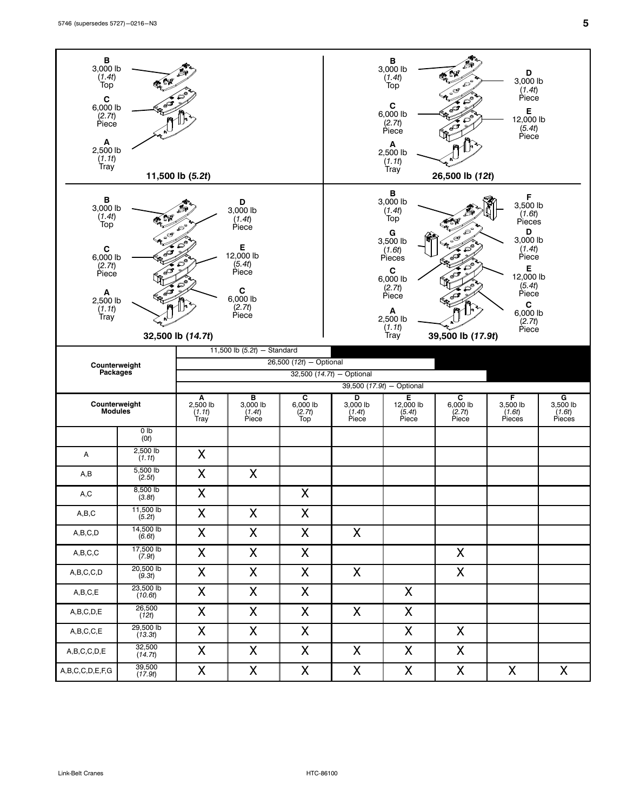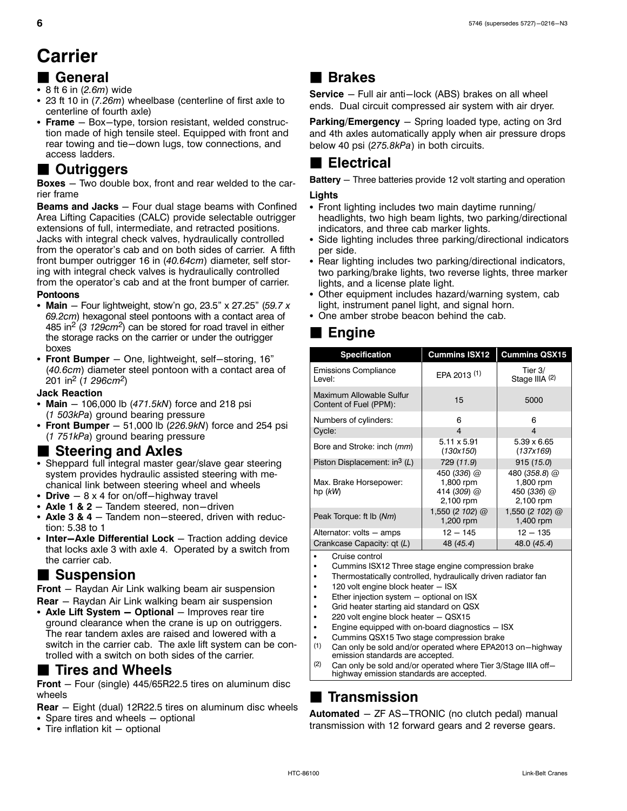# <span id="page-9-0"></span>**Carrier**

#### **I** General General<br>• 8 ft 6 in (2.6m)

- 8 ft 6 in (*2.6m*) wide
- 23 ft 10 in (7.26*m*) wheelbase (centerline of first axle to centerline of fourth axle) centerline of fourth axle)
- Frame Box-type, torsion resistant, welded construction made of high tensile steel. Equipped with front and rear towing and tie-down lugs, tow connections, and access ladders.

### $\blacksquare$  Outriggers

**Boxes** – Two double box, front and rear welded to the carrier frame

**Beams and Jacks** - Four dual stage beams with Confined Area Lifting Capacities (CALC) provide selectable outrigger extensions of full, intermediate, and retracted positions. Jacks with integral check valves, hydraulically controlled from the operator's cab and on both sides of carrier. A fifth front bumper outrigger 16 in (*40.64cm*) diameter, self storing with integral check valves is hydraulically controlled from the operator's cab and at the front bumper of carrier.

#### **Pontoons**

- **Main** Four lightweight, stow'n go, 23.5" x 27.25" (59.7 x 69.7 x 27.25") *69.2cm*) hexagonal steel pontoons with a contact area of 485 in2 (*3 129cm2*) can be stored for road travel in either the storage racks on the carrier or under the outrigger boxes
- Front Bumper One, lightweight, self-storing, 16" (*40.6cm*) diameter steel pontoon with a contact area of 201 in2 (*1 296cm2*)

#### **Jack Reaction**

- **Main**  $-$  106,000 lb (471.5kM) force and 218 psi<br>(1.503kPa) ground bearing pressure (*1 503kPa*) ground bearing pressure
- **Front Bumper**  $51,000$  lb ( $226.9kN$ ) force and 254 psi (1.751kPa) ground bearing pressure (*1 751kPa*) ground bearing pressure

# **Steering and Axles**<br>• Sheppard full integral master of

- Sheppard full integral master gear/slave gear steering system provides hydraulic assisted steering with mechanical link between steering wheel and wheels
- **Drive** 8 x 4 for on/off-highway travel
- Axle 1 & 2 Tandem steered, non-driven
- -Axle 3 & 4 - Tandem non-steered, driven with reduction: 5.38 to 1
- Inter-Axle Differential Lock Traction adding device that locks axle 3 with axle 4. Operated by a switch from the carrier cab.

### - **Suspension**

**Front** – Raydan Air Link walking beam air suspension

**Rear** - Raydan Air Link walking beam air suspension

• Axle Lift System - Optional - Improves rear tire ground clearance when the crane is up on outriggers. The rear tandem axles are raised and lowered with a switch in the carrier cab. The axle lift system can be controlled with a switch on both sides of the carrier.

### $\blacksquare$  **Tires and Wheels**

**Front** – Four (single) 445/65R22.5 tires on aluminum disc wheels

- **Rear** Eight (dual) 12R22.5 tires on aluminum disc wheels
- Spare tires and wheels optional
- Tire inflation kit optional

### - **Brakes**

**Service** - Full air anti-lock (ABS) brakes on all wheel ends. Dual circuit compressed air system with air dryer.

**Parking/Emergency** – Spring loaded type, acting on 3rd and 4th axles automatically apply when air pressure drops below 40 psi (*275.8kPa*) in both circuits.

### - **Electrical**

**Battery** - Three batteries provide 12 volt starting and operation

#### **Lights**

- Front lighting includes two main daytime running/ headlights, two high beam lights, two parking/directional indicators, and three cab marker lights.
- Side lighting includes three parking/directional indicators per side.
- Rear lighting includes two parking/directional indicators, two parking/brake lights, two reverse lights, three marker lights, and a license plate light.
- Other equipment includes hazard/warning system, cab light, instrument panel light, and signal horn.
- One amber strobe beacon behind the cab.

### **Engine**

| <b>Specification</b>                               | <b>Cummins ISX12</b>                                 | <b>Cummins QSX15</b>                                     |
|----------------------------------------------------|------------------------------------------------------|----------------------------------------------------------|
| <b>Emissions Compliance</b><br>Level:              | EPA 2013 (1)                                         | Tier 3/<br>Stage IIIA (2)                                |
| Maximum Allowable Sulfur<br>Content of Fuel (PPM): | 15                                                   | 5000                                                     |
| Numbers of cylinders:                              | 6                                                    | 6                                                        |
| Cycle:                                             | 4                                                    | 4                                                        |
| Bore and Stroke: inch (mm)                         | $5.11 \times 5.91$<br>(130x150)                      | $5.39 \times 6.65$<br>(137x169)                          |
| Piston Displacement: $in^3(L)$                     | 729 (11.9)                                           | 915 (15.0)                                               |
| Max. Brake Horsepower:<br>hp $(kW)$                | 450 (336) @<br>1,800 rpm<br>414 (309) @<br>2,100 rpm | 480 (358.8) @<br>1,800 rpm<br>450 $(336)$ @<br>2,100 rpm |
| Peak Torque: ft lb (Nm)                            | 1,550 (2 102) @<br>1,200 rpm                         | 1,550 (2 102) @<br>1,400 rpm                             |
| Alternator: volts - amps                           | $12 - 145$                                           | $12 - 135$                                               |
| Crankcase Capacity: qt (L)                         | 48 (45.4)                                            | 48.0 (45.4)                                              |
|                                                    |                                                      |                                                          |

Cruise control

 $\bullet$ 

- -Cummins ISX12 Three stage engine compression brake
- -Thermostatically controlled, hydraulically driven radiator fan
- -120 volt engine block heater  $-$  ISX
- -Ether injection system  $-$  optional on ISX
- -Grid heater starting aid standard on QSX
- -220 volt engine block heater  $-$  QSX15
- -Engine equipped with on-board diagnostics  $-$  ISX
- -• Cummins QSX15 Two stage compression brake<br>(1) Can only be sold and/or operated where EPA20
- Can only be sold and/or operated where EPA2013 on-highway emission standards are accepted.
- <sup>(2)</sup> Can only be sold and/or operated where Tier 3/Stage IIIA off-<br>highway emission standards are accepted.

### - **Transmission**

Automated - ZF AS-TRONIC (no clutch pedal) manual transmission with 12 forward gears and 2 reverse gears.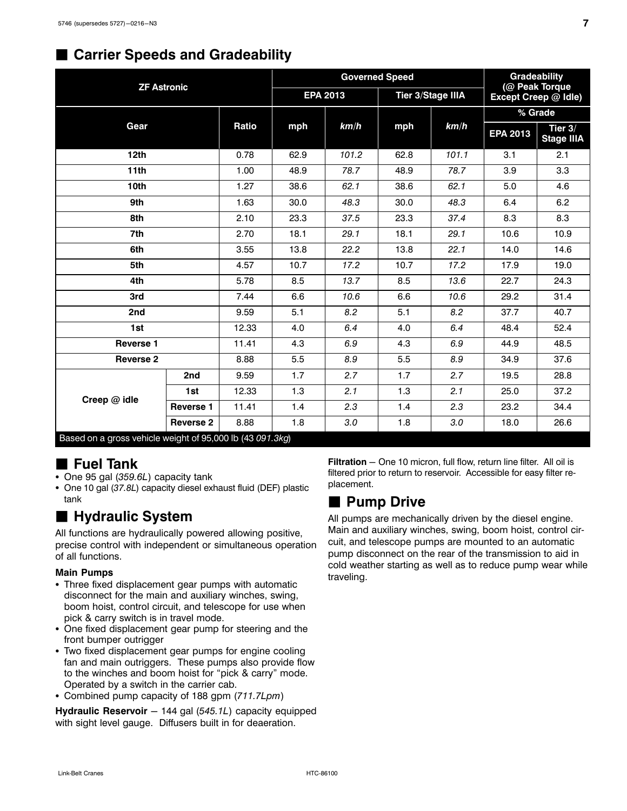### <span id="page-10-0"></span>■ Carrier Speeds and Gradeability

|                                                           |                  |       |      | <b>Governed Speed</b> | <b>Gradeability</b><br>(@ Peak Torque |       |                      |                                |
|-----------------------------------------------------------|------------------|-------|------|-----------------------|---------------------------------------|-------|----------------------|--------------------------------|
| <b>ZF Astronic</b>                                        |                  |       |      | <b>EPA 2013</b>       | Tier 3/Stage IIIA                     |       | Except Creep @ Idle) |                                |
|                                                           |                  |       |      |                       |                                       |       | % Grade              |                                |
| Gear                                                      |                  | Ratio | mph  | km/h                  | mph                                   | km/h  | <b>EPA 2013</b>      | Tier $3/$<br><b>Stage IIIA</b> |
| 12 <sub>th</sub>                                          |                  | 0.78  | 62.9 | 101.2                 | 62.8                                  | 101.1 | 3.1                  | 2.1                            |
| 11 <sub>th</sub>                                          |                  | 1.00  | 48.9 | 78.7                  | 48.9                                  | 78.7  | 3.9                  | 3.3                            |
| 10th                                                      |                  | 1.27  | 38.6 | 62.1                  | 38.6                                  | 62.1  | 5.0                  | 4.6                            |
| 9th                                                       |                  | 1.63  | 30.0 | 48.3                  | 30.0                                  | 48.3  | 6.4                  | 6.2                            |
| 8th                                                       |                  | 2.10  | 23.3 | 37.5                  | 23.3                                  | 37.4  | 8.3                  | 8.3                            |
| 7th                                                       |                  | 2.70  | 18.1 | 29.1                  | 18.1                                  | 29.1  | 10.6                 | 10.9                           |
| 6th                                                       |                  | 3.55  | 13.8 | 22.2                  | 13.8                                  | 22.1  | 14.0                 | 14.6                           |
| 5th                                                       |                  | 4.57  | 10.7 | 17.2                  | 10.7                                  | 17.2  | 17.9                 | 19.0                           |
| 4th                                                       |                  | 5.78  | 8.5  | 13.7                  | 8.5                                   | 13.6  | 22.7                 | 24.3                           |
| 3rd                                                       |                  | 7.44  | 6.6  | 10.6                  | 6.6                                   | 10.6  | 29.2                 | 31.4                           |
| 2nd                                                       |                  | 9.59  | 5.1  | 8.2                   | 5.1                                   | 8.2   | 37.7                 | 40.7                           |
| 1st                                                       |                  | 12.33 | 4.0  | 6.4                   | 4.0                                   | 6.4   | 48.4                 | 52.4                           |
| <b>Reverse 1</b>                                          |                  | 11.41 | 4.3  | 6.9                   | 4.3                                   | 6.9   | 44.9                 | 48.5                           |
| <b>Reverse 2</b>                                          |                  | 8.88  | 5.5  | 8.9                   | 5.5                                   | 8.9   | 34.9                 | 37.6                           |
|                                                           | 2nd              | 9.59  | 1.7  | 2.7                   | 1.7                                   | 2.7   | 19.5                 | 28.8                           |
| Creep @ idle                                              | 1st              | 12.33 | 1.3  | 2.1                   | 1.3                                   | 2.1   | 25.0                 | 37.2                           |
|                                                           | <b>Reverse 1</b> | 11.41 | 1.4  | 2.3                   | 1.4                                   | 2.3   | 23.2                 | 34.4                           |
|                                                           | <b>Reverse 2</b> | 8.88  | 1.8  | 3.0                   | 1.8                                   | 3.0   | 18.0                 | 26.6                           |
| Based on a gross vehicle weight of 95,000 lb (43 091.3kg) |                  |       |      |                       |                                       |       |                      |                                |

# **Fuel Tank**<br>• One 95 gal (359)

- One 95 gal (*359.6L*) capacity tank
- One 10 gal (*37.8L*) capacity diesel exhaust fluid (DEF) plastic tank

# $\blacksquare$  **Hydraulic System**

All functions are hydraulically powered allowing positive, precise control with independent or simultaneous operation of all functions.

### **Main Pumps**

- Three fixed displacement gear pumps with automatic disconnect for the main and auxiliary winches, swing, boom hoist, control circuit, and telescope for use when pick & carry switch is in travel mode.
- One fixed displacement gear pump for steering and the front bumper outrigger
- Two fixed displacement gear pumps for engine cooling fan and main outriggers. These pumps also provide flow to the winches and boom hoist for "pick & carry" mode. Operated by a switch in the carrier cab.
- Combined pump capacity of 188 gpm (*711.7Lpm*)

**Hydraulic Reservoir** - 144 gal (545.1L) capacity equipped with sight level gauge. Diffusers built in for deaeration.

**Filtration** - One 10 micron, full flow, return line filter. All oil is filtered prior to return to reservoir. Accessible for easy filter replacement.

### **Pump Drive**

All pumps are mechanically driven by the diesel engine. Main and auxiliary winches, swing, boom hoist, control circuit, and telescope pumps are mounted to an automatic pump disconnect on the rear of the transmission to aid in cold weather starting as well as to reduce pump wear while traveling.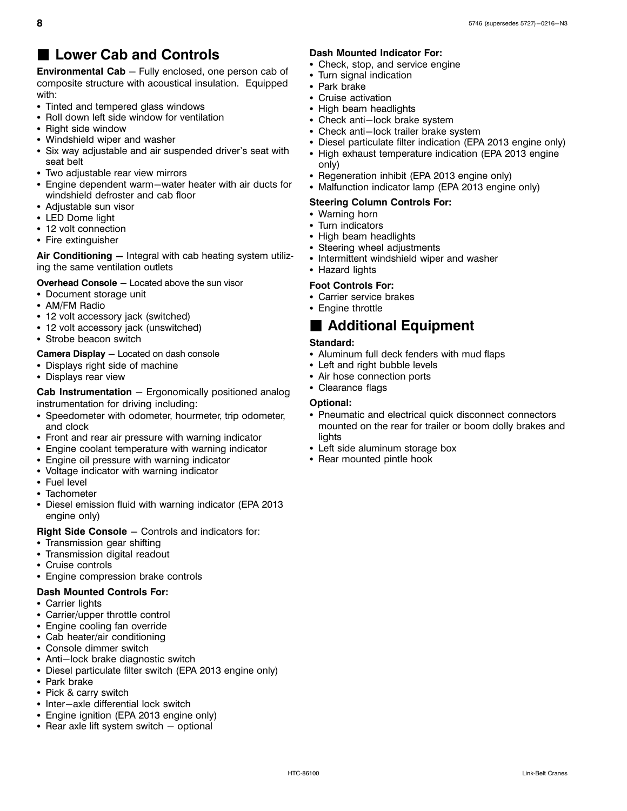### <span id="page-11-0"></span>■ Lower Cab and Controls

**Environmental Cab** - Fully enclosed, one person cab of composite structure with acoustical insulation. Equipped with:

- Tinted and tempered glass windows
- Roll down left side window for ventilation
- Right side window
- Windshield wiper and washer
- Six way adjustable and air suspended driver's seat with seat belt
- Two adjustable rear view mirrors
- Engine dependent warm-water heater with air ducts for windshield defroster and cab floor
- Adjustable sun visor
- LED Dome light
- 12 volt connection
- Fire extinguisher

Air Conditioning - Integral with cab heating system utilizing the same ventilation outlets

#### **Overhead Console** - Located above the sun visor

- Document storage unit
- AM/FM Radio
- 12 volt accessory jack (switched)
- 12 volt accessory jack (unswitched)
- Strobe beacon switch

#### **Camera Display** - Located on dash console

- Displays right side of machine
- Displays rear view

**Cab Instrumentation** – Ergonomically positioned analog instrumentation for driving including:

- Speedometer with odometer, hourmeter, trip odometer, and clock
- Front and rear air pressure with warning indicator
- Engine coolant temperature with warning indicator
- Engine oil pressure with warning indicator
- Voltage indicator with warning indicator
- Fuel level
- Tachometer
- Diesel emission fluid with warning indicator (EPA 2013 engine only)

#### **Right Side Console** - Controls and indicators for:

- Transmission gear shifting
- Transmission digital readout
- Cruise controls
- Engine compression brake controls

#### **Dash Mounted Controls For:**

- Carrier lights
- Carrier/upper throttle control
- Engine cooling fan override
- Cab heater/air conditioning
- Console dimmer switch
- Anti-lock brake diagnostic switch
- Diesel particulate filter switch (EPA 2013 engine only)
- Park brake
- Pick & carry switch
- Inter-axle differential lock switch
- Engine ignition (EPA 2013 engine only)
- Rear axle lift system switch optional

#### **Dash Mounted Indicator For:**

- Check, stop, and service engine
- Turn signal indication
- Park brake
	- Cruise activation
- High beam headlights
- Check anti-lock brake system
- Check anti-lock trailer brake system
- Diesel particulate filter indication (EPA 2013 engine only)
- High exhaust temperature indication (EPA 2013 engine only)
- Regeneration inhibit (EPA 2013 engine only)
- Malfunction indicator lamp (EPA 2013 engine only)

#### **Steering Column Controls For:**

- Warning horn
- Turn indicators
- High beam headlights
- Steering wheel adjustments
- Intermittent windshield wiper and washer
- Hazard lights

#### **Foot Controls For:**

- Carrier service brakes
- Engine throttle

### **E** Additional Equipment

#### **Standard:**

- Aluminum full deck fenders with mud flaps
- Left and right bubble levels
- Air hose connection ports

### - Clearance flags

#### **Optional:**

- Pneumatic and electrical quick disconnect connectors mounted on the rear for trailer or boom dolly brakes and lights
- Left side aluminum storage box
- Rear mounted pintle hook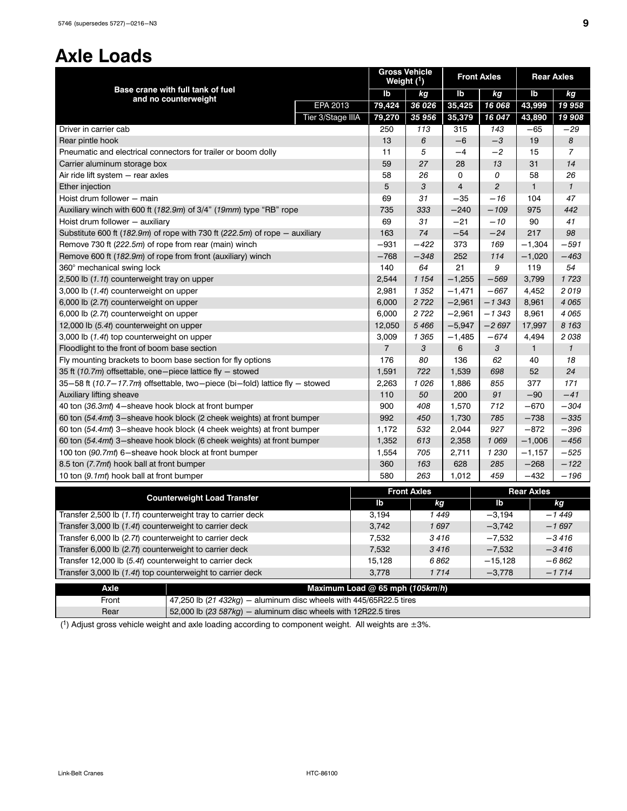# <span id="page-12-0"></span>**Axle Loads**

|                                                                               |        |                                 | Weight $(1)$   | <b>Gross Vehicle</b> | <b>Front Axles</b> |                | <b>Rear Axles</b> |                |
|-------------------------------------------------------------------------------|--------|---------------------------------|----------------|----------------------|--------------------|----------------|-------------------|----------------|
| Base crane with full tank of fuel                                             |        |                                 | lb             | kg                   | Ib                 | kg             | lb                | kg             |
| and no counterweight                                                          |        | EPA 2013                        | 79,424         | 36 026               | 35,425             | 16 068         | 43,999            | 19 958         |
|                                                                               |        | Tier 3/Stage IIIA               | 79,270         | 35 956               | 35,379             | 16 047         | 43,890            | 19 908         |
| Driver in carrier cab                                                         |        |                                 | 250            | 113                  | 315                | 143            | $-65$             | $-29$          |
| Rear pintle hook                                                              |        |                                 | 13             | 6                    | $-6$               | $-3$           | 19                | 8              |
| Pneumatic and electrical connectors for trailer or boom dolly                 |        |                                 | 11             | 5                    | $-4$               | $-2$           | 15                | $\overline{7}$ |
| Carrier aluminum storage box                                                  |        |                                 | 59             | 27                   | 28                 | 13             | 31                | 14             |
| Air ride lift system - rear axles                                             |        |                                 | 58             | 26                   | 0                  | 0              | 58                | 26             |
| Ether injection                                                               |        |                                 | 5              | 3                    | 4                  | $\overline{c}$ | $\mathbf{1}$      | $\mathbf{1}$   |
| Hoist drum follower - main                                                    |        |                                 | 69             | 31                   | $-35$              | $-16$          | 104               | 47             |
| Auxiliary winch with 600 ft (182.9m) of 3/4" (19mm) type "RB" rope            |        |                                 | 735            | 333                  | $-240$             | $-109$         | 975               | 442            |
| Hoist drum follower - auxiliary                                               |        |                                 | 69             | 31                   | $-21$              | $-10$          | 90                | 41             |
| Substitute 600 ft (182.9m) of rope with 730 ft (222.5m) of rope $-$ auxiliary |        |                                 | 163            | 74                   | $-54$              | $-24$          | 217               | 98             |
| Remove 730 ft (222.5m) of rope from rear (main) winch                         |        |                                 | -931           | $-422$               | 373                | 169            | $-1,304$          | $-591$         |
| Remove 600 ft (182.9m) of rope from front (auxiliary) winch                   |        |                                 | $-768$         | $-348$               | 252                | 114            | $-1,020$          | $-463$         |
| 360° mechanical swing lock                                                    |        |                                 | 140            | 64                   | 21                 | 9              | 119               | 54             |
| 2,500 lb (1.1t) counterweight tray on upper                                   |        |                                 | 2,544          | 1 1 5 4              | $-1,255$           | $-569$         | 3,799             | 1723           |
| 3,000 lb (1.4t) counterweight on upper                                        |        |                                 | 2,981          | 1 3 5 2              | $-1,471$           | $-667$         | 4,452             | 2019           |
| 6,000 lb (2.7t) counterweight on upper                                        |        |                                 | 6,000          | 2722                 | $-2,961$           | $-1343$        | 8,961             | 4 0 6 5        |
| 6,000 lb (2.7t) counterweight on upper                                        |        |                                 |                |                      |                    | $-1343$        | 8,961             | 4065           |
| 12,000 lb (5.4t) counterweight on upper                                       |        |                                 | 12,050         | 5466                 | $-5,947$           | $-2697$        | 17,997            | 8 1 6 3        |
| 3,000 lb (1.4t) top counterweight on upper                                    |        |                                 | 3,009          | 1 3 6 5              | $-1,485$           | $-674$         | 4,494             | 2038           |
| Floodlight to the front of boom base section                                  |        |                                 | $\overline{7}$ | 3                    | 6                  | 3              | $\mathbf{1}$      | $\mathbf{1}$   |
| Fly mounting brackets to boom base section for fly options                    |        |                                 | 176            | 80                   | 136                | 62             | 40                | 18             |
| 35 ft (10.7m) offsettable, one-piece lattice fly $-$ stowed                   |        |                                 | 1,591          | 722                  | 1,539              | 698            | 52                | 24             |
| 35-58 ft (10.7-17.7m) offsettable, two-piece (bi-fold) lattice fly - stowed   |        |                                 | 2,263          | 1026                 | 1,886              | 855            | 377               | 171            |
| Auxiliary lifting sheave                                                      |        |                                 | 110            | 50                   | 200                | 91             | $-90$             | $-41$          |
| 40 ton (36.3mt) 4-sheave hook block at front bumper                           |        |                                 | 900            | 408                  | 1,570              | 712            | $-670$            | $-304$         |
| 60 ton (54.4mt) 3-sheave hook block (2 cheek weights) at front bumper         |        |                                 | 992            | 450                  | 1,730              | 785            | $-738$            | $-335$         |
| 60 ton (54.4mt) 3-sheave hook block (4 cheek weights) at front bumper         |        |                                 | 1,172          | 532                  | 2,044              | 927            | $-872$            | $-396$         |
| 60 ton (54.4mt) 3-sheave hook block (6 cheek weights) at front bumper         |        |                                 | 1,352          | 613                  | 2,358              | 1069           | $-1,006$          | $-456$         |
| 100 ton (90.7mt) 6-sheave hook block at front bumper                          |        |                                 | 1,554          | 705                  | 2,711              | 1 2 3 0        | $-1,157$          | $-525$         |
| 8.5 ton (7.7mt) hook ball at front bumper                                     |        |                                 | 360            | 163                  | 628                | 285            | $-268$            | $-122$         |
| 10 ton (9.1mt) hook ball at front bumper                                      |        |                                 | 580            | 263                  | 1,012              | 459            | $-432$            | $-196$         |
|                                                                               |        |                                 |                | <b>Front Axles</b>   |                    |                | <b>Rear Axles</b> |                |
| <b>Counterweight Load Transfer</b>                                            |        |                                 | lb             | kg                   |                    | lb             |                   | kg             |
| Transfer 2,500 lb (1.1t) counterweight tray to carrier deck                   |        |                                 | 3,194          | 1449                 |                    | $-3,194$       |                   | -1 449         |
| Transfer 3,000 lb (1.4t) counterweight to carrier deck                        | 3,742  | 1697                            |                | $-3,742$             |                    | $-1697$        |                   |                |
| Transfer 6,000 lb (2.7t) counterweight to carrier deck                        | 7,532  | 3416                            |                | $-7,532$             |                    | -3416          |                   |                |
| Transfer 6,000 lb (2.7t) counterweight to carrier deck                        | 7,532  | 3416                            |                | $-7,532$             |                    | $-3416$        |                   |                |
| Transfer 12,000 lb (5.4t) counterweight to carrier deck                       | 15,128 | 6862                            |                | $-15,128$            |                    | $-6862$        |                   |                |
| Transfer 3,000 lb (1.4t) top counterweight to carrier deck                    | 3,778  | 1714                            |                | $-3,778$             |                    | $-1714$        |                   |                |
| Axle                                                                          |        | Maximum Load @ 65 mph (105km/h) |                |                      |                    |                |                   |                |
| 47,250 lb $(21 432kg)$ - aluminum disc wheels with 445/65R22.5 tires<br>Front |        |                                 |                |                      |                    |                |                   |                |
|                                                                               |        |                                 |                |                      |                    |                |                   |                |

Rear 52,000 lb (23 587kg) - aluminum disc wheels with 12R22.5 tires

 $(1)$  Adjust gross vehicle weight and axle loading according to component weight. All weights are  $\pm 3$ %.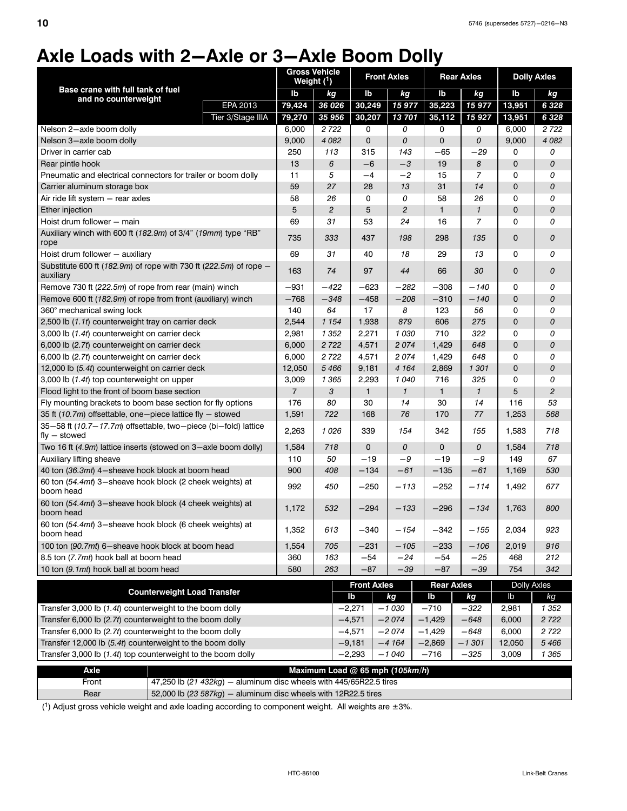# <span id="page-13-0"></span>**Axle Loads with 2-Axle or 3-Axle Boom Dolly**

|                                                                                  |                                                                             | <b>Gross Vehicle</b><br>Weight $(1)$ |                                 | <b>Front Axles</b> |                | <b>Rear Axles</b> |                | <b>Dolly Axles</b> |                |
|----------------------------------------------------------------------------------|-----------------------------------------------------------------------------|--------------------------------------|---------------------------------|--------------------|----------------|-------------------|----------------|--------------------|----------------|
| Base crane with full tank of fuel                                                |                                                                             | lb                                   | kg                              | lb                 | kg             | Ib                | kg             | lb                 | kg             |
| and no counterweight                                                             | <b>EPA 2013</b>                                                             | 79,424                               | 36 026                          | 30,249             | 15 977         | 35,223            | 15 977         | 13,951             | 6 3 28         |
|                                                                                  | Tier 3/Stage IIIA                                                           | 79,270                               | 35 956                          | 30,207             | 13701          | 35,112            | 15 927         | 13,951             | 6328           |
| Nelson 2-axle boom dolly                                                         |                                                                             | 6,000                                | 2722                            | 0                  | 0              | 0                 | 0              | 6,000              | 2722           |
| Nelson 3-axle boom dolly                                                         |                                                                             | 9,000                                | 4 0 8 2                         | 0                  | 0              | 0                 | 0              | 9,000              | 4082           |
| Driver in carrier cab                                                            | 250                                                                         | 113                                  | 315                             | 143                | $-65$          | $-29$             | 0              | 0                  |                |
| Rear pintle hook                                                                 |                                                                             | 13                                   | 6                               | $-6$               | $-3$           | 19                | 8              | $\mathbf 0$        | 0              |
| Pneumatic and electrical connectors for trailer or boom dolly                    |                                                                             | 11                                   | 5                               | $-4$               | $-2$           | 15                | $\overline{7}$ | 0                  | 0              |
| Carrier aluminum storage box                                                     |                                                                             | 59                                   | 27                              | 28                 | 13             | 31                | 14             | 0                  | 0              |
| Air ride lift system - rear axles                                                |                                                                             | 58                                   | 26                              | 0                  | 0              | 58                | 26             | 0                  | 0              |
| Ether injection                                                                  |                                                                             | 5                                    | $\overline{c}$                  | 5                  | $\overline{c}$ | 1                 | $\mathbf{1}$   | $\mathbf 0$        | 0              |
| Hoist drum follower - main                                                       |                                                                             | 69                                   | 31                              | 53                 | 24             | 16                | $\overline{7}$ | 0                  | 0              |
| Auxiliary winch with 600 ft (182.9m) of 3/4" (19mm) type "RB"                    |                                                                             | 735                                  | 333                             | 437                | 198            | 298               | 135            | 0                  | 0              |
| rope                                                                             |                                                                             |                                      |                                 |                    |                |                   |                |                    |                |
| Hoist drum follower - auxiliary                                                  |                                                                             | 69                                   | 31                              | 40                 | 18             | 29                | 13             | 0                  | 0              |
| Substitute 600 ft (182.9m) of rope with 730 ft (222.5m) of rope -<br>auxiliary   |                                                                             | 163                                  | 74                              | 97                 | 44             | 66                | 30             | $\mathbf{0}$       | 0              |
| Remove 730 ft (222.5m) of rope from rear (main) winch                            |                                                                             | $-931$                               | $-422$                          | $-623$             | $-282$         | $-308$            | $-140$         | 0                  | 0              |
| Remove 600 ft (182.9m) of rope from front (auxiliary) winch                      |                                                                             | $-768$                               | $-348$                          | $-458$             | $-208$         | $-310$            | $-140$         | $\mathbf{0}$       | 0              |
| 360° mechanical swing lock                                                       |                                                                             | 140                                  | 64                              | 17                 | 8              | 123               | 56             | 0                  | 0              |
| 2,500 lb (1.1t) counterweight tray on carrier deck                               |                                                                             |                                      | 1 1 5 4                         | 1,938              | 879            | 606               | 275            | 0                  | 0              |
| 3,000 lb (1.4t) counterweight on carrier deck                                    |                                                                             |                                      | 1 3 5 2                         | 2,271              | 1 030          | 710               | 322            | 0                  | 0              |
| 6,000 lb (2.7t) counterweight on carrier deck                                    |                                                                             |                                      | 2722                            | 4,571              | 2074           | 1,429             | 648            | $\mathbf{0}$       | 0              |
| 6,000 lb (2.7t) counterweight on carrier deck                                    |                                                                             |                                      | 2 7 2 2                         | 4,571              | 2074           | 1,429             | 648            | 0                  | 0              |
| 12,000 lb (5.4t) counterweight on carrier deck                                   |                                                                             |                                      | 5466                            | 9,181              | 4 1 6 4        | 2,869             | 1 301          | 0                  | 0              |
| 3,000 lb (1.4t) top counterweight on upper                                       |                                                                             |                                      | 1365                            | 2,293              | 1040           | 716               | 325            | 0                  | 0              |
| Flood light to the front of boom base section                                    |                                                                             | $\overline{7}$                       | 3                               | 1                  | $\mathbf{1}$   | $\mathbf{1}$      | $\mathbf{1}$   | 5                  | $\overline{c}$ |
| Fly mounting brackets to boom base section for fly options                       |                                                                             | 176                                  | 80                              | 30                 | 14             | 30                | 14             | 116                | 53             |
| 35 ft (10.7m) offsettable, one-piece lattice fly - stowed                        |                                                                             | 1,591                                | 722                             | 168                | 76             | 170               | 77             | 1,253              | 568            |
| 35-58 ft (10.7-17.7m) offsettable, two-piece (bi-fold) lattice<br>$fly - stowed$ |                                                                             | 2,263                                | 1026                            | 339                | 154            | 342               | 155            | 1,583              | 718            |
| Two 16 ft $(4.9m)$ lattice inserts (stowed on 3-axle boom dolly)                 |                                                                             | 1,584                                | 718                             | 0                  | 0              | 0                 | 0              | 1,584              | 718            |
| Auxiliary lifting sheave                                                         |                                                                             | 110                                  | 50                              | $-9$<br>$-19$      |                | $-19$             | $-9$           | 149                | 67             |
| 40 ton (36.3mt) 4-sheave hook block at boom head                                 |                                                                             | 900                                  | 408                             | $-134$             | $-61$          | $-135$            | $-61$          | 1,169              | 530            |
| 60 ton (54.4mt) 3-sheave hook block (2 cheek weights) at                         |                                                                             |                                      |                                 |                    |                |                   |                |                    |                |
| boom head                                                                        |                                                                             | 992                                  | 450                             | $-250$             | —113           | $-252$            | $-114$         | 1,492              | 677            |
| 60 ton (54.4mt) 3-sheave hook block (4 cheek weights) at<br>boom head            |                                                                             | 1,172                                | 532                             | $-294$             | $-133$         | $-296$            | $-134$         | 1,763              | 800            |
| boom head                                                                        | 60 ton (54.4mt) 3-sheave hook block (6 cheek weights) at                    |                                      |                                 | $-340$             | - 154          | $-342$            | $-155$         | 2,034              | 923            |
| 100 ton (90.7mt) 6-sheave hook block at boom head                                | 1,554                                                                       | 705                                  | $-231$                          | $-105$             | $-233$         | $-106$            | 2,019          | 916                |                |
| 8.5 ton (7.7mt) hook ball at boom head                                           | 360                                                                         | 163                                  | $-54$                           | $-24$              | $-54$          | $-25$             | 468            | 212                |                |
| 10 ton (9.1mt) hook ball at boom head                                            | 580                                                                         | 263                                  | $-87$                           | $-39$              | $-87$          | $-39$             | 754            | 342                |                |
|                                                                                  |                                                                             |                                      |                                 | <b>Front Axles</b> |                | <b>Rear Axles</b> |                | <b>Dolly Axles</b> |                |
| <b>Counterweight Load Transfer</b>                                               |                                                                             |                                      |                                 | lb                 | kg             | lb                | kg             | lb                 | kg             |
| Transfer 3,000 lb (1.4t) counterweight to the boom dolly                         |                                                                             |                                      |                                 | $-2,271$           | $-1030$        | $-710$            | $-322$         | 2,981              | 1 352          |
| Transfer 6,000 lb (2.7t) counterweight to the boom dolly                         |                                                                             |                                      | $-4,571$                        | $-2074$            | $-1,429$       | $-648$            | 6,000          | 2 7 2 2            |                |
| Transfer 6,000 lb (2.7t) counterweight to the boom dolly                         |                                                                             |                                      | $-4,571$                        | $-2074$            | $-1,429$       | -648              | 6,000          | 2 7 2 2            |                |
| Transfer 12,000 lb (5.4t) counterweight to the boom dolly                        |                                                                             |                                      | $-9,181$                        | $-4164$            | $-2,869$       | $-1301$           | 12,050         | 5 4 6 6            |                |
| Transfer 3,000 lb (1.4t) top counterweight to the boom dolly                     |                                                                             |                                      |                                 | $-2,293$           | $-1040$        | $-716$            | $-325$         | 3,009              | 1 3 6 5        |
| Axle                                                                             |                                                                             |                                      | Maximum Load @ 65 mph (105km/h) |                    |                |                   |                |                    |                |
| Front                                                                            | 47,250 lb $(21.432\text{kg})$ - aluminum disc wheels with 445/65R22.5 tires |                                      |                                 |                    |                |                   |                |                    |                |
| $(0.000 \text{ Hz} / 0.00 \text{ rad/s})$                                        |                                                                             |                                      |                                 |                    |                |                   |                |                    |                |

Rear 152,000 lb (23 587kg) - aluminum disc wheels with 12R22.5 tires

(1) Adjust gross vehicle weight and axle loading according to component weight. All weights are  $\pm 3$ %.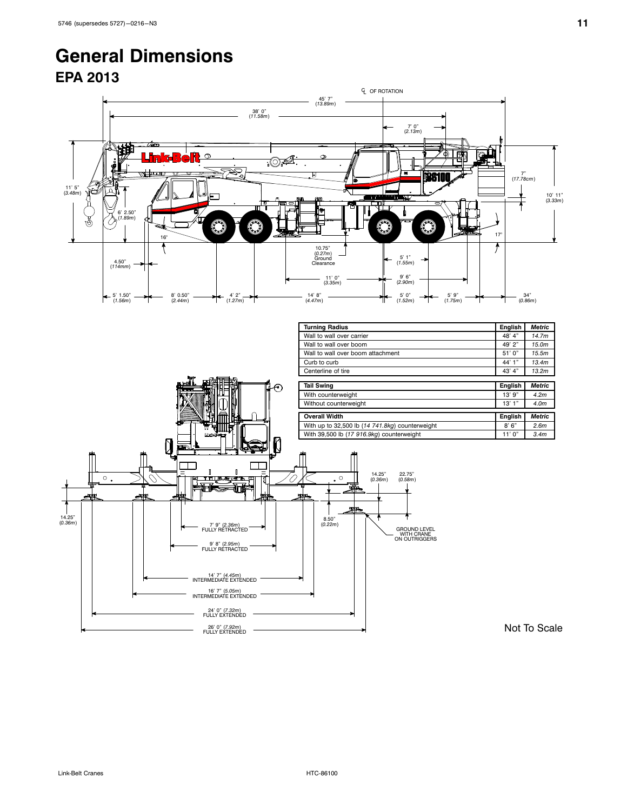### <span id="page-14-0"></span>**General Dimensions EPA 2013**

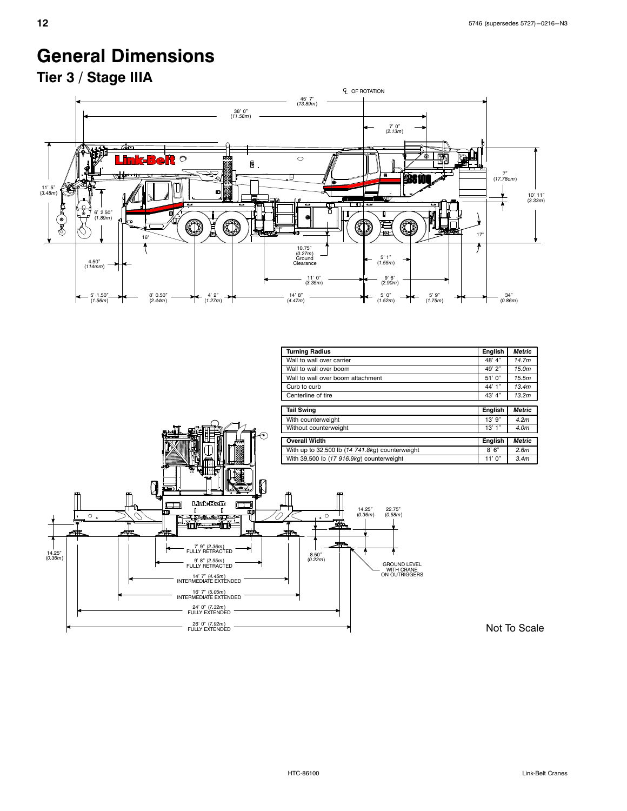# <span id="page-15-0"></span>**General Dimensions**

### **Tier 3 / Stage IIIA**





Not To Scale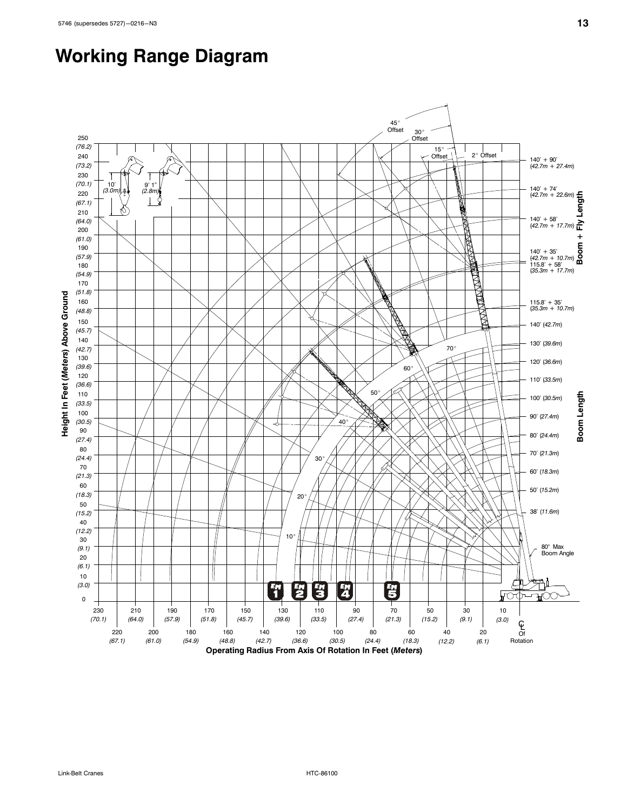# <span id="page-16-0"></span>**Working Range Diagram**

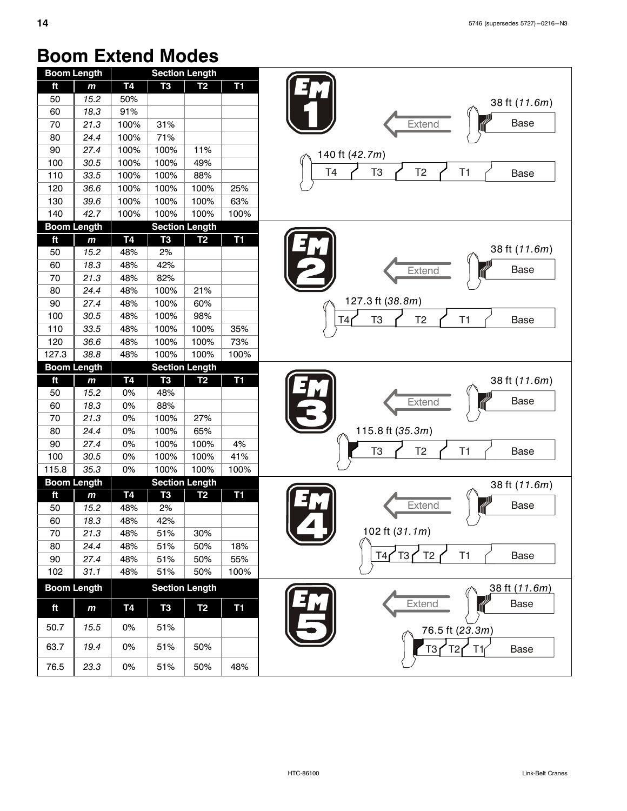## <span id="page-17-0"></span>**Boom Extend Modes**

76.5 *23.3* 0% 51% 50% 48%

| ft<br><b>T4</b><br><b>T1</b><br>T3<br>T2<br>m<br>15.2<br>50%<br>50<br>18.3<br>91%<br>60<br>21.3<br>100%<br>31%<br>70<br>24.4<br>100%<br>71%<br>80<br>90<br>27.4<br>100%<br>100%<br>11%<br>49%<br>100<br>30.5<br>100%<br>100%<br>88%<br>110<br>33.5<br>100%<br>100%<br>100%<br>120<br>36.6<br>100%<br>100%<br>25%<br>39.6<br>100%<br>100%<br>100%<br>63%<br>130<br>42.7<br>100%<br>140<br>100%<br>100%<br>100%<br><b>Section Length</b><br><b>Boom Length</b><br>ft<br><b>T4</b><br><b>T1</b><br>T3<br>T <sub>2</sub><br>m<br>2%<br>50<br>15.2<br>48%<br>60<br>18.3<br>48%<br>42%<br>70<br>21.3<br>82%<br>48%<br>24.4<br>21%<br>80<br>48%<br>100%<br>90<br>27.4<br>48%<br>100%<br>60%<br>98%<br>100<br>30.5<br>48%<br>100%<br>110<br>33.5<br>48%<br>100%<br>100%<br>35%<br>100%<br>120<br>36.6<br>48%<br>100%<br>73%<br>127.3<br>38.8<br>48%<br>100%<br>100%<br>100%<br><b>Boom Length</b><br><b>Section Length</b><br><b>T1</b><br><b>T4</b><br>ft<br>T <sub>3</sub><br>T2<br>$\mathbf{m}$<br>15.2<br>0%<br>48%<br>50<br>18.3<br>0%<br>88%<br>60<br>70<br>21.3<br>0%<br>100%<br>27%<br>65%<br>24.4<br>0%<br>100%<br>80<br>100%<br>4%<br>90<br>27.4<br>0%<br>100%<br>100<br>30.5<br>0%<br>100%<br>100%<br>41%<br>35.3<br>100%<br>115.8<br>0%<br>100%<br>100%<br><b>Boom Length</b><br><b>Section Length</b><br><b>T1</b><br><b>T4</b><br>T3<br>T <sub>2</sub><br>ft<br>$\mathbf{m}$<br>15.2<br>2%<br>50<br>48%<br>60<br>18.3<br>48%<br>42%<br>21.3<br>70<br>48%<br>51%<br>30% |
|------------------------------------------------------------------------------------------------------------------------------------------------------------------------------------------------------------------------------------------------------------------------------------------------------------------------------------------------------------------------------------------------------------------------------------------------------------------------------------------------------------------------------------------------------------------------------------------------------------------------------------------------------------------------------------------------------------------------------------------------------------------------------------------------------------------------------------------------------------------------------------------------------------------------------------------------------------------------------------------------------------------------------------------------------------------------------------------------------------------------------------------------------------------------------------------------------------------------------------------------------------------------------------------------------------------------------------------------------------------------------------------------------------------------------------------------------------------------------|
|                                                                                                                                                                                                                                                                                                                                                                                                                                                                                                                                                                                                                                                                                                                                                                                                                                                                                                                                                                                                                                                                                                                                                                                                                                                                                                                                                                                                                                                                              |
|                                                                                                                                                                                                                                                                                                                                                                                                                                                                                                                                                                                                                                                                                                                                                                                                                                                                                                                                                                                                                                                                                                                                                                                                                                                                                                                                                                                                                                                                              |
|                                                                                                                                                                                                                                                                                                                                                                                                                                                                                                                                                                                                                                                                                                                                                                                                                                                                                                                                                                                                                                                                                                                                                                                                                                                                                                                                                                                                                                                                              |
| T4                                                                                                                                                                                                                                                                                                                                                                                                                                                                                                                                                                                                                                                                                                                                                                                                                                                                                                                                                                                                                                                                                                                                                                                                                                                                                                                                                                                                                                                                           |
| 140 ft (42.7m)                                                                                                                                                                                                                                                                                                                                                                                                                                                                                                                                                                                                                                                                                                                                                                                                                                                                                                                                                                                                                                                                                                                                                                                                                                                                                                                                                                                                                                                               |
|                                                                                                                                                                                                                                                                                                                                                                                                                                                                                                                                                                                                                                                                                                                                                                                                                                                                                                                                                                                                                                                                                                                                                                                                                                                                                                                                                                                                                                                                              |
| T4                                                                                                                                                                                                                                                                                                                                                                                                                                                                                                                                                                                                                                                                                                                                                                                                                                                                                                                                                                                                                                                                                                                                                                                                                                                                                                                                                                                                                                                                           |
|                                                                                                                                                                                                                                                                                                                                                                                                                                                                                                                                                                                                                                                                                                                                                                                                                                                                                                                                                                                                                                                                                                                                                                                                                                                                                                                                                                                                                                                                              |
|                                                                                                                                                                                                                                                                                                                                                                                                                                                                                                                                                                                                                                                                                                                                                                                                                                                                                                                                                                                                                                                                                                                                                                                                                                                                                                                                                                                                                                                                              |
|                                                                                                                                                                                                                                                                                                                                                                                                                                                                                                                                                                                                                                                                                                                                                                                                                                                                                                                                                                                                                                                                                                                                                                                                                                                                                                                                                                                                                                                                              |
|                                                                                                                                                                                                                                                                                                                                                                                                                                                                                                                                                                                                                                                                                                                                                                                                                                                                                                                                                                                                                                                                                                                                                                                                                                                                                                                                                                                                                                                                              |
| T <sub>3</sub><br>T <sub>3</sub>                                                                                                                                                                                                                                                                                                                                                                                                                                                                                                                                                                                                                                                                                                                                                                                                                                                                                                                                                                                                                                                                                                                                                                                                                                                                                                                                                                                                                                             |
|                                                                                                                                                                                                                                                                                                                                                                                                                                                                                                                                                                                                                                                                                                                                                                                                                                                                                                                                                                                                                                                                                                                                                                                                                                                                                                                                                                                                                                                                              |
|                                                                                                                                                                                                                                                                                                                                                                                                                                                                                                                                                                                                                                                                                                                                                                                                                                                                                                                                                                                                                                                                                                                                                                                                                                                                                                                                                                                                                                                                              |
|                                                                                                                                                                                                                                                                                                                                                                                                                                                                                                                                                                                                                                                                                                                                                                                                                                                                                                                                                                                                                                                                                                                                                                                                                                                                                                                                                                                                                                                                              |
| 127.3 ft (38.8m)                                                                                                                                                                                                                                                                                                                                                                                                                                                                                                                                                                                                                                                                                                                                                                                                                                                                                                                                                                                                                                                                                                                                                                                                                                                                                                                                                                                                                                                             |
|                                                                                                                                                                                                                                                                                                                                                                                                                                                                                                                                                                                                                                                                                                                                                                                                                                                                                                                                                                                                                                                                                                                                                                                                                                                                                                                                                                                                                                                                              |
|                                                                                                                                                                                                                                                                                                                                                                                                                                                                                                                                                                                                                                                                                                                                                                                                                                                                                                                                                                                                                                                                                                                                                                                                                                                                                                                                                                                                                                                                              |
|                                                                                                                                                                                                                                                                                                                                                                                                                                                                                                                                                                                                                                                                                                                                                                                                                                                                                                                                                                                                                                                                                                                                                                                                                                                                                                                                                                                                                                                                              |
|                                                                                                                                                                                                                                                                                                                                                                                                                                                                                                                                                                                                                                                                                                                                                                                                                                                                                                                                                                                                                                                                                                                                                                                                                                                                                                                                                                                                                                                                              |
|                                                                                                                                                                                                                                                                                                                                                                                                                                                                                                                                                                                                                                                                                                                                                                                                                                                                                                                                                                                                                                                                                                                                                                                                                                                                                                                                                                                                                                                                              |
|                                                                                                                                                                                                                                                                                                                                                                                                                                                                                                                                                                                                                                                                                                                                                                                                                                                                                                                                                                                                                                                                                                                                                                                                                                                                                                                                                                                                                                                                              |
| Extend<br>115.8 ft (35.3m)                                                                                                                                                                                                                                                                                                                                                                                                                                                                                                                                                                                                                                                                                                                                                                                                                                                                                                                                                                                                                                                                                                                                                                                                                                                                                                                                                                                                                                                   |
|                                                                                                                                                                                                                                                                                                                                                                                                                                                                                                                                                                                                                                                                                                                                                                                                                                                                                                                                                                                                                                                                                                                                                                                                                                                                                                                                                                                                                                                                              |
|                                                                                                                                                                                                                                                                                                                                                                                                                                                                                                                                                                                                                                                                                                                                                                                                                                                                                                                                                                                                                                                                                                                                                                                                                                                                                                                                                                                                                                                                              |
|                                                                                                                                                                                                                                                                                                                                                                                                                                                                                                                                                                                                                                                                                                                                                                                                                                                                                                                                                                                                                                                                                                                                                                                                                                                                                                                                                                                                                                                                              |
|                                                                                                                                                                                                                                                                                                                                                                                                                                                                                                                                                                                                                                                                                                                                                                                                                                                                                                                                                                                                                                                                                                                                                                                                                                                                                                                                                                                                                                                                              |
|                                                                                                                                                                                                                                                                                                                                                                                                                                                                                                                                                                                                                                                                                                                                                                                                                                                                                                                                                                                                                                                                                                                                                                                                                                                                                                                                                                                                                                                                              |
|                                                                                                                                                                                                                                                                                                                                                                                                                                                                                                                                                                                                                                                                                                                                                                                                                                                                                                                                                                                                                                                                                                                                                                                                                                                                                                                                                                                                                                                                              |
|                                                                                                                                                                                                                                                                                                                                                                                                                                                                                                                                                                                                                                                                                                                                                                                                                                                                                                                                                                                                                                                                                                                                                                                                                                                                                                                                                                                                                                                                              |
|                                                                                                                                                                                                                                                                                                                                                                                                                                                                                                                                                                                                                                                                                                                                                                                                                                                                                                                                                                                                                                                                                                                                                                                                                                                                                                                                                                                                                                                                              |
| Extend<br>102 ft (31.1m)                                                                                                                                                                                                                                                                                                                                                                                                                                                                                                                                                                                                                                                                                                                                                                                                                                                                                                                                                                                                                                                                                                                                                                                                                                                                                                                                                                                                                                                     |
|                                                                                                                                                                                                                                                                                                                                                                                                                                                                                                                                                                                                                                                                                                                                                                                                                                                                                                                                                                                                                                                                                                                                                                                                                                                                                                                                                                                                                                                                              |
|                                                                                                                                                                                                                                                                                                                                                                                                                                                                                                                                                                                                                                                                                                                                                                                                                                                                                                                                                                                                                                                                                                                                                                                                                                                                                                                                                                                                                                                                              |
|                                                                                                                                                                                                                                                                                                                                                                                                                                                                                                                                                                                                                                                                                                                                                                                                                                                                                                                                                                                                                                                                                                                                                                                                                                                                                                                                                                                                                                                                              |
| 24.4<br>48%<br>51%<br>50%<br>80<br>18%                                                                                                                                                                                                                                                                                                                                                                                                                                                                                                                                                                                                                                                                                                                                                                                                                                                                                                                                                                                                                                                                                                                                                                                                                                                                                                                                                                                                                                       |
| $^{\prime}$ T3<br>T4<br>27.4<br>51%<br>50%<br>90<br>48%<br>55%                                                                                                                                                                                                                                                                                                                                                                                                                                                                                                                                                                                                                                                                                                                                                                                                                                                                                                                                                                                                                                                                                                                                                                                                                                                                                                                                                                                                               |
| 31.1<br>50%<br>102<br>48%<br>51%<br>100%                                                                                                                                                                                                                                                                                                                                                                                                                                                                                                                                                                                                                                                                                                                                                                                                                                                                                                                                                                                                                                                                                                                                                                                                                                                                                                                                                                                                                                     |
| <b>Boom Length</b><br><b>Section Length</b>                                                                                                                                                                                                                                                                                                                                                                                                                                                                                                                                                                                                                                                                                                                                                                                                                                                                                                                                                                                                                                                                                                                                                                                                                                                                                                                                                                                                                                  |
| Extend<br><b>T1</b><br>ft<br><b>T4</b><br>T <sub>3</sub><br>T <sub>2</sub><br>$\mathbf{m}$                                                                                                                                                                                                                                                                                                                                                                                                                                                                                                                                                                                                                                                                                                                                                                                                                                                                                                                                                                                                                                                                                                                                                                                                                                                                                                                                                                                   |
| 50.7<br>15.5<br>$0\%$<br>51%                                                                                                                                                                                                                                                                                                                                                                                                                                                                                                                                                                                                                                                                                                                                                                                                                                                                                                                                                                                                                                                                                                                                                                                                                                                                                                                                                                                                                                                 |
|                                                                                                                                                                                                                                                                                                                                                                                                                                                                                                                                                                                                                                                                                                                                                                                                                                                                                                                                                                                                                                                                                                                                                                                                                                                                                                                                                                                                                                                                              |
| 63.7<br>19.4<br>51%<br>50%<br>0%<br>T3 <sub>1</sub>                                                                                                                                                                                                                                                                                                                                                                                                                                                                                                                                                                                                                                                                                                                                                                                                                                                                                                                                                                                                                                                                                                                                                                                                                                                                                                                                                                                                                          |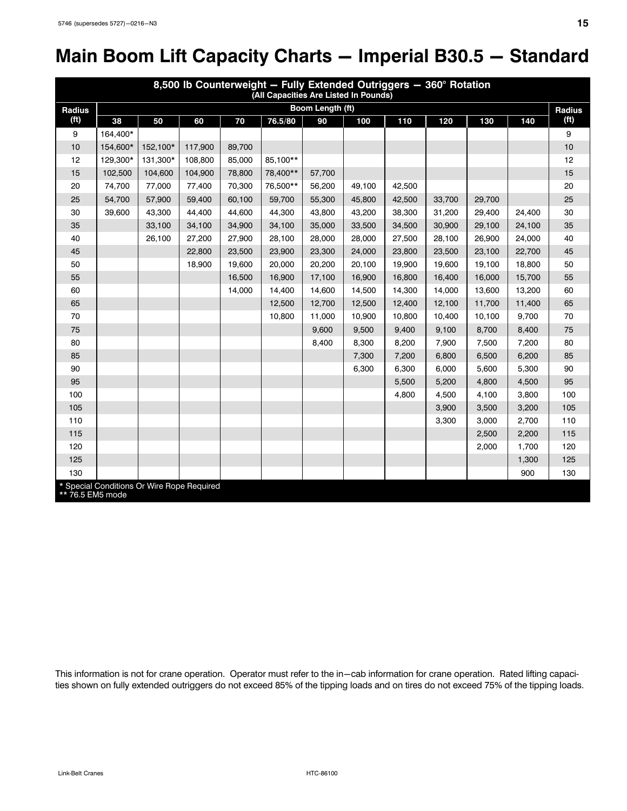# <span id="page-18-0"></span>**Main Boom Lift Capacity Charts - Imperial B30.5 - Standard**

| 8,500 lb Counterweight - Fully Extended Outriggers - 360° Rotation<br>(All Capacities Are Listed In Pounds) |          |                                            |         |        |          |                  |        |        |        |        |        |               |
|-------------------------------------------------------------------------------------------------------------|----------|--------------------------------------------|---------|--------|----------|------------------|--------|--------|--------|--------|--------|---------------|
| <b>Radius</b>                                                                                               |          |                                            |         |        |          | Boom Length (ft) |        |        |        |        |        | <b>Radius</b> |
| (f <sup>t</sup> )                                                                                           | 38       | 50                                         | 60      | 70     | 76.5/80  | 90               | 100    | 110    | 120    | 130    | 140    | (ft)          |
| 9                                                                                                           | 164.400* |                                            |         |        |          |                  |        |        |        |        |        | 9             |
| 10                                                                                                          | 154,600* | 152,100*                                   | 117,900 | 89,700 |          |                  |        |        |        |        |        | 10            |
| 12                                                                                                          | 129,300* | 131,300*                                   | 108,800 | 85,000 | 85,100** |                  |        |        |        |        |        | 12            |
| 15                                                                                                          | 102,500  | 104,600                                    | 104,900 | 78,800 | 78,400** | 57,700           |        |        |        |        |        | 15            |
| 20                                                                                                          | 74,700   | 77,000                                     | 77,400  | 70,300 | 76,500** | 56,200           | 49,100 | 42,500 |        |        |        | 20            |
| 25                                                                                                          | 54,700   | 57,900                                     | 59,400  | 60,100 | 59,700   | 55,300           | 45,800 | 42,500 | 33,700 | 29,700 |        | 25            |
| 30                                                                                                          | 39,600   | 43,300                                     | 44,400  | 44,600 | 44,300   | 43,800           | 43,200 | 38,300 | 31,200 | 29,400 | 24,400 | 30            |
| 35                                                                                                          |          | 33,100                                     | 34,100  | 34,900 | 34,100   | 35,000           | 33,500 | 34,500 | 30,900 | 29,100 | 24,100 | 35            |
| 40                                                                                                          |          | 26,100                                     | 27,200  | 27,900 | 28,100   | 28,000           | 28,000 | 27,500 | 28,100 | 26,900 | 24,000 | 40            |
| 45                                                                                                          |          |                                            | 22,800  | 23,500 | 23,900   | 23,300           | 24,000 | 23,800 | 23,500 | 23,100 | 22,700 | 45            |
| 50                                                                                                          |          |                                            | 18,900  | 19,600 | 20,000   | 20,200           | 20,100 | 19,900 | 19,600 | 19,100 | 18,800 | 50            |
| 55                                                                                                          |          |                                            |         | 16,500 | 16,900   | 17,100           | 16,900 | 16,800 | 16,400 | 16,000 | 15,700 | 55            |
| 60                                                                                                          |          |                                            |         | 14,000 | 14,400   | 14,600           | 14,500 | 14,300 | 14,000 | 13,600 | 13,200 | 60            |
| 65                                                                                                          |          |                                            |         |        | 12,500   | 12,700           | 12,500 | 12,400 | 12,100 | 11,700 | 11,400 | 65            |
| 70                                                                                                          |          |                                            |         |        | 10,800   | 11,000           | 10,900 | 10,800 | 10,400 | 10,100 | 9,700  | 70            |
| 75                                                                                                          |          |                                            |         |        |          | 9,600            | 9,500  | 9,400  | 9,100  | 8,700  | 8,400  | 75            |
| 80                                                                                                          |          |                                            |         |        |          | 8,400            | 8,300  | 8,200  | 7,900  | 7,500  | 7,200  | 80            |
| 85                                                                                                          |          |                                            |         |        |          |                  | 7,300  | 7,200  | 6,800  | 6,500  | 6,200  | 85            |
| 90                                                                                                          |          |                                            |         |        |          |                  | 6,300  | 6,300  | 6,000  | 5,600  | 5,300  | 90            |
| 95                                                                                                          |          |                                            |         |        |          |                  |        | 5,500  | 5,200  | 4,800  | 4,500  | 95            |
| 100                                                                                                         |          |                                            |         |        |          |                  |        | 4,800  | 4,500  | 4,100  | 3,800  | 100           |
| 105                                                                                                         |          |                                            |         |        |          |                  |        |        | 3,900  | 3,500  | 3,200  | 105           |
| 110                                                                                                         |          |                                            |         |        |          |                  |        |        | 3,300  | 3,000  | 2,700  | 110           |
| 115                                                                                                         |          |                                            |         |        |          |                  |        |        |        | 2,500  | 2,200  | 115           |
| 120                                                                                                         |          |                                            |         |        |          |                  |        |        |        | 2,000  | 1,700  | 120           |
| 125                                                                                                         |          |                                            |         |        |          |                  |        |        |        |        | 1,300  | 125           |
| 130                                                                                                         |          |                                            |         |        |          |                  |        |        |        |        | 900    | 130           |
| ** 76.5 EM5 mode                                                                                            |          | * Special Conditions Or Wire Rope Required |         |        |          |                  |        |        |        |        |        |               |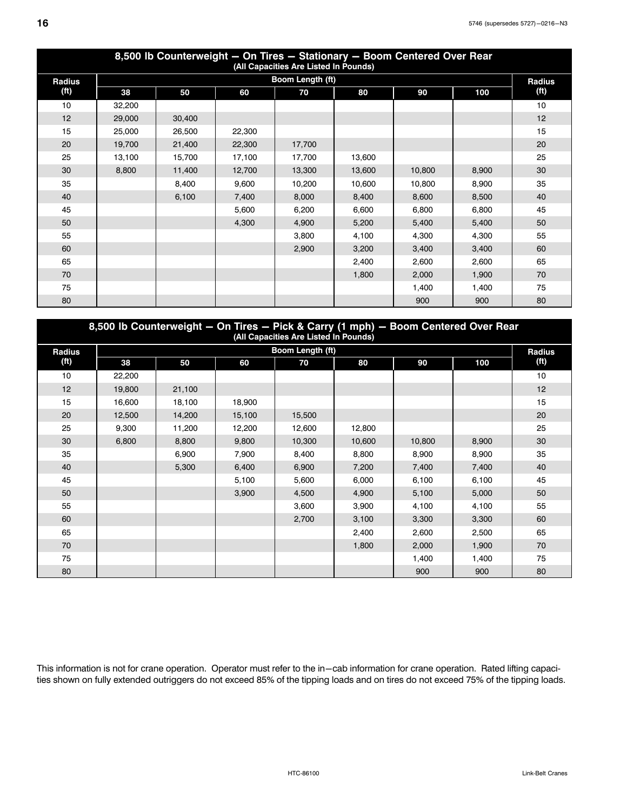<span id="page-19-0"></span>

| 8,500 lb Counterweight - On Tires - Stationary - Boom Centered Over Rear<br>(All Capacities Are Listed In Pounds) |                         |        |        |        |        |        |       |                   |  |  |  |
|-------------------------------------------------------------------------------------------------------------------|-------------------------|--------|--------|--------|--------|--------|-------|-------------------|--|--|--|
| Radius                                                                                                            | <b>Boom Length (ft)</b> |        |        |        |        |        |       |                   |  |  |  |
| (f <sup>t</sup> )                                                                                                 | 38                      | 50     | 60     | 70     | 80     | 90     | 100   | (f <sup>t</sup> ) |  |  |  |
| 10                                                                                                                | 32,200                  |        |        |        |        |        |       | 10                |  |  |  |
| 12                                                                                                                | 29,000                  | 30,400 |        |        |        |        |       | 12                |  |  |  |
| 15                                                                                                                | 25,000                  | 26,500 | 22,300 |        |        |        |       | 15                |  |  |  |
| 20                                                                                                                | 19,700                  | 21,400 | 22,300 | 17,700 |        |        |       | 20                |  |  |  |
| 25                                                                                                                | 13,100                  | 15,700 | 17,100 | 17,700 | 13,600 |        |       | 25                |  |  |  |
| 30                                                                                                                | 8,800                   | 11,400 | 12,700 | 13,300 | 13,600 | 10,800 | 8,900 | 30                |  |  |  |
| 35                                                                                                                |                         | 8,400  | 9,600  | 10,200 | 10,600 | 10,800 | 8,900 | 35                |  |  |  |
| 40                                                                                                                |                         | 6,100  | 7,400  | 8,000  | 8,400  | 8,600  | 8,500 | 40                |  |  |  |
| 45                                                                                                                |                         |        | 5,600  | 6,200  | 6,600  | 6,800  | 6,800 | 45                |  |  |  |
| 50                                                                                                                |                         |        | 4,300  | 4,900  | 5,200  | 5,400  | 5,400 | 50                |  |  |  |
| 55                                                                                                                |                         |        |        | 3,800  | 4,100  | 4,300  | 4,300 | 55                |  |  |  |
| 60                                                                                                                |                         |        |        | 2,900  | 3,200  | 3,400  | 3,400 | 60                |  |  |  |
| 65                                                                                                                |                         |        |        |        | 2,400  | 2,600  | 2,600 | 65                |  |  |  |
| 70                                                                                                                |                         |        |        |        | 1,800  | 2,000  | 1,900 | 70                |  |  |  |
| 75                                                                                                                |                         |        |        |        |        | 1,400  | 1,400 | 75                |  |  |  |
| 80                                                                                                                |                         |        |        |        |        | 900    | 900   | 80                |  |  |  |

|                   | 8,500 lb Counterweight - On Tires - Pick & Carry (1 mph) - Boom Centered Over Rear<br>(All Capacities Are Listed In Pounds) |        |        |                  |        |        |       |                   |  |  |  |  |
|-------------------|-----------------------------------------------------------------------------------------------------------------------------|--------|--------|------------------|--------|--------|-------|-------------------|--|--|--|--|
| <b>Radius</b>     |                                                                                                                             |        |        | Boom Length (ft) |        |        |       | Radius            |  |  |  |  |
| (f <sup>t</sup> ) | 38                                                                                                                          | 50     | 60     | 70               | 80     | 90     | 100   | (f <sup>t</sup> ) |  |  |  |  |
| 10                | 22,200                                                                                                                      |        |        |                  |        |        |       | 10                |  |  |  |  |
| 12                | 19,800                                                                                                                      | 21,100 |        |                  |        |        |       | 12                |  |  |  |  |
| 15                | 16,600                                                                                                                      | 18,100 | 18,900 |                  |        |        |       | 15                |  |  |  |  |
| 20                | 12,500                                                                                                                      | 14,200 | 15,100 | 15,500           |        |        |       | 20                |  |  |  |  |
| 25                | 9,300                                                                                                                       | 11,200 | 12,200 | 12,600           | 12,800 |        |       | 25                |  |  |  |  |
| 30                | 6,800                                                                                                                       | 8,800  | 9,800  | 10,300           | 10,600 | 10,800 | 8,900 | 30                |  |  |  |  |
| 35                |                                                                                                                             | 6,900  | 7,900  | 8,400            | 8,800  | 8,900  | 8,900 | 35                |  |  |  |  |
| 40                |                                                                                                                             | 5,300  | 6,400  | 6,900            | 7,200  | 7,400  | 7,400 | 40                |  |  |  |  |
| 45                |                                                                                                                             |        | 5,100  | 5,600            | 6,000  | 6,100  | 6,100 | 45                |  |  |  |  |
| 50                |                                                                                                                             |        | 3,900  | 4,500            | 4,900  | 5,100  | 5,000 | 50                |  |  |  |  |
| 55                |                                                                                                                             |        |        | 3,600            | 3,900  | 4,100  | 4,100 | 55                |  |  |  |  |
| 60                |                                                                                                                             |        |        | 2,700            | 3,100  | 3,300  | 3,300 | 60                |  |  |  |  |
| 65                |                                                                                                                             |        |        |                  | 2,400  | 2,600  | 2,500 | 65                |  |  |  |  |
| 70                |                                                                                                                             |        |        |                  | 1,800  | 2,000  | 1,900 | 70                |  |  |  |  |
| 75                |                                                                                                                             |        |        |                  |        | 1,400  | 1,400 | 75                |  |  |  |  |
| 80                |                                                                                                                             |        |        |                  |        | 900    | 900   | 80                |  |  |  |  |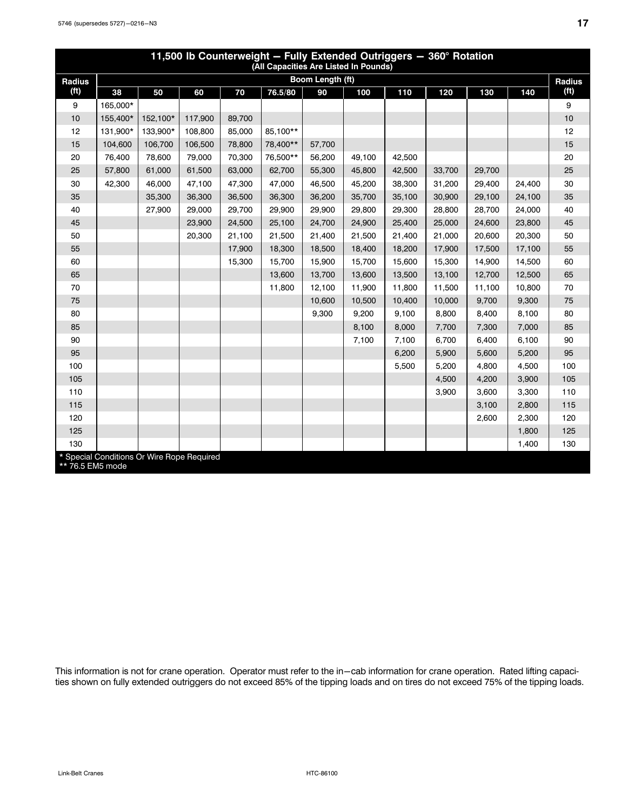<span id="page-20-0"></span>

|                   | 11,500 lb Counterweight - Fully Extended Outriggers - 360° Rotation<br>(All Capacities Are Listed In Pounds) |                                            |         |        |          |                  |        |        |        |        |        |                   |
|-------------------|--------------------------------------------------------------------------------------------------------------|--------------------------------------------|---------|--------|----------|------------------|--------|--------|--------|--------|--------|-------------------|
| <b>Radius</b>     |                                                                                                              |                                            |         |        |          | Boom Length (ft) |        |        |        |        |        | Radius            |
| (f <sup>t</sup> ) | 38                                                                                                           | 50                                         | 60      | 70     | 76.5/80  | 90               | 100    | 110    | 120    | 130    | 140    | (f <sup>t</sup> ) |
| 9                 | 165,000*                                                                                                     |                                            |         |        |          |                  |        |        |        |        |        | 9                 |
| 10                | 155,400*                                                                                                     | 152,100*                                   | 117,900 | 89,700 |          |                  |        |        |        |        |        | 10                |
| 12                | 131,900*                                                                                                     | 133,900*                                   | 108,800 | 85,000 | 85,100** |                  |        |        |        |        |        | 12                |
| 15                | 104,600                                                                                                      | 106,700                                    | 106,500 | 78,800 | 78,400** | 57,700           |        |        |        |        |        | 15                |
| 20                | 76,400                                                                                                       | 78,600                                     | 79,000  | 70,300 | 76,500** | 56,200           | 49,100 | 42,500 |        |        |        | 20                |
| 25                | 57,800                                                                                                       | 61,000                                     | 61,500  | 63,000 | 62,700   | 55,300           | 45,800 | 42,500 | 33,700 | 29,700 |        | 25                |
| 30                | 42,300                                                                                                       | 46,000                                     | 47,100  | 47,300 | 47,000   | 46,500           | 45,200 | 38,300 | 31,200 | 29,400 | 24,400 | 30                |
| 35                |                                                                                                              | 35,300                                     | 36,300  | 36,500 | 36,300   | 36,200           | 35,700 | 35,100 | 30,900 | 29,100 | 24,100 | 35                |
| 40                |                                                                                                              | 27,900                                     | 29,000  | 29,700 | 29,900   | 29,900           | 29,800 | 29,300 | 28,800 | 28,700 | 24,000 | 40                |
| 45                |                                                                                                              |                                            | 23,900  | 24,500 | 25,100   | 24,700           | 24,900 | 25,400 | 25,000 | 24,600 | 23,800 | 45                |
| 50                |                                                                                                              |                                            | 20,300  | 21,100 | 21,500   | 21,400           | 21,500 | 21,400 | 21,000 | 20,600 | 20,300 | 50                |
| 55                |                                                                                                              |                                            |         | 17,900 | 18,300   | 18,500           | 18,400 | 18,200 | 17,900 | 17,500 | 17,100 | 55                |
| 60                |                                                                                                              |                                            |         | 15,300 | 15,700   | 15,900           | 15,700 | 15,600 | 15,300 | 14,900 | 14,500 | 60                |
| 65                |                                                                                                              |                                            |         |        | 13,600   | 13,700           | 13,600 | 13,500 | 13,100 | 12,700 | 12,500 | 65                |
| 70                |                                                                                                              |                                            |         |        | 11,800   | 12,100           | 11,900 | 11,800 | 11,500 | 11,100 | 10,800 | 70                |
| 75                |                                                                                                              |                                            |         |        |          | 10,600           | 10,500 | 10,400 | 10,000 | 9,700  | 9,300  | 75                |
| 80                |                                                                                                              |                                            |         |        |          | 9,300            | 9,200  | 9,100  | 8,800  | 8,400  | 8,100  | 80                |
| 85                |                                                                                                              |                                            |         |        |          |                  | 8,100  | 8,000  | 7,700  | 7,300  | 7,000  | 85                |
| 90                |                                                                                                              |                                            |         |        |          |                  | 7,100  | 7,100  | 6,700  | 6,400  | 6,100  | 90                |
| 95                |                                                                                                              |                                            |         |        |          |                  |        | 6,200  | 5,900  | 5,600  | 5,200  | 95                |
| 100               |                                                                                                              |                                            |         |        |          |                  |        | 5,500  | 5,200  | 4,800  | 4,500  | 100               |
| 105               |                                                                                                              |                                            |         |        |          |                  |        |        | 4,500  | 4,200  | 3,900  | 105               |
| 110               |                                                                                                              |                                            |         |        |          |                  |        |        | 3,900  | 3,600  | 3,300  | 110               |
| 115               |                                                                                                              |                                            |         |        |          |                  |        |        |        | 3,100  | 2,800  | 115               |
| 120               |                                                                                                              |                                            |         |        |          |                  |        |        |        | 2,600  | 2,300  | 120               |
| 125               |                                                                                                              |                                            |         |        |          |                  |        |        |        |        | 1,800  | 125               |
| 130               |                                                                                                              |                                            |         |        |          |                  |        |        |        |        | 1,400  | 130               |
| ** 76.5 EM5 mode  |                                                                                                              | * Special Conditions Or Wire Rope Required |         |        |          |                  |        |        |        |        |        |                   |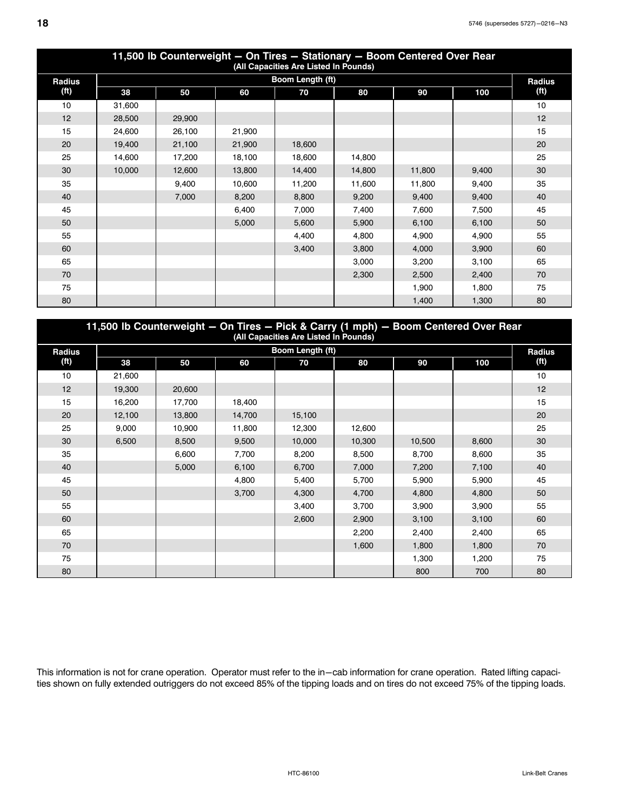<span id="page-21-0"></span>

|                   | 11,500 lb Counterweight - On Tires - Stationary - Boom Centered Over Rear<br>(All Capacities Are Listed In Pounds) |        |        |                  |        |        |       |                   |  |  |  |  |
|-------------------|--------------------------------------------------------------------------------------------------------------------|--------|--------|------------------|--------|--------|-------|-------------------|--|--|--|--|
| Radius            |                                                                                                                    |        |        | Boom Length (ft) |        |        |       | Radius            |  |  |  |  |
| (f <sup>t</sup> ) | 38                                                                                                                 | 50     | 60     | 70               | 80     | 90     | 100   | (f <sup>t</sup> ) |  |  |  |  |
| 10                | 31,600                                                                                                             |        |        |                  |        |        |       | 10                |  |  |  |  |
| 12                | 28,500                                                                                                             | 29,900 |        |                  |        |        |       | 12                |  |  |  |  |
| 15                | 24,600                                                                                                             | 26,100 | 21,900 |                  |        |        |       | 15                |  |  |  |  |
| 20                | 19,400                                                                                                             | 21,100 | 21,900 | 18,600           |        |        |       | 20                |  |  |  |  |
| 25                | 14,600                                                                                                             | 17,200 | 18,100 | 18,600           | 14,800 |        |       | 25                |  |  |  |  |
| 30                | 10,000                                                                                                             | 12,600 | 13,800 | 14,400           | 14,800 | 11,800 | 9,400 | 30                |  |  |  |  |
| 35                |                                                                                                                    | 9,400  | 10,600 | 11,200           | 11,600 | 11,800 | 9,400 | 35                |  |  |  |  |
| 40                |                                                                                                                    | 7,000  | 8,200  | 8,800            | 9,200  | 9,400  | 9,400 | 40                |  |  |  |  |
| 45                |                                                                                                                    |        | 6,400  | 7,000            | 7,400  | 7,600  | 7,500 | 45                |  |  |  |  |
| 50                |                                                                                                                    |        | 5,000  | 5,600            | 5,900  | 6,100  | 6,100 | 50                |  |  |  |  |
| 55                |                                                                                                                    |        |        | 4,400            | 4,800  | 4,900  | 4,900 | 55                |  |  |  |  |
| 60                |                                                                                                                    |        |        | 3,400            | 3,800  | 4,000  | 3,900 | 60                |  |  |  |  |
| 65                |                                                                                                                    |        |        |                  | 3,000  | 3,200  | 3,100 | 65                |  |  |  |  |
| 70                |                                                                                                                    |        |        |                  | 2,300  | 2,500  | 2,400 | 70                |  |  |  |  |
| 75                |                                                                                                                    |        |        |                  |        | 1,900  | 1,800 | 75                |  |  |  |  |
| 80                |                                                                                                                    |        |        |                  |        | 1,400  | 1,300 | 80                |  |  |  |  |

|                   | 11,500 lb Counterweight - On Tires - Pick & Carry (1 mph) - Boom Centered Over Rear<br>(All Capacities Are Listed In Pounds) |        |        |                  |        |        |       |                   |  |  |  |  |
|-------------------|------------------------------------------------------------------------------------------------------------------------------|--------|--------|------------------|--------|--------|-------|-------------------|--|--|--|--|
| <b>Radius</b>     |                                                                                                                              |        |        | Boom Length (ft) |        |        |       | Radius            |  |  |  |  |
| (f <sup>t</sup> ) | 38                                                                                                                           | 50     | 60     | 70               | 80     | 90     | 100   | (f <sup>t</sup> ) |  |  |  |  |
| 10                | 21,600                                                                                                                       |        |        |                  |        |        |       | 10                |  |  |  |  |
| 12                | 19,300                                                                                                                       | 20,600 |        |                  |        |        |       | 12                |  |  |  |  |
| 15                | 16,200                                                                                                                       | 17,700 | 18,400 |                  |        |        |       | 15                |  |  |  |  |
| 20                | 12,100                                                                                                                       | 13,800 | 14,700 | 15,100           |        |        |       | 20                |  |  |  |  |
| 25                | 9,000                                                                                                                        | 10,900 | 11,800 | 12,300           | 12,600 |        |       | 25                |  |  |  |  |
| 30                | 6,500                                                                                                                        | 8,500  | 9,500  | 10,000           | 10,300 | 10,500 | 8,600 | 30                |  |  |  |  |
| 35                |                                                                                                                              | 6,600  | 7,700  | 8,200            | 8,500  | 8,700  | 8,600 | 35                |  |  |  |  |
| 40                |                                                                                                                              | 5,000  | 6,100  | 6,700            | 7,000  | 7,200  | 7,100 | 40                |  |  |  |  |
| 45                |                                                                                                                              |        | 4,800  | 5,400            | 5,700  | 5,900  | 5,900 | 45                |  |  |  |  |
| 50                |                                                                                                                              |        | 3,700  | 4,300            | 4,700  | 4,800  | 4,800 | 50                |  |  |  |  |
| 55                |                                                                                                                              |        |        | 3,400            | 3,700  | 3,900  | 3,900 | 55                |  |  |  |  |
| 60                |                                                                                                                              |        |        | 2,600            | 2,900  | 3,100  | 3,100 | 60                |  |  |  |  |
| 65                |                                                                                                                              |        |        |                  | 2,200  | 2,400  | 2,400 | 65                |  |  |  |  |
| 70                |                                                                                                                              |        |        |                  | 1,600  | 1,800  | 1,800 | 70                |  |  |  |  |
| 75                |                                                                                                                              |        |        |                  |        | 1,300  | 1,200 | 75                |  |  |  |  |
| 80                |                                                                                                                              |        |        |                  |        | 800    | 700   | 80                |  |  |  |  |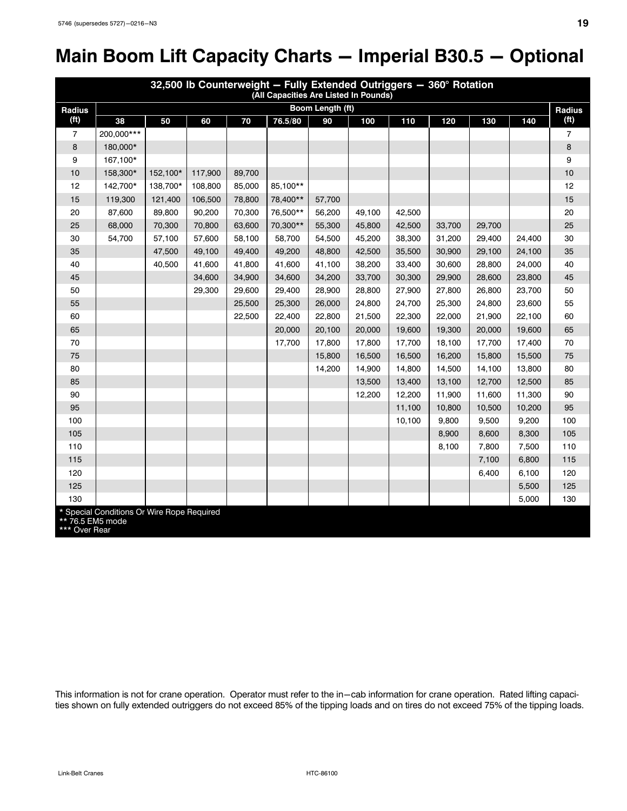# <span id="page-22-0"></span>**Main Boom Lift Capacity Charts - Imperial B30.5 - Optional**

| 32,500 lb Counterweight - Fully Extended Outriggers - 360° Rotation<br>(All Capacities Are Listed In Pounds) |                                                                |          |         |        |          |                  |        |        |        |        |        |                   |
|--------------------------------------------------------------------------------------------------------------|----------------------------------------------------------------|----------|---------|--------|----------|------------------|--------|--------|--------|--------|--------|-------------------|
| Radius                                                                                                       |                                                                |          |         |        |          | Boom Length (ft) |        |        |        |        |        | <b>Radius</b>     |
| (f <sup>t</sup> )                                                                                            | 38                                                             | 50       | 60      | 70     | 76.5/80  | 90               | 100    | 110    | 120    | 130    | 140    | (f <sup>t</sup> ) |
| 7                                                                                                            | 200,000***                                                     |          |         |        |          |                  |        |        |        |        |        | 7                 |
| 8                                                                                                            | 180.000*                                                       |          |         |        |          |                  |        |        |        |        |        | 8                 |
| 9                                                                                                            | 167,100*                                                       |          |         |        |          |                  |        |        |        |        |        | 9                 |
| 10                                                                                                           | 158,300*                                                       | 152,100* | 117,900 | 89,700 |          |                  |        |        |        |        |        | 10                |
| 12                                                                                                           | 142,700*                                                       | 138,700* | 108,800 | 85,000 | 85.100** |                  |        |        |        |        |        | 12                |
| 15                                                                                                           | 119,300                                                        | 121,400  | 106,500 | 78,800 | 78,400** | 57,700           |        |        |        |        |        | 15                |
| 20                                                                                                           | 87,600                                                         | 89,800   | 90,200  | 70,300 | 76,500** | 56,200           | 49,100 | 42,500 |        |        |        | 20                |
| 25                                                                                                           | 68,000                                                         | 70,300   | 70,800  | 63,600 | 70,300** | 55,300           | 45,800 | 42,500 | 33,700 | 29,700 |        | 25                |
| 30                                                                                                           | 54,700                                                         | 57,100   | 57,600  | 58,100 | 58,700   | 54,500           | 45,200 | 38,300 | 31,200 | 29,400 | 24,400 | 30                |
| 35                                                                                                           |                                                                | 47,500   | 49,100  | 49,400 | 49,200   | 48,800           | 42,500 | 35,500 | 30,900 | 29,100 | 24,100 | 35                |
| 40                                                                                                           |                                                                | 40,500   | 41,600  | 41,800 | 41,600   | 41,100           | 38,200 | 33,400 | 30,600 | 28,800 | 24,000 | 40                |
| 45                                                                                                           |                                                                |          | 34,600  | 34,900 | 34,600   | 34,200           | 33,700 | 30,300 | 29,900 | 28,600 | 23,800 | 45                |
| 50                                                                                                           |                                                                |          | 29,300  | 29,600 | 29,400   | 28,900           | 28,800 | 27,900 | 27,800 | 26,800 | 23,700 | 50                |
| 55                                                                                                           |                                                                |          |         | 25,500 | 25,300   | 26,000           | 24,800 | 24,700 | 25,300 | 24,800 | 23,600 | 55                |
| 60                                                                                                           |                                                                |          |         | 22,500 | 22,400   | 22,800           | 21,500 | 22,300 | 22,000 | 21,900 | 22,100 | 60                |
| 65                                                                                                           |                                                                |          |         |        | 20,000   | 20,100           | 20,000 | 19,600 | 19,300 | 20,000 | 19,600 | 65                |
| 70                                                                                                           |                                                                |          |         |        | 17,700   | 17,800           | 17,800 | 17,700 | 18,100 | 17,700 | 17,400 | 70                |
| 75                                                                                                           |                                                                |          |         |        |          | 15,800           | 16,500 | 16,500 | 16,200 | 15,800 | 15,500 | 75                |
| 80                                                                                                           |                                                                |          |         |        |          | 14,200           | 14,900 | 14,800 | 14,500 | 14,100 | 13,800 | 80                |
| 85                                                                                                           |                                                                |          |         |        |          |                  | 13,500 | 13,400 | 13,100 | 12,700 | 12,500 | 85                |
| 90                                                                                                           |                                                                |          |         |        |          |                  | 12,200 | 12,200 | 11,900 | 11,600 | 11,300 | 90                |
| 95                                                                                                           |                                                                |          |         |        |          |                  |        | 11,100 | 10,800 | 10,500 | 10,200 | 95                |
| 100                                                                                                          |                                                                |          |         |        |          |                  |        | 10,100 | 9,800  | 9,500  | 9,200  | 100               |
| 105                                                                                                          |                                                                |          |         |        |          |                  |        |        | 8,900  | 8,600  | 8,300  | 105               |
| 110                                                                                                          |                                                                |          |         |        |          |                  |        |        | 8,100  | 7,800  | 7,500  | 110               |
| 115                                                                                                          |                                                                |          |         |        |          |                  |        |        |        | 7,100  | 6,800  | 115               |
| 120                                                                                                          |                                                                |          |         |        |          |                  |        |        |        | 6,400  | 6,100  | 120               |
| 125                                                                                                          |                                                                |          |         |        |          |                  |        |        |        |        | 5,500  | 125               |
| 130                                                                                                          |                                                                |          |         |        |          |                  |        |        |        |        | 5,000  | 130               |
| *** Over Rear                                                                                                | * Special Conditions Or Wire Rope Required<br>** 76.5 EM5 mode |          |         |        |          |                  |        |        |        |        |        |                   |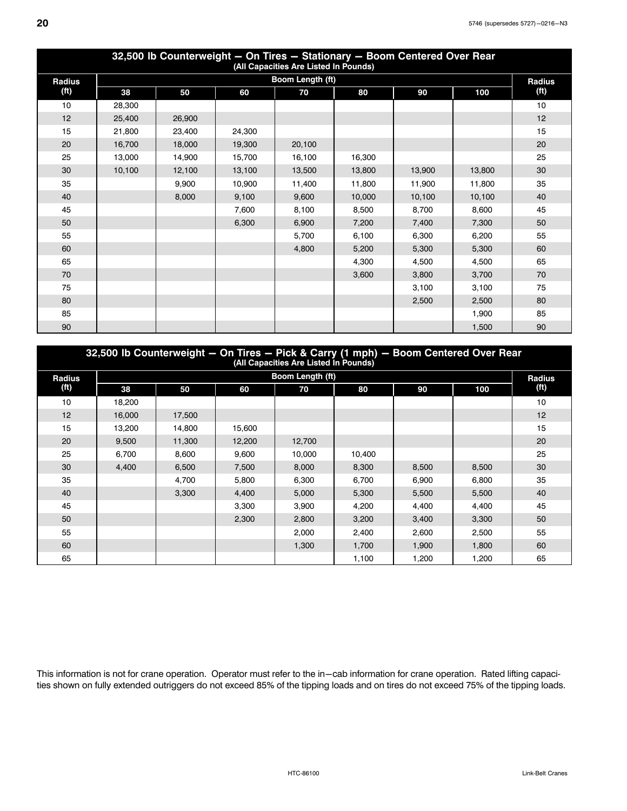<span id="page-23-0"></span>

| 32,500 lb Counterweight - On Tires - Stationary - Boom Centered Over Rear<br>(All Capacities Are Listed In Pounds) |        |        |        |                  |        |        |        |                   |  |  |  |
|--------------------------------------------------------------------------------------------------------------------|--------|--------|--------|------------------|--------|--------|--------|-------------------|--|--|--|
| <b>Radius</b>                                                                                                      |        |        |        | Boom Length (ft) |        |        |        | Radius            |  |  |  |
| (f <sup>t</sup> )                                                                                                  | 38     | 50     | 60     | 70               | 80     | 90     | 100    | (f <sup>t</sup> ) |  |  |  |
| 10                                                                                                                 | 28,300 |        |        |                  |        |        |        | 10                |  |  |  |
| 12                                                                                                                 | 25,400 | 26,900 |        |                  |        |        |        | 12                |  |  |  |
| 15                                                                                                                 | 21.800 | 23,400 | 24.300 |                  |        |        |        | 15                |  |  |  |
| 20                                                                                                                 | 16,700 | 18,000 | 19,300 | 20,100           |        |        |        | 20                |  |  |  |
| 25                                                                                                                 | 13,000 | 14,900 | 15,700 | 16,100           | 16,300 |        |        | 25                |  |  |  |
| 30                                                                                                                 | 10,100 | 12,100 | 13,100 | 13,500           | 13,800 | 13,900 | 13,800 | 30                |  |  |  |
| 35                                                                                                                 |        | 9,900  | 10,900 | 11,400           | 11,800 | 11,900 | 11,800 | 35                |  |  |  |
| 40                                                                                                                 |        | 8,000  | 9,100  | 9.600            | 10.000 | 10.100 | 10,100 | 40                |  |  |  |
| 45                                                                                                                 |        |        | 7,600  | 8,100            | 8,500  | 8,700  | 8,600  | 45                |  |  |  |
| 50                                                                                                                 |        |        | 6,300  | 6,900            | 7,200  | 7,400  | 7,300  | 50                |  |  |  |
| 55                                                                                                                 |        |        |        | 5.700            | 6,100  | 6,300  | 6,200  | 55                |  |  |  |
| 60                                                                                                                 |        |        |        | 4,800            | 5,200  | 5,300  | 5,300  | 60                |  |  |  |
| 65                                                                                                                 |        |        |        |                  | 4,300  | 4,500  | 4,500  | 65                |  |  |  |
| 70                                                                                                                 |        |        |        |                  | 3,600  | 3,800  | 3,700  | 70                |  |  |  |
| 75                                                                                                                 |        |        |        |                  |        | 3,100  | 3,100  | 75                |  |  |  |
| 80                                                                                                                 |        |        |        |                  |        | 2,500  | 2,500  | 80                |  |  |  |
| 85                                                                                                                 |        |        |        |                  |        |        | 1,900  | 85                |  |  |  |
| 90                                                                                                                 |        |        |        |                  |        |        | 1,500  | 90                |  |  |  |

| 32,500 lb Counterweight - On Tires - Pick & Carry (1 mph) - Boom Centered Over Rear<br>(All Capacities Are Listed In Pounds) |        |        |        |                  |        |       |       |                    |  |  |  |
|------------------------------------------------------------------------------------------------------------------------------|--------|--------|--------|------------------|--------|-------|-------|--------------------|--|--|--|
| <b>Radius</b>                                                                                                                |        |        |        | Boom Length (ft) |        |       |       | <b>Radius</b>      |  |  |  |
| (ft)                                                                                                                         | 38     | 50     | 60     | 70               | 80     | 90    | 100   | (f <sup>th</sup> ) |  |  |  |
| 10                                                                                                                           | 18,200 |        |        |                  |        |       |       | 10                 |  |  |  |
| 12                                                                                                                           | 16,000 | 17,500 |        |                  |        |       |       | 12                 |  |  |  |
| 15                                                                                                                           | 13,200 | 14,800 | 15,600 |                  |        |       |       | 15                 |  |  |  |
| 20                                                                                                                           | 9,500  | 11,300 | 12,200 | 12,700           |        |       |       | 20                 |  |  |  |
| 25                                                                                                                           | 6.700  | 8,600  | 9,600  | 10,000           | 10,400 |       |       | 25                 |  |  |  |
| 30                                                                                                                           | 4,400  | 6,500  | 7,500  | 8,000            | 8,300  | 8,500 | 8,500 | 30                 |  |  |  |
| 35                                                                                                                           |        | 4,700  | 5,800  | 6,300            | 6,700  | 6,900 | 6,800 | 35                 |  |  |  |
| 40                                                                                                                           |        | 3,300  | 4,400  | 5,000            | 5,300  | 5,500 | 5,500 | 40                 |  |  |  |
| 45                                                                                                                           |        |        | 3,300  | 3,900            | 4,200  | 4,400 | 4,400 | 45                 |  |  |  |
| 50                                                                                                                           |        |        | 2,300  | 2,800            | 3,200  | 3,400 | 3,300 | 50                 |  |  |  |
| 55                                                                                                                           |        |        |        | 2,000            | 2,400  | 2,600 | 2,500 | 55                 |  |  |  |
| 60                                                                                                                           |        |        |        | 1,300            | 1,700  | 1,900 | 1,800 | 60                 |  |  |  |
| 65                                                                                                                           |        |        |        |                  | 1,100  | 1,200 | 1,200 | 65                 |  |  |  |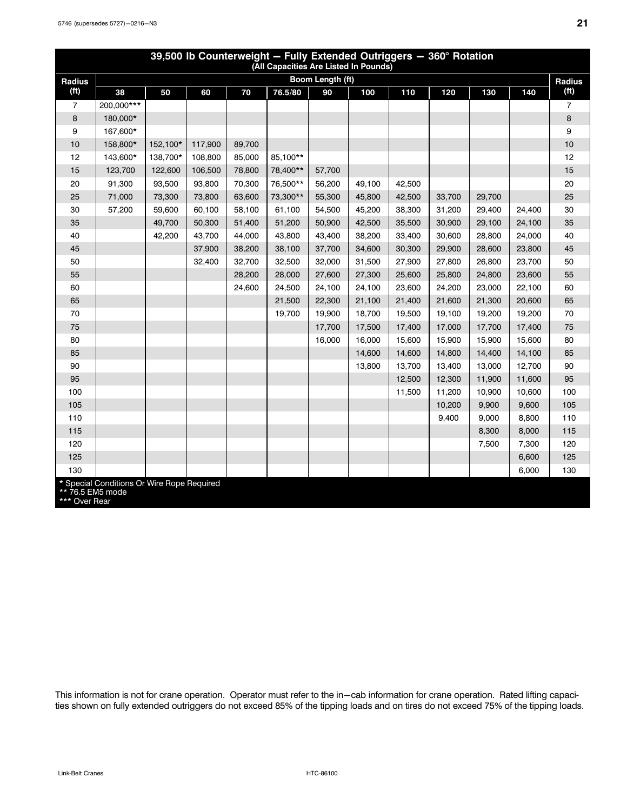<span id="page-24-0"></span>

| 39,500 lb Counterweight - Fully Extended Outriggers - 360° Rotation<br>(All Capacities Are Listed In Pounds) |                                            |          |         |        |          |                  |        |        |        |        |        |                   |
|--------------------------------------------------------------------------------------------------------------|--------------------------------------------|----------|---------|--------|----------|------------------|--------|--------|--------|--------|--------|-------------------|
| <b>Radius</b>                                                                                                |                                            |          |         |        |          | Boom Length (ft) |        |        |        |        |        | Radius            |
| (f <sup>t</sup> )                                                                                            | 38                                         | 50       | 60      | 70     | 76.5/80  | 90               | 100    | 110    | 120    | 130    | 140    | (f <sup>t</sup> ) |
| $\overline{7}$                                                                                               | 200.000***                                 |          |         |        |          |                  |        |        |        |        |        | $\overline{7}$    |
| 8                                                                                                            | 180,000*                                   |          |         |        |          |                  |        |        |        |        |        | 8                 |
| 9                                                                                                            | 167,600*                                   |          |         |        |          |                  |        |        |        |        |        | 9                 |
| 10                                                                                                           | 158,800*                                   | 152,100* | 117,900 | 89,700 |          |                  |        |        |        |        |        | 10                |
| 12                                                                                                           | 143,600*                                   | 138,700* | 108,800 | 85,000 | 85,100** |                  |        |        |        |        |        | 12                |
| 15                                                                                                           | 123,700                                    | 122,600  | 106,500 | 78,800 | 78,400** | 57,700           |        |        |        |        |        | 15                |
| 20                                                                                                           | 91,300                                     | 93,500   | 93,800  | 70,300 | 76,500** | 56,200           | 49,100 | 42,500 |        |        |        | 20                |
| 25                                                                                                           | 71,000                                     | 73,300   | 73,800  | 63,600 | 73,300** | 55,300           | 45,800 | 42,500 | 33,700 | 29,700 |        | 25                |
| 30                                                                                                           | 57,200                                     | 59,600   | 60,100  | 58,100 | 61,100   | 54,500           | 45,200 | 38,300 | 31,200 | 29,400 | 24,400 | 30                |
| 35                                                                                                           |                                            | 49,700   | 50,300  | 51,400 | 51,200   | 50,900           | 42,500 | 35,500 | 30,900 | 29,100 | 24,100 | 35                |
| 40                                                                                                           |                                            | 42,200   | 43,700  | 44,000 | 43,800   | 43,400           | 38,200 | 33,400 | 30,600 | 28,800 | 24,000 | 40                |
| 45                                                                                                           |                                            |          | 37,900  | 38,200 | 38,100   | 37,700           | 34,600 | 30,300 | 29,900 | 28,600 | 23,800 | 45                |
| 50                                                                                                           |                                            |          | 32,400  | 32,700 | 32,500   | 32,000           | 31,500 | 27,900 | 27,800 | 26,800 | 23,700 | 50                |
| 55                                                                                                           |                                            |          |         | 28,200 | 28,000   | 27,600           | 27,300 | 25,600 | 25,800 | 24,800 | 23,600 | 55                |
| 60                                                                                                           |                                            |          |         | 24,600 | 24,500   | 24,100           | 24,100 | 23,600 | 24,200 | 23,000 | 22,100 | 60                |
| 65                                                                                                           |                                            |          |         |        | 21,500   | 22,300           | 21,100 | 21,400 | 21,600 | 21,300 | 20,600 | 65                |
| 70                                                                                                           |                                            |          |         |        | 19,700   | 19,900           | 18,700 | 19,500 | 19,100 | 19,200 | 19,200 | 70                |
| 75                                                                                                           |                                            |          |         |        |          | 17,700           | 17,500 | 17,400 | 17,000 | 17,700 | 17,400 | 75                |
| 80                                                                                                           |                                            |          |         |        |          | 16,000           | 16,000 | 15,600 | 15,900 | 15,900 | 15,600 | 80                |
| 85                                                                                                           |                                            |          |         |        |          |                  | 14,600 | 14,600 | 14,800 | 14,400 | 14,100 | 85                |
| 90                                                                                                           |                                            |          |         |        |          |                  | 13,800 | 13,700 | 13,400 | 13,000 | 12,700 | 90                |
| 95                                                                                                           |                                            |          |         |        |          |                  |        | 12,500 | 12,300 | 11,900 | 11,600 | 95                |
| 100                                                                                                          |                                            |          |         |        |          |                  |        | 11,500 | 11,200 | 10,900 | 10,600 | 100               |
| 105                                                                                                          |                                            |          |         |        |          |                  |        |        | 10,200 | 9,900  | 9,600  | 105               |
| 110                                                                                                          |                                            |          |         |        |          |                  |        |        | 9,400  | 9,000  | 8,800  | 110               |
| 115                                                                                                          |                                            |          |         |        |          |                  |        |        |        | 8,300  | 8,000  | 115               |
| 120                                                                                                          |                                            |          |         |        |          |                  |        |        |        | 7,500  | 7,300  | 120               |
| 125                                                                                                          |                                            |          |         |        |          |                  |        |        |        |        | 6,600  | 125               |
| 130                                                                                                          |                                            |          |         |        |          |                  |        |        |        |        | 6,000  | 130               |
| ** 76.5 EM5 mode                                                                                             | * Special Conditions Or Wire Rope Required |          |         |        |          |                  |        |        |        |        |        |                   |

\*\*\* Over Rear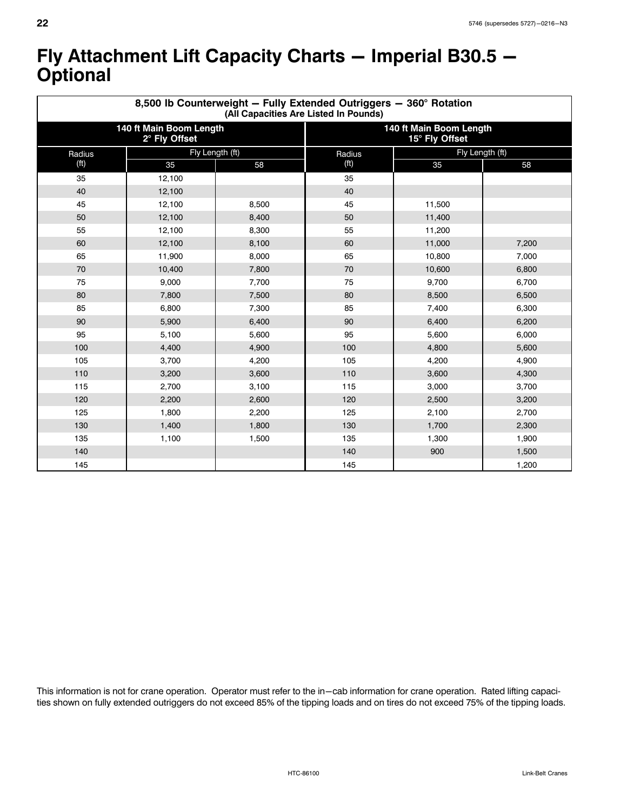### <span id="page-25-0"></span>Fly Attachment Lift Capacity Charts - Imperial B30.5 -**Optional**

|                   | 8,500 lb Counterweight - Fully Extended Outriggers - 360° Rotation<br>(All Capacities Are Listed In Pounds) |       |                                           |        |                 |  |  |  |  |  |  |  |
|-------------------|-------------------------------------------------------------------------------------------------------------|-------|-------------------------------------------|--------|-----------------|--|--|--|--|--|--|--|
|                   | 140 ft Main Boom Length<br>2° Fly Offset                                                                    |       | 140 ft Main Boom Length<br>15° Fly Offset |        |                 |  |  |  |  |  |  |  |
| Radius            | Fly Length (ft)                                                                                             |       | Radius                                    |        | Fly Length (ft) |  |  |  |  |  |  |  |
| (f <sup>t</sup> ) | 35                                                                                                          | 58    | (f <sup>t</sup> )                         | 35     | 58              |  |  |  |  |  |  |  |
| 35                | 12,100                                                                                                      |       | 35                                        |        |                 |  |  |  |  |  |  |  |
| 40                | 12,100                                                                                                      |       | 40                                        |        |                 |  |  |  |  |  |  |  |
| 45                | 12,100                                                                                                      | 8,500 | 45                                        | 11,500 |                 |  |  |  |  |  |  |  |
| 50                | 12,100                                                                                                      | 8,400 | 50                                        | 11,400 |                 |  |  |  |  |  |  |  |
| 55                | 12,100                                                                                                      | 8,300 | 55                                        | 11,200 |                 |  |  |  |  |  |  |  |
| 60                | 12,100                                                                                                      | 8,100 | 60                                        | 11,000 | 7,200           |  |  |  |  |  |  |  |
| 65                | 11,900                                                                                                      | 8,000 | 65                                        | 10,800 | 7,000           |  |  |  |  |  |  |  |
| 70                | 10,400                                                                                                      | 7,800 | 70                                        | 10,600 | 6,800           |  |  |  |  |  |  |  |
| 75                | 9,000                                                                                                       | 7,700 | 75                                        | 9,700  | 6,700           |  |  |  |  |  |  |  |
| 80                | 7,800                                                                                                       | 7,500 | 80                                        | 8,500  | 6,500           |  |  |  |  |  |  |  |
| 85                | 6,800                                                                                                       | 7,300 | 85                                        | 7,400  | 6,300           |  |  |  |  |  |  |  |
| 90                | 5,900                                                                                                       | 6,400 | 90                                        | 6,400  | 6,200           |  |  |  |  |  |  |  |
| 95                | 5,100                                                                                                       | 5,600 | 95                                        | 5,600  | 6,000           |  |  |  |  |  |  |  |
| 100               | 4,400                                                                                                       | 4,900 | 100                                       | 4,800  | 5,600           |  |  |  |  |  |  |  |
| 105               | 3,700                                                                                                       | 4,200 | 105                                       | 4,200  | 4,900           |  |  |  |  |  |  |  |
| 110               | 3,200                                                                                                       | 3,600 | 110                                       | 3,600  | 4,300           |  |  |  |  |  |  |  |
| 115               | 2,700                                                                                                       | 3,100 | 115                                       | 3,000  | 3,700           |  |  |  |  |  |  |  |
| 120               | 2,200                                                                                                       | 2,600 | 120                                       | 2,500  | 3,200           |  |  |  |  |  |  |  |
| 125               | 1,800                                                                                                       | 2,200 | 125                                       | 2,100  | 2,700           |  |  |  |  |  |  |  |
| 130               | 1,400                                                                                                       | 1,800 | 130                                       | 1,700  | 2,300           |  |  |  |  |  |  |  |
| 135               | 1,100                                                                                                       | 1,500 | 135                                       | 1,300  | 1,900           |  |  |  |  |  |  |  |
| 140               |                                                                                                             |       | 140                                       | 900    | 1,500           |  |  |  |  |  |  |  |
| 145               |                                                                                                             |       | 145                                       |        | 1,200           |  |  |  |  |  |  |  |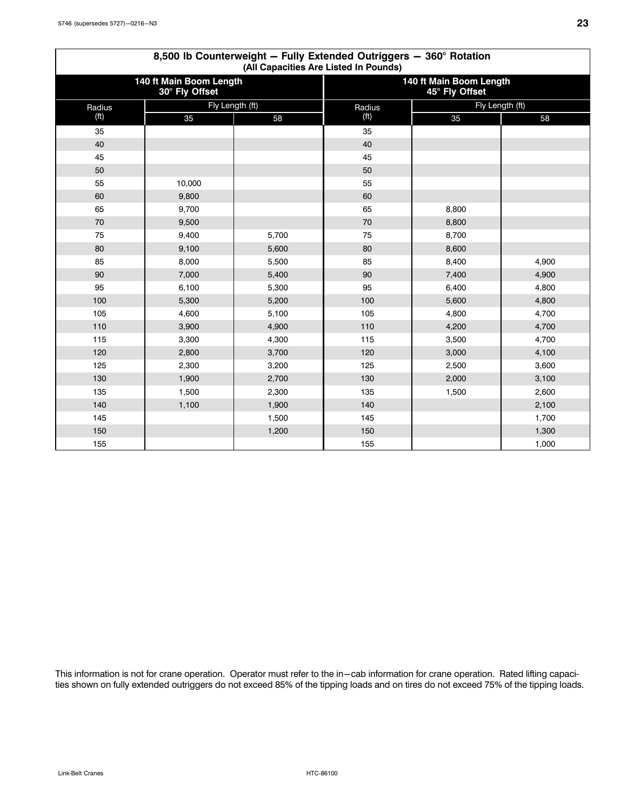|                   | 8,500 lb Counterweight - Fully Extended Outriggers - 360° Rotation<br>(All Capacities Are Listed In Pounds) |       |                   |                                           |       |  |  |  |  |  |  |  |
|-------------------|-------------------------------------------------------------------------------------------------------------|-------|-------------------|-------------------------------------------|-------|--|--|--|--|--|--|--|
|                   | 140 ft Main Boom Length<br>30° Fly Offset                                                                   |       |                   | 140 ft Main Boom Length<br>45° Fly Offset |       |  |  |  |  |  |  |  |
| Radius            | Fly Length (ft)                                                                                             |       | Radius            | Fly Length (ft)                           |       |  |  |  |  |  |  |  |
| (f <sup>t</sup> ) | 35                                                                                                          | 58    | (f <sup>t</sup> ) | 35                                        | 58    |  |  |  |  |  |  |  |
| 35                |                                                                                                             |       | 35                |                                           |       |  |  |  |  |  |  |  |
| 40                |                                                                                                             |       | 40                |                                           |       |  |  |  |  |  |  |  |
| 45                |                                                                                                             |       | 45                |                                           |       |  |  |  |  |  |  |  |
| 50                |                                                                                                             |       | 50                |                                           |       |  |  |  |  |  |  |  |
| 55                | 10,000                                                                                                      |       | 55                |                                           |       |  |  |  |  |  |  |  |
| 60                | 9,800                                                                                                       |       | 60                |                                           |       |  |  |  |  |  |  |  |
| 65                | 9,700                                                                                                       |       | 65                | 8,800                                     |       |  |  |  |  |  |  |  |
| 70                | 9,500                                                                                                       |       | $70\,$            | 8,800                                     |       |  |  |  |  |  |  |  |
| 75                | 9,400                                                                                                       | 5,700 | 75                | 8,700                                     |       |  |  |  |  |  |  |  |
| 80                | 9,100                                                                                                       | 5,600 | 80                | 8,600                                     |       |  |  |  |  |  |  |  |
| 85                | 8,000                                                                                                       | 5,500 | 85                | 8,400                                     | 4,900 |  |  |  |  |  |  |  |
| 90                | 7,000                                                                                                       | 5,400 | 90                | 7,400                                     | 4,900 |  |  |  |  |  |  |  |
| 95                | 6,100                                                                                                       | 5,300 | 95                | 6,400                                     | 4,800 |  |  |  |  |  |  |  |
| 100               | 5,300                                                                                                       | 5,200 | 100               | 5,600                                     | 4,800 |  |  |  |  |  |  |  |
| 105               | 4,600                                                                                                       | 5,100 | 105               | 4,800                                     | 4,700 |  |  |  |  |  |  |  |
| 110               | 3,900                                                                                                       | 4,900 | 110               | 4,200                                     | 4,700 |  |  |  |  |  |  |  |
| 115               | 3,300                                                                                                       | 4,300 | 115               | 3,500                                     | 4,700 |  |  |  |  |  |  |  |
| 120               | 2,800                                                                                                       | 3,700 | 120               | 3,000                                     | 4,100 |  |  |  |  |  |  |  |
| 125               | 2,300                                                                                                       | 3,200 | 125               | 2,500                                     | 3,600 |  |  |  |  |  |  |  |
| 130               | 1,900                                                                                                       | 2,700 | 130               | 2,000                                     | 3,100 |  |  |  |  |  |  |  |
| 135               | 1,500                                                                                                       | 2,300 | 135               | 1,500                                     | 2,600 |  |  |  |  |  |  |  |
| 140               | 1,100                                                                                                       | 1,900 | 140               |                                           | 2,100 |  |  |  |  |  |  |  |
| 145               |                                                                                                             | 1,500 | 145               |                                           | 1,700 |  |  |  |  |  |  |  |
| 150               |                                                                                                             | 1,200 | 150               |                                           | 1,300 |  |  |  |  |  |  |  |
| 155               |                                                                                                             |       | 155               |                                           | 1,000 |  |  |  |  |  |  |  |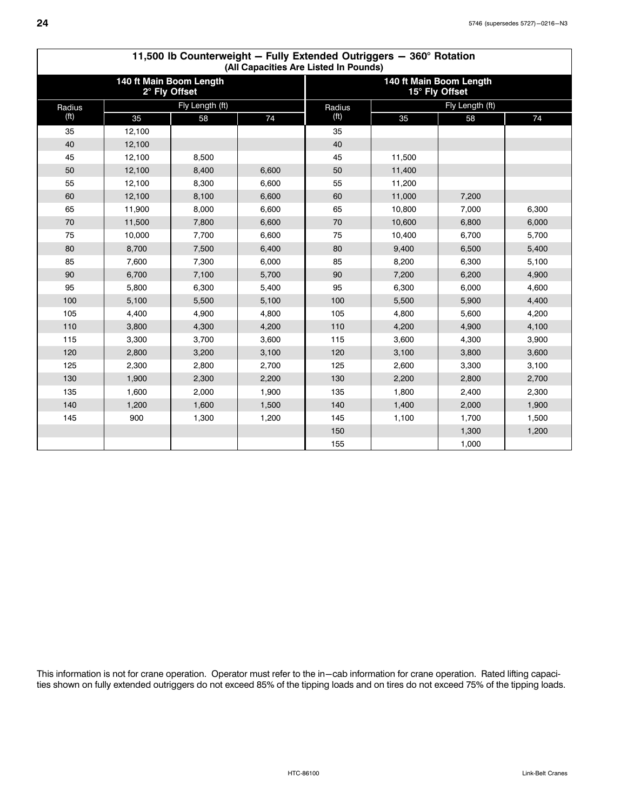<span id="page-27-0"></span>

|                   | 11,500 lb Counterweight $-$ Fully Extended Outriggers $-$ 360 $^{\circ}$ Rotation<br>(All Capacities Are Listed In Pounds) |                                          |       |                   |                 |                                           |       |  |  |  |  |  |
|-------------------|----------------------------------------------------------------------------------------------------------------------------|------------------------------------------|-------|-------------------|-----------------|-------------------------------------------|-------|--|--|--|--|--|
|                   |                                                                                                                            | 140 ft Main Boom Length<br>2° Fly Offset |       |                   |                 | 140 ft Main Boom Length<br>15° Fly Offset |       |  |  |  |  |  |
| Radius            |                                                                                                                            | Fly Length (ft)                          |       | Radius            | Fly Length (ft) |                                           |       |  |  |  |  |  |
| (f <sup>t</sup> ) | 35                                                                                                                         | 58                                       | 74    | (f <sup>t</sup> ) | 35              | 58                                        | 74    |  |  |  |  |  |
| 35                | 12,100                                                                                                                     |                                          |       | 35                |                 |                                           |       |  |  |  |  |  |
| 40                | 12,100                                                                                                                     |                                          |       | 40                |                 |                                           |       |  |  |  |  |  |
| 45                | 12,100                                                                                                                     | 8,500                                    |       | 45                | 11,500          |                                           |       |  |  |  |  |  |
| 50                | 12,100                                                                                                                     | 8,400                                    | 6,600 | 50                | 11,400          |                                           |       |  |  |  |  |  |
| 55                | 12,100                                                                                                                     | 8,300                                    | 6,600 | 55                | 11,200          |                                           |       |  |  |  |  |  |
| 60                | 12,100                                                                                                                     | 8,100                                    | 6,600 | 60                | 11,000          | 7,200                                     |       |  |  |  |  |  |
| 65                | 11,900                                                                                                                     | 8,000                                    | 6,600 | 65                | 10,800          | 7,000                                     | 6,300 |  |  |  |  |  |
| 70                | 11,500                                                                                                                     | 7,800                                    | 6,600 | 70                | 10,600          | 6,800                                     | 6,000 |  |  |  |  |  |
| 75                | 10,000                                                                                                                     | 7,700                                    | 6,600 | 75                | 10,400          | 6,700                                     | 5,700 |  |  |  |  |  |
| 80                | 8,700                                                                                                                      | 7,500                                    | 6,400 | 80                | 9,400           | 6,500                                     | 5,400 |  |  |  |  |  |
| 85                | 7,600                                                                                                                      | 7,300                                    | 6,000 | 85                | 8,200           | 6,300                                     | 5,100 |  |  |  |  |  |
| 90                | 6,700                                                                                                                      | 7,100                                    | 5,700 | 90                | 7,200           | 6,200                                     | 4,900 |  |  |  |  |  |
| 95                | 5,800                                                                                                                      | 6,300                                    | 5,400 | 95                | 6,300           | 6,000                                     | 4,600 |  |  |  |  |  |
| 100               | 5,100                                                                                                                      | 5,500                                    | 5,100 | 100               | 5,500           | 5,900                                     | 4,400 |  |  |  |  |  |
| 105               | 4,400                                                                                                                      | 4,900                                    | 4,800 | 105               | 4,800           | 5,600                                     | 4,200 |  |  |  |  |  |
| 110               | 3,800                                                                                                                      | 4,300                                    | 4,200 | 110               | 4,200           | 4,900                                     | 4,100 |  |  |  |  |  |
| 115               | 3,300                                                                                                                      | 3,700                                    | 3,600 | 115               | 3,600           | 4,300                                     | 3,900 |  |  |  |  |  |
| 120               | 2,800                                                                                                                      | 3,200                                    | 3,100 | 120               | 3,100           | 3,800                                     | 3,600 |  |  |  |  |  |
| 125               | 2,300                                                                                                                      | 2,800                                    | 2,700 | 125               | 2,600           | 3,300                                     | 3,100 |  |  |  |  |  |
| 130               | 1,900                                                                                                                      | 2,300                                    | 2,200 | 130               | 2,200           | 2,800                                     | 2,700 |  |  |  |  |  |
| 135               | 1,600                                                                                                                      | 2,000                                    | 1,900 | 135               | 1,800           | 2,400                                     | 2,300 |  |  |  |  |  |
| 140               | 1,200                                                                                                                      | 1,600                                    | 1,500 | 140               | 1,400           | 2,000                                     | 1,900 |  |  |  |  |  |
| 145               | 900                                                                                                                        | 1,300                                    | 1,200 | 145               | 1,100           | 1,700                                     | 1,500 |  |  |  |  |  |
|                   |                                                                                                                            |                                          |       | 150               |                 | 1,300                                     | 1,200 |  |  |  |  |  |
|                   |                                                                                                                            |                                          |       | 155               |                 | 1,000                                     |       |  |  |  |  |  |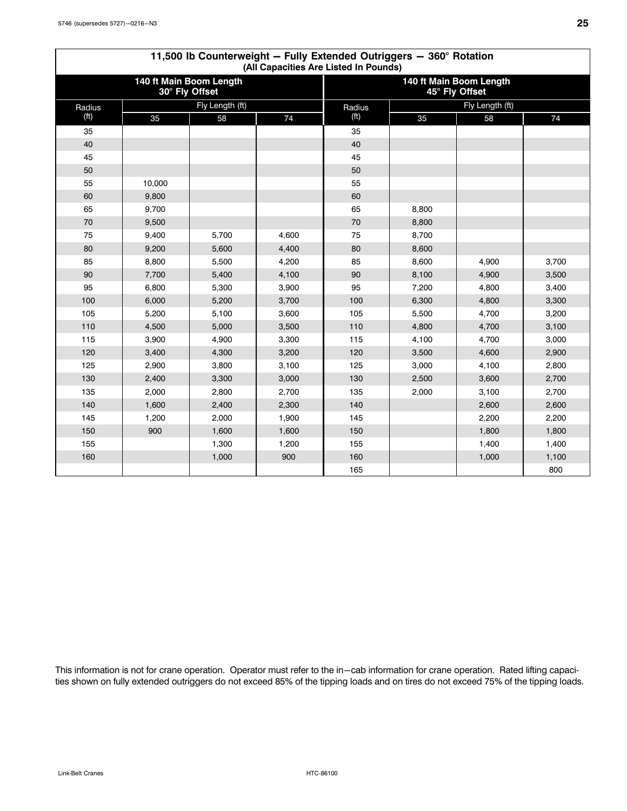|                   | 11,500 lb Counterweight - Fully Extended Outriggers - 360° Rotation<br>(All Capacities Are Listed In Pounds) |                                           |       |                   |                 |                                           |       |  |  |  |  |  |
|-------------------|--------------------------------------------------------------------------------------------------------------|-------------------------------------------|-------|-------------------|-----------------|-------------------------------------------|-------|--|--|--|--|--|
|                   |                                                                                                              | 140 ft Main Boom Length<br>30° Fly Offset |       |                   |                 | 140 ft Main Boom Length<br>45° Fly Offset |       |  |  |  |  |  |
| Radius            |                                                                                                              | Fly Length (ft)                           |       | Radius            | Fly Length (ft) |                                           |       |  |  |  |  |  |
| (f <sup>t</sup> ) | 35                                                                                                           | 58                                        | 74    | (f <sup>t</sup> ) | 35              | 58                                        | 74    |  |  |  |  |  |
| 35                |                                                                                                              |                                           |       | 35                |                 |                                           |       |  |  |  |  |  |
| 40                |                                                                                                              |                                           |       | 40                |                 |                                           |       |  |  |  |  |  |
| 45                |                                                                                                              |                                           |       | 45                |                 |                                           |       |  |  |  |  |  |
| 50                |                                                                                                              |                                           |       | 50                |                 |                                           |       |  |  |  |  |  |
| 55                | 10,000                                                                                                       |                                           |       | 55                |                 |                                           |       |  |  |  |  |  |
| 60                | 9,800                                                                                                        |                                           |       | 60                |                 |                                           |       |  |  |  |  |  |
| 65                | 9,700                                                                                                        |                                           |       | 65                | 8,800           |                                           |       |  |  |  |  |  |
| 70                | 9,500                                                                                                        |                                           |       | 70                | 8,800           |                                           |       |  |  |  |  |  |
| 75                | 9,400                                                                                                        | 5,700                                     | 4,600 | 75                | 8,700           |                                           |       |  |  |  |  |  |
| 80                | 9,200                                                                                                        | 5,600                                     | 4,400 | 80                | 8,600           |                                           |       |  |  |  |  |  |
| 85                | 8,800                                                                                                        | 5,500                                     | 4,200 | 85                | 8,600           | 4,900                                     | 3,700 |  |  |  |  |  |
| 90                | 7,700                                                                                                        | 5,400                                     | 4,100 | 90                | 8,100           | 4,900                                     | 3,500 |  |  |  |  |  |
| 95                | 6,800                                                                                                        | 5,300                                     | 3,900 | 95                | 7,200           | 4,800                                     | 3,400 |  |  |  |  |  |
| 100               | 6,000                                                                                                        | 5,200                                     | 3,700 | 100               | 6,300           | 4,800                                     | 3,300 |  |  |  |  |  |
| 105               | 5,200                                                                                                        | 5,100                                     | 3,600 | 105               | 5,500           | 4,700                                     | 3,200 |  |  |  |  |  |
| 110               | 4,500                                                                                                        | 5,000                                     | 3,500 | 110               | 4,800           | 4,700                                     | 3,100 |  |  |  |  |  |
| 115               | 3,900                                                                                                        | 4,900                                     | 3,300 | 115               | 4,100           | 4,700                                     | 3,000 |  |  |  |  |  |
| 120               | 3,400                                                                                                        | 4,300                                     | 3,200 | 120               | 3,500           | 4,600                                     | 2,900 |  |  |  |  |  |
| 125               | 2,900                                                                                                        | 3,800                                     | 3,100 | 125               | 3,000           | 4,100                                     | 2,800 |  |  |  |  |  |
| 130               | 2,400                                                                                                        | 3,300                                     | 3,000 | 130               | 2,500           | 3,600                                     | 2,700 |  |  |  |  |  |
| 135               | 2,000                                                                                                        | 2,800                                     | 2,700 | 135               | 2,000           | 3,100                                     | 2,700 |  |  |  |  |  |
| 140               | 1,600                                                                                                        | 2,400                                     | 2,300 | 140               |                 | 2,600                                     | 2,600 |  |  |  |  |  |
| 145               | 1,200                                                                                                        | 2,000                                     | 1,900 | 145               |                 | 2,200                                     | 2,200 |  |  |  |  |  |
| 150               | 900                                                                                                          | 1,600                                     | 1,600 | 150               |                 | 1,800                                     | 1,800 |  |  |  |  |  |
| 155               |                                                                                                              | 1,300                                     | 1,200 | 155               |                 | 1,400                                     | 1,400 |  |  |  |  |  |
| 160               |                                                                                                              | 1,000                                     | 900   | 160               |                 | 1,000                                     | 1,100 |  |  |  |  |  |
|                   |                                                                                                              |                                           |       | 165               |                 |                                           | 800   |  |  |  |  |  |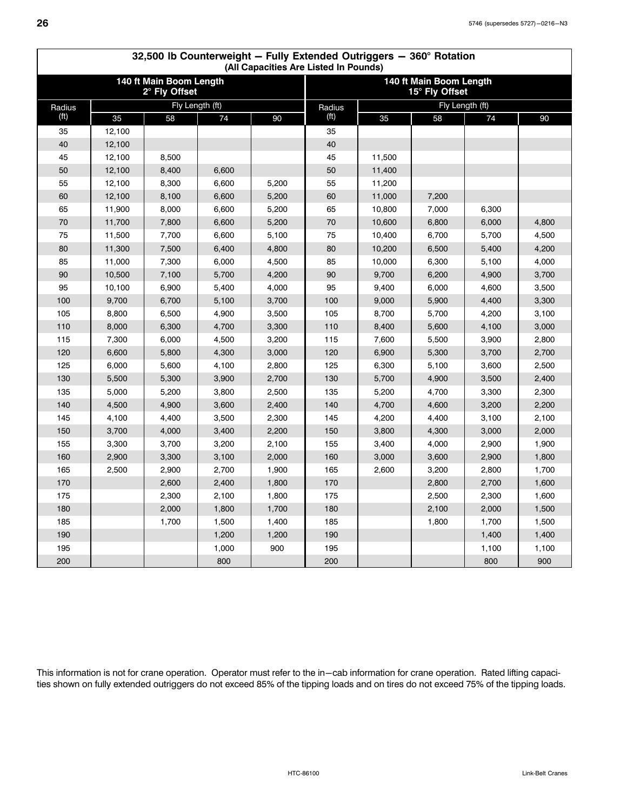|                   | 32,500 lb Counterweight - Fully Extended Outriggers - 360° Rotation<br>(All Capacities Are Listed In Pounds) |                                          |       |       |                   |        |                                           |                 |       |  |  |  |
|-------------------|--------------------------------------------------------------------------------------------------------------|------------------------------------------|-------|-------|-------------------|--------|-------------------------------------------|-----------------|-------|--|--|--|
|                   |                                                                                                              | 140 ft Main Boom Length<br>2° Fly Offset |       |       |                   |        | 140 ft Main Boom Length<br>15° Fly Offset |                 |       |  |  |  |
| Radius            |                                                                                                              | Fly Length (ft)                          |       |       | Radius            |        |                                           | Fly Length (ft) |       |  |  |  |
| (f <sup>t</sup> ) | 35                                                                                                           | 58                                       | 74    | 90    | (f <sup>t</sup> ) | 35     | 58                                        | 74              | 90    |  |  |  |
| 35                | 12,100                                                                                                       |                                          |       |       | 35                |        |                                           |                 |       |  |  |  |
| 40                | 12,100                                                                                                       |                                          |       |       | 40                |        |                                           |                 |       |  |  |  |
| 45                | 12,100                                                                                                       | 8,500                                    |       |       | 45                | 11,500 |                                           |                 |       |  |  |  |
| 50                | 12,100                                                                                                       | 8,400                                    | 6,600 |       | 50                | 11,400 |                                           |                 |       |  |  |  |
| 55                | 12,100                                                                                                       | 8,300                                    | 6,600 | 5,200 | 55                | 11,200 |                                           |                 |       |  |  |  |
| 60                | 12,100                                                                                                       | 8,100                                    | 6,600 | 5,200 | 60                | 11,000 | 7,200                                     |                 |       |  |  |  |
| 65                | 11,900                                                                                                       | 8,000                                    | 6,600 | 5,200 | 65                | 10,800 | 7,000                                     | 6,300           |       |  |  |  |
| 70                | 11,700                                                                                                       | 7,800                                    | 6,600 | 5,200 | 70                | 10,600 | 6,800                                     | 6,000           | 4,800 |  |  |  |
| 75                | 11,500                                                                                                       | 7,700                                    | 6,600 | 5,100 | 75                | 10,400 | 6,700                                     | 5,700           | 4,500 |  |  |  |
| 80                | 11,300                                                                                                       | 7,500                                    | 6,400 | 4,800 | 80                | 10,200 | 6,500                                     | 5,400           | 4,200 |  |  |  |
| 85                | 11,000                                                                                                       | 7,300                                    | 6,000 | 4,500 | 85                | 10,000 | 6,300                                     | 5,100           | 4,000 |  |  |  |
| 90                | 10,500                                                                                                       | 7,100                                    | 5,700 | 4,200 | 90                | 9,700  | 6,200                                     | 4,900           | 3,700 |  |  |  |
| 95                | 10,100                                                                                                       | 6,900                                    | 5,400 | 4,000 | 95                | 9,400  | 6,000                                     | 4,600           | 3,500 |  |  |  |
| 100               | 9,700                                                                                                        | 6,700                                    | 5,100 | 3,700 | 100               | 9,000  | 5,900                                     | 4,400           | 3,300 |  |  |  |
| 105               | 8,800                                                                                                        | 6,500                                    | 4,900 | 3,500 | 105               | 8,700  | 5,700                                     | 4,200           | 3,100 |  |  |  |
| 110               | 8,000                                                                                                        | 6,300                                    | 4,700 | 3,300 | 110               | 8,400  | 5,600                                     | 4,100           | 3,000 |  |  |  |
| 115               | 7,300                                                                                                        | 6,000                                    | 4,500 | 3,200 | 115               | 7,600  | 5,500                                     | 3,900           | 2,800 |  |  |  |
| 120               | 6,600                                                                                                        | 5,800                                    | 4,300 | 3,000 | 120               | 6,900  | 5,300                                     | 3,700           | 2,700 |  |  |  |
| 125               | 6,000                                                                                                        | 5,600                                    | 4,100 | 2,800 | 125               | 6,300  | 5,100                                     | 3,600           | 2,500 |  |  |  |
| 130               | 5,500                                                                                                        | 5,300                                    | 3,900 | 2,700 | 130               | 5,700  | 4,900                                     | 3,500           | 2,400 |  |  |  |
| 135               | 5,000                                                                                                        | 5,200                                    | 3,800 | 2,500 | 135               | 5,200  | 4,700                                     | 3,300           | 2,300 |  |  |  |
| 140               | 4,500                                                                                                        | 4,900                                    | 3,600 | 2,400 | 140               | 4,700  | 4,600                                     | 3,200           | 2,200 |  |  |  |
| 145               | 4,100                                                                                                        | 4,400                                    | 3,500 | 2,300 | 145               | 4,200  | 4,400                                     | 3,100           | 2,100 |  |  |  |
| 150               | 3,700                                                                                                        | 4,000                                    | 3,400 | 2,200 | 150               | 3,800  | 4,300                                     | 3,000           | 2,000 |  |  |  |
| 155               | 3,300                                                                                                        | 3,700                                    | 3,200 | 2,100 | 155               | 3,400  | 4,000                                     | 2,900           | 1,900 |  |  |  |
| 160               | 2,900                                                                                                        | 3,300                                    | 3,100 | 2,000 | 160               | 3,000  | 3,600                                     | 2,900           | 1,800 |  |  |  |
| 165               | 2,500                                                                                                        | 2,900                                    | 2,700 | 1,900 | 165               | 2,600  | 3,200                                     | 2,800           | 1,700 |  |  |  |
| 170               |                                                                                                              | 2,600                                    | 2,400 | 1,800 | 170               |        | 2,800                                     | 2,700           | 1,600 |  |  |  |
| 175               |                                                                                                              | 2,300                                    | 2,100 | 1,800 | 175               |        | 2,500                                     | 2,300           | 1,600 |  |  |  |
| 180               |                                                                                                              | 2,000                                    | 1,800 | 1,700 | 180               |        | 2,100                                     | 2,000           | 1,500 |  |  |  |
| 185               |                                                                                                              | 1,700                                    | 1,500 | 1,400 | 185               |        | 1,800                                     | 1,700           | 1,500 |  |  |  |
| 190               |                                                                                                              |                                          | 1,200 | 1,200 | 190               |        |                                           | 1,400           | 1,400 |  |  |  |
| 195               |                                                                                                              |                                          | 1,000 | 900   | 195               |        |                                           | 1,100           | 1,100 |  |  |  |
| 200               |                                                                                                              |                                          | 800   |       | 200               |        |                                           | 800             | 900   |  |  |  |

# **32,500 lb Counterweight - Fully Extended Outriggers - 360° Rotation**

This information is not for crane operation. Operator must refer to the in-cab information for crane operation. Rated lifting capacities shown on fully extended outriggers do not exceed 85% of the tipping loads and on tires do not exceed 75% of the tipping loads.

<span id="page-29-0"></span> $\Gamma$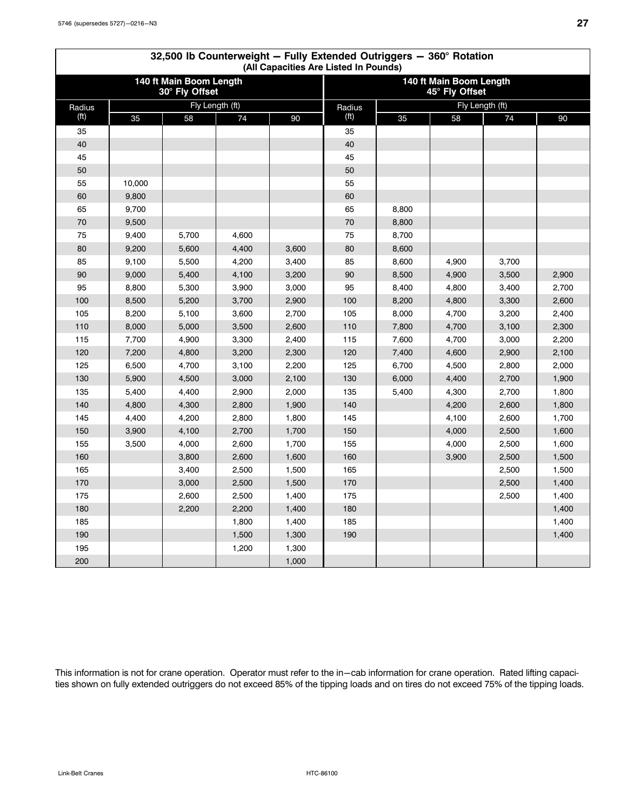|                   | 32,500 lb Counterweight - Fully Extended Outriggers - 360° Rotation<br>(All Capacities Are Listed In Pounds) |                                           |                 |       |                   |       |                                           |                 |       |  |  |  |
|-------------------|--------------------------------------------------------------------------------------------------------------|-------------------------------------------|-----------------|-------|-------------------|-------|-------------------------------------------|-----------------|-------|--|--|--|
|                   |                                                                                                              | 140 ft Main Boom Length<br>30° Fly Offset |                 |       |                   |       | 140 ft Main Boom Length<br>45° Fly Offset |                 |       |  |  |  |
| Radius            |                                                                                                              |                                           | Fly Length (ft) |       | Radius            |       |                                           | Fly Length (ft) |       |  |  |  |
| (f <sup>t</sup> ) | 35                                                                                                           | 58                                        | 74              | 90    | (f <sup>t</sup> ) | 35    | 58                                        | 74              | 90    |  |  |  |
| 35                |                                                                                                              |                                           |                 |       | 35                |       |                                           |                 |       |  |  |  |
| 40                |                                                                                                              |                                           |                 |       | 40                |       |                                           |                 |       |  |  |  |
| 45                |                                                                                                              |                                           |                 |       | 45                |       |                                           |                 |       |  |  |  |
| 50                |                                                                                                              |                                           |                 |       | 50                |       |                                           |                 |       |  |  |  |
| 55                | 10,000                                                                                                       |                                           |                 |       | 55                |       |                                           |                 |       |  |  |  |
| 60                | 9,800                                                                                                        |                                           |                 |       | 60                |       |                                           |                 |       |  |  |  |
| 65                | 9,700                                                                                                        |                                           |                 |       | 65                | 8,800 |                                           |                 |       |  |  |  |
| 70                | 9,500                                                                                                        |                                           |                 |       | 70                | 8,800 |                                           |                 |       |  |  |  |
| 75                | 9,400                                                                                                        | 5,700                                     | 4,600           |       | 75                | 8,700 |                                           |                 |       |  |  |  |
| 80                | 9,200                                                                                                        | 5,600                                     | 4,400           | 3,600 | 80                | 8,600 |                                           |                 |       |  |  |  |
| 85                | 9,100                                                                                                        | 5,500                                     | 4,200           | 3,400 | 85                | 8,600 | 4,900                                     | 3,700           |       |  |  |  |
| 90                | 9,000                                                                                                        | 5,400                                     | 4,100           | 3,200 | 90                | 8,500 | 4,900                                     | 3,500           | 2,900 |  |  |  |
| 95                | 8,800                                                                                                        | 5,300                                     | 3,900           | 3,000 | 95                | 8,400 | 4,800                                     | 3,400           | 2,700 |  |  |  |
| 100               | 8,500                                                                                                        | 5,200                                     | 3,700           | 2,900 | 100               | 8,200 | 4,800                                     | 3,300           | 2,600 |  |  |  |
| 105               | 8,200                                                                                                        | 5,100                                     | 3,600           | 2,700 | 105               | 8,000 | 4,700                                     | 3,200           | 2,400 |  |  |  |
| 110               | 8,000                                                                                                        | 5,000                                     | 3,500           | 2,600 | 110               | 7,800 | 4,700                                     | 3,100           | 2,300 |  |  |  |
| 115               | 7,700                                                                                                        | 4,900                                     | 3,300           | 2,400 | 115               | 7,600 | 4,700                                     | 3,000           | 2,200 |  |  |  |
| 120               | 7,200                                                                                                        | 4,800                                     | 3,200           | 2,300 | 120               | 7,400 | 4,600                                     | 2,900           | 2,100 |  |  |  |
| 125               | 6,500                                                                                                        | 4,700                                     | 3,100           | 2,200 | 125               | 6,700 | 4,500                                     | 2,800           | 2,000 |  |  |  |
| 130               | 5,900                                                                                                        | 4,500                                     | 3,000           | 2,100 | 130               | 6,000 | 4,400                                     | 2,700           | 1,900 |  |  |  |
| 135               | 5,400                                                                                                        | 4,400                                     | 2,900           | 2,000 | 135               | 5,400 | 4,300                                     | 2,700           | 1,800 |  |  |  |
| 140               | 4,800                                                                                                        | 4,300                                     | 2,800           | 1,900 | 140               |       | 4,200                                     | 2,600           | 1,800 |  |  |  |
| 145               | 4,400                                                                                                        | 4,200                                     | 2,800           | 1,800 | 145               |       | 4,100                                     | 2,600           | 1,700 |  |  |  |
| 150               | 3,900                                                                                                        | 4,100                                     | 2,700           | 1,700 | 150               |       | 4,000                                     | 2,500           | 1,600 |  |  |  |
| 155               | 3,500                                                                                                        | 4,000                                     | 2,600           | 1,700 | 155               |       | 4,000                                     | 2,500           | 1,600 |  |  |  |
| 160               |                                                                                                              | 3,800                                     | 2,600           | 1,600 | 160               |       | 3,900                                     | 2,500           | 1,500 |  |  |  |
| 165               |                                                                                                              | 3,400                                     | 2,500           | 1,500 | 165               |       |                                           | 2,500           | 1,500 |  |  |  |
| 170               |                                                                                                              | 3,000                                     | 2,500           | 1,500 | 170               |       |                                           | 2,500           | 1,400 |  |  |  |
| 175               |                                                                                                              | 2,600                                     | 2,500           | 1,400 | 175               |       |                                           | 2,500           | 1,400 |  |  |  |
| 180               |                                                                                                              | 2,200                                     | 2,200           | 1,400 | 180               |       |                                           |                 | 1,400 |  |  |  |
| 185               |                                                                                                              |                                           | 1,800           | 1,400 | 185               |       |                                           |                 | 1,400 |  |  |  |
| 190               |                                                                                                              |                                           | 1,500           | 1,300 | 190               |       |                                           |                 | 1,400 |  |  |  |
| 195               |                                                                                                              |                                           | 1,200           | 1,300 |                   |       |                                           |                 |       |  |  |  |
| 200               |                                                                                                              |                                           |                 | 1,000 |                   |       |                                           |                 |       |  |  |  |

# **32,500 lb Counterweight - Fully Extended Outriggers - 360° Rotation**

This information is not for crane operation. Operator must refer to the in-cab information for crane operation. Rated lifting capacities shown on fully extended outriggers do not exceed 85% of the tipping loads and on tires do not exceed 75% of the tipping loads.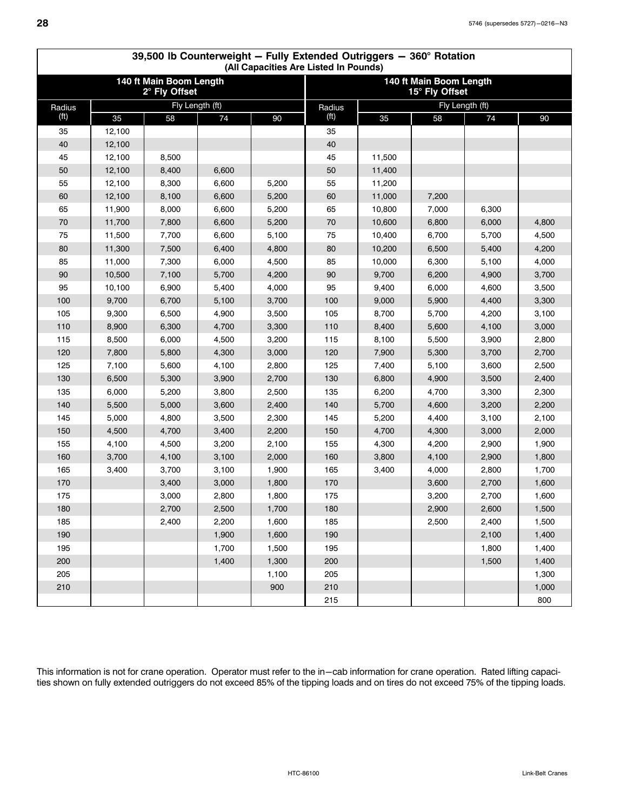$\overline{\phantom{a}}$ 

|                   | 39,500 lb Counterweight - Fully Extended Outriggers - 360° Rotation<br>(All Capacities Are Listed In Pounds) |                                          |       |       |                   |        |                                           |                 |       |  |  |  |
|-------------------|--------------------------------------------------------------------------------------------------------------|------------------------------------------|-------|-------|-------------------|--------|-------------------------------------------|-----------------|-------|--|--|--|
|                   |                                                                                                              | 140 ft Main Boom Length<br>2° Fly Offset |       |       |                   |        | 140 ft Main Boom Length<br>15° Fly Offset |                 |       |  |  |  |
| Radius            |                                                                                                              | Fly Length (ft)                          |       |       | Radius            |        |                                           | Fly Length (ft) |       |  |  |  |
| (f <sup>t</sup> ) | 35                                                                                                           | 58                                       | 74    | 90    | (f <sup>t</sup> ) | 35     | 58                                        | 74              | 90    |  |  |  |
| 35                | 12,100                                                                                                       |                                          |       |       | 35                |        |                                           |                 |       |  |  |  |
| 40                | 12,100                                                                                                       |                                          |       |       | 40                |        |                                           |                 |       |  |  |  |
| 45                | 12,100                                                                                                       | 8,500                                    |       |       | 45                | 11,500 |                                           |                 |       |  |  |  |
| 50                | 12,100                                                                                                       | 8,400                                    | 6,600 |       | 50                | 11,400 |                                           |                 |       |  |  |  |
| 55                | 12,100                                                                                                       | 8,300                                    | 6,600 | 5,200 | 55                | 11,200 |                                           |                 |       |  |  |  |
| 60                | 12,100                                                                                                       | 8,100                                    | 6,600 | 5,200 | 60                | 11,000 | 7,200                                     |                 |       |  |  |  |
| 65                | 11,900                                                                                                       | 8,000                                    | 6,600 | 5,200 | 65                | 10,800 | 7,000                                     | 6,300           |       |  |  |  |
| 70                | 11,700                                                                                                       | 7,800                                    | 6,600 | 5,200 | 70                | 10,600 | 6,800                                     | 6,000           | 4,800 |  |  |  |
| 75                | 11,500                                                                                                       | 7,700                                    | 6,600 | 5,100 | 75                | 10,400 | 6,700                                     | 5,700           | 4,500 |  |  |  |
| 80                | 11,300                                                                                                       | 7,500                                    | 6,400 | 4,800 | 80                | 10,200 | 6,500                                     | 5,400           | 4,200 |  |  |  |
| 85                | 11,000                                                                                                       | 7,300                                    | 6,000 | 4,500 | 85                | 10,000 | 6,300                                     | 5,100           | 4,000 |  |  |  |
| 90                | 10,500                                                                                                       | 7,100                                    | 5,700 | 4,200 | 90                | 9,700  | 6,200                                     | 4,900           | 3,700 |  |  |  |
| 95                | 10,100                                                                                                       | 6,900                                    | 5,400 | 4,000 | 95                | 9,400  | 6,000                                     | 4,600           | 3,500 |  |  |  |
| 100               | 9,700                                                                                                        | 6,700                                    | 5,100 | 3,700 | 100               | 9,000  | 5,900                                     | 4,400           | 3,300 |  |  |  |
| 105               | 9,300                                                                                                        | 6,500                                    | 4,900 | 3,500 | 105               | 8,700  | 5,700                                     | 4,200           | 3,100 |  |  |  |
| 110               | 8,900                                                                                                        | 6,300                                    | 4,700 | 3,300 | 110               | 8,400  | 5,600                                     | 4,100           | 3,000 |  |  |  |
| 115               | 8,500                                                                                                        | 6,000                                    | 4,500 | 3,200 | 115               | 8,100  | 5,500                                     | 3,900           | 2,800 |  |  |  |
| 120               | 7,800                                                                                                        | 5,800                                    | 4,300 | 3,000 | 120               | 7,900  | 5,300                                     | 3,700           | 2,700 |  |  |  |
| 125               | 7,100                                                                                                        | 5,600                                    | 4,100 | 2,800 | 125               | 7,400  | 5,100                                     | 3,600           | 2,500 |  |  |  |
| 130               | 6,500                                                                                                        | 5,300                                    | 3,900 | 2,700 | 130               | 6,800  | 4,900                                     | 3,500           | 2,400 |  |  |  |
| 135               | 6,000                                                                                                        | 5,200                                    | 3,800 | 2,500 | 135               | 6,200  | 4,700                                     | 3,300           | 2,300 |  |  |  |
| 140               | 5,500                                                                                                        | 5,000                                    | 3,600 | 2,400 | 140               | 5,700  | 4,600                                     | 3,200           | 2,200 |  |  |  |
| 145               | 5,000                                                                                                        | 4,800                                    | 3,500 | 2,300 | 145               | 5,200  | 4,400                                     | 3,100           | 2,100 |  |  |  |
| 150               | 4,500                                                                                                        | 4,700                                    | 3,400 | 2,200 | 150               | 4,700  | 4,300                                     | 3,000           | 2,000 |  |  |  |
| 155               | 4,100                                                                                                        | 4,500                                    | 3,200 | 2,100 | 155               | 4,300  | 4,200                                     | 2,900           | 1,900 |  |  |  |
| 160               | 3,700                                                                                                        | 4,100                                    | 3,100 | 2,000 | 160               | 3,800  | 4,100                                     | 2,900           | 1,800 |  |  |  |
| 165               | 3,400                                                                                                        | 3,700                                    | 3,100 | 1,900 | 165               | 3,400  | 4,000                                     | 2,800           | 1,700 |  |  |  |
| 170               |                                                                                                              | 3,400                                    | 3,000 | 1,800 | 170               |        | 3,600                                     | 2,700           | 1,600 |  |  |  |
| 175               |                                                                                                              | 3,000                                    | 2,800 | 1,800 | 175               |        | 3,200                                     | 2,700           | 1,600 |  |  |  |
| 180               |                                                                                                              | 2,700                                    | 2,500 | 1,700 | 180               |        | 2,900                                     | 2,600           | 1,500 |  |  |  |
| 185               |                                                                                                              | 2,400                                    | 2,200 | 1,600 | 185               |        | 2,500                                     | 2,400           | 1,500 |  |  |  |
| 190               |                                                                                                              |                                          | 1,900 | 1,600 | 190               |        |                                           | 2,100           | 1,400 |  |  |  |
| 195               |                                                                                                              |                                          | 1,700 | 1,500 | 195               |        |                                           | 1,800           | 1,400 |  |  |  |
| 200               |                                                                                                              |                                          | 1,400 | 1,300 | 200               |        |                                           | 1,500           | 1,400 |  |  |  |
| 205               |                                                                                                              |                                          |       | 1,100 | 205               |        |                                           |                 | 1,300 |  |  |  |
| 210               |                                                                                                              |                                          |       | 900   | 210               |        |                                           |                 | 1,000 |  |  |  |
|                   |                                                                                                              |                                          |       |       | 215               |        |                                           |                 | 800   |  |  |  |

This information is not for crane operation. Operator must refer to the in-cab information for crane operation. Rated lifting capacities shown on fully extended outriggers do not exceed 85% of the tipping loads and on tires do not exceed 75% of the tipping loads.

<span id="page-31-0"></span> $\sqrt{ }$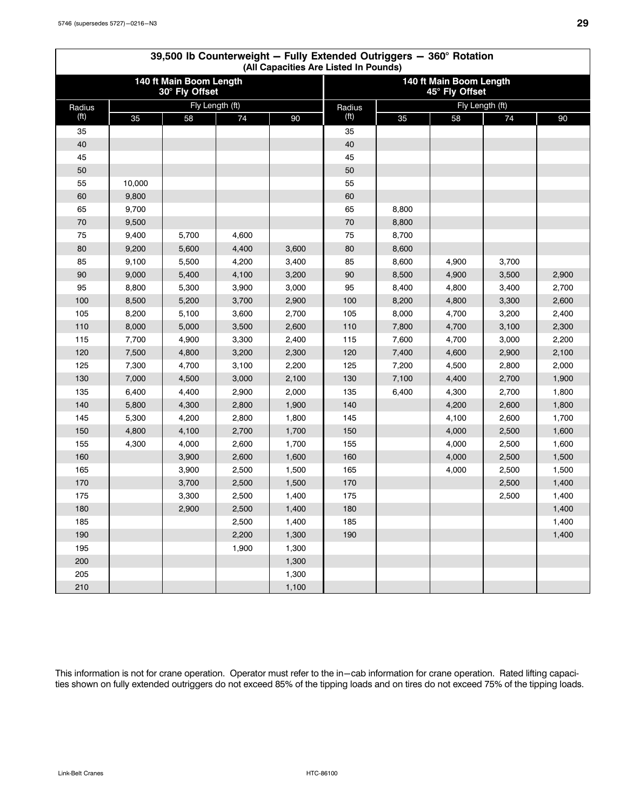|                   | 39,500 lb Counterweight - Fully Extended Outriggers - 360° Rotation<br>(All Capacities Are Listed In Pounds) |                                           |                 |       |                   |       |                                           |                 |       |  |  |  |
|-------------------|--------------------------------------------------------------------------------------------------------------|-------------------------------------------|-----------------|-------|-------------------|-------|-------------------------------------------|-----------------|-------|--|--|--|
|                   |                                                                                                              | 140 ft Main Boom Length<br>30° Fly Offset |                 |       |                   |       | 140 ft Main Boom Length<br>45° Fly Offset |                 |       |  |  |  |
| Radius            |                                                                                                              |                                           | Fly Length (ft) |       | Radius            |       |                                           | Fly Length (ft) |       |  |  |  |
| (f <sup>t</sup> ) | 35                                                                                                           | 58                                        | 74              | 90    | (f <sup>t</sup> ) | 35    | 58                                        | 74              | 90    |  |  |  |
| 35                |                                                                                                              |                                           |                 |       | 35                |       |                                           |                 |       |  |  |  |
| 40                |                                                                                                              |                                           |                 |       | 40                |       |                                           |                 |       |  |  |  |
| 45                |                                                                                                              |                                           |                 |       | 45                |       |                                           |                 |       |  |  |  |
| 50                |                                                                                                              |                                           |                 |       | 50                |       |                                           |                 |       |  |  |  |
| 55                | 10,000                                                                                                       |                                           |                 |       | 55                |       |                                           |                 |       |  |  |  |
| 60                | 9,800                                                                                                        |                                           |                 |       | 60                |       |                                           |                 |       |  |  |  |
| 65                | 9,700                                                                                                        |                                           |                 |       | 65                | 8,800 |                                           |                 |       |  |  |  |
| 70                | 9,500                                                                                                        |                                           |                 |       | 70                | 8,800 |                                           |                 |       |  |  |  |
| 75                | 9,400                                                                                                        | 5,700                                     | 4,600           |       | 75                | 8,700 |                                           |                 |       |  |  |  |
| 80                | 9,200                                                                                                        | 5,600                                     | 4,400           | 3,600 | 80                | 8,600 |                                           |                 |       |  |  |  |
| 85                | 9,100                                                                                                        | 5,500                                     | 4,200           | 3,400 | 85                | 8,600 | 4,900                                     | 3,700           |       |  |  |  |
| 90                | 9,000                                                                                                        | 5,400                                     | 4,100           | 3,200 | 90                | 8,500 | 4,900                                     | 3,500           | 2,900 |  |  |  |
| 95                | 8,800                                                                                                        | 5,300                                     | 3,900           | 3,000 | 95                | 8,400 | 4,800                                     | 3,400           | 2,700 |  |  |  |
| 100               | 8,500                                                                                                        | 5,200                                     | 3,700           | 2,900 | 100               | 8,200 | 4,800                                     | 3,300           | 2,600 |  |  |  |
| 105               | 8,200                                                                                                        | 5,100                                     | 3,600           | 2,700 | 105               | 8,000 | 4,700                                     | 3,200           | 2,400 |  |  |  |
| 110               | 8,000                                                                                                        | 5,000                                     | 3,500           | 2,600 | 110               | 7,800 | 4,700                                     | 3,100           | 2,300 |  |  |  |
| 115               | 7,700                                                                                                        | 4,900                                     | 3,300           | 2,400 | 115               | 7,600 | 4,700                                     | 3,000           | 2,200 |  |  |  |
| 120               | 7,500                                                                                                        | 4,800                                     | 3,200           | 2,300 | 120               | 7,400 | 4,600                                     | 2,900           | 2,100 |  |  |  |
| 125               | 7,300                                                                                                        | 4,700                                     | 3,100           | 2,200 | 125               | 7,200 | 4,500                                     | 2,800           | 2,000 |  |  |  |
| 130               | 7,000                                                                                                        | 4,500                                     | 3,000           | 2,100 | 130               | 7,100 | 4,400                                     | 2,700           | 1,900 |  |  |  |
| 135               | 6,400                                                                                                        | 4,400                                     | 2,900           | 2,000 | 135               | 6,400 | 4,300                                     | 2,700           | 1,800 |  |  |  |
| 140               | 5,800                                                                                                        | 4,300                                     | 2,800           | 1,900 | 140               |       | 4,200                                     | 2,600           | 1,800 |  |  |  |
| 145               | 5,300                                                                                                        | 4,200                                     | 2,800           | 1,800 | 145               |       | 4,100                                     | 2,600           | 1,700 |  |  |  |
| 150               | 4,800                                                                                                        | 4,100                                     | 2,700           | 1,700 | 150               |       | 4,000                                     | 2,500           | 1,600 |  |  |  |
| 155               | 4,300                                                                                                        | 4,000                                     | 2,600           | 1,700 | 155               |       | 4,000                                     | 2,500           | 1,600 |  |  |  |
| 160               |                                                                                                              | 3,900                                     | 2,600           | 1,600 | 160               |       | 4,000                                     | 2,500           | 1,500 |  |  |  |
| 165               |                                                                                                              | 3,900                                     | 2,500           | 1,500 | 165               |       | 4,000                                     | 2,500           | 1,500 |  |  |  |
| 170               |                                                                                                              | 3,700                                     | 2,500           | 1,500 | 170               |       |                                           | 2,500           | 1,400 |  |  |  |
| 175               |                                                                                                              | 3,300                                     | 2,500           | 1,400 | 175               |       |                                           | 2,500           | 1,400 |  |  |  |
| 180               |                                                                                                              | 2,900                                     | 2,500           | 1,400 | 180               |       |                                           |                 | 1,400 |  |  |  |
| 185               |                                                                                                              |                                           | 2,500           | 1,400 | 185               |       |                                           |                 | 1,400 |  |  |  |
| 190               |                                                                                                              |                                           | 2,200           | 1,300 | 190               |       |                                           |                 | 1,400 |  |  |  |
| 195               |                                                                                                              |                                           | 1,900           | 1,300 |                   |       |                                           |                 |       |  |  |  |
| 200               |                                                                                                              |                                           |                 | 1,300 |                   |       |                                           |                 |       |  |  |  |
| 205               |                                                                                                              |                                           |                 | 1,300 |                   |       |                                           |                 |       |  |  |  |
| 210               |                                                                                                              |                                           |                 | 1,100 |                   |       |                                           |                 |       |  |  |  |

# **39,500 lb Counterweight - Fully Extended Outriggers - 360° Rotation**

This information is not for crane operation. Operator must refer to the in-cab information for crane operation. Rated lifting capacities shown on fully extended outriggers do not exceed 85% of the tipping loads and on tires do not exceed 75% of the tipping loads.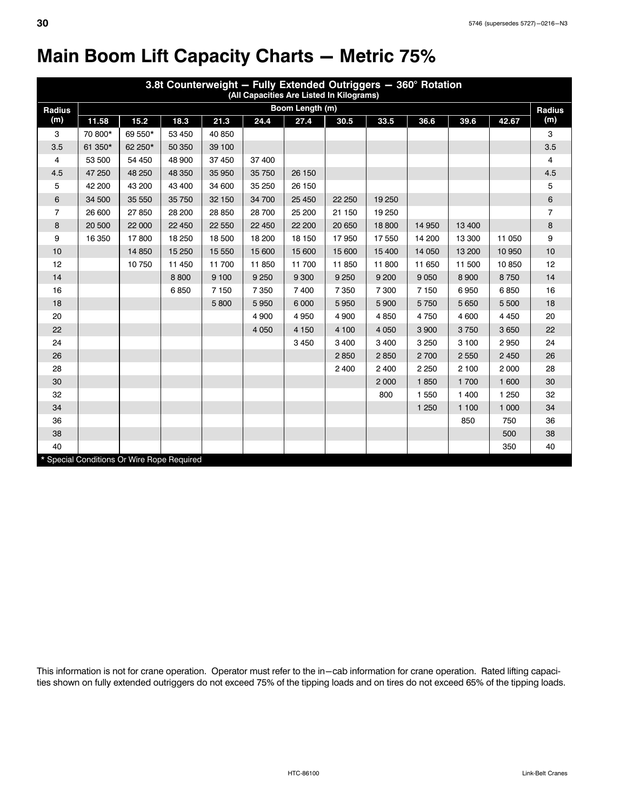<span id="page-33-0"></span>

|  |  |  | <b>Main Boom Lift Capacity Charts - Metric 75%</b> |  |  |  |  |
|--|--|--|----------------------------------------------------|--|--|--|--|
|--|--|--|----------------------------------------------------|--|--|--|--|

| 3.8t Counterweight - Fully Extended Outriggers - 360° Rotation<br>(All Capacities Are Listed In Kilograms) |                                            |         |        |         |         |                 |         |         |         |         |         |                |
|------------------------------------------------------------------------------------------------------------|--------------------------------------------|---------|--------|---------|---------|-----------------|---------|---------|---------|---------|---------|----------------|
| Radius                                                                                                     |                                            |         |        |         |         | Boom Length (m) |         |         |         |         |         | Radius         |
| (m)                                                                                                        | 11.58                                      | 15.2    | 18.3   | 21.3    | 24.4    | 27.4            | 30.5    | 33.5    | 36.6    | 39.6    | 42.67   | (m)            |
| 3                                                                                                          | 70 800*                                    | 69 550* | 53 450 | 40 850  |         |                 |         |         |         |         |         | 3              |
| 3.5                                                                                                        | 61 350*                                    | 62 250* | 50 350 | 39 100  |         |                 |         |         |         |         |         | 3.5            |
| 4                                                                                                          | 53 500                                     | 54 450  | 48 900 | 37 450  | 37 400  |                 |         |         |         |         |         | 4              |
| 4.5                                                                                                        | 47 250                                     | 48 250  | 48 350 | 35 950  | 35 750  | 26 150          |         |         |         |         |         | 4.5            |
| 5                                                                                                          | 42 200                                     | 43 200  | 43 400 | 34 600  | 35 250  | 26 150          |         |         |         |         |         | 5              |
| 6                                                                                                          | 34 500                                     | 35 550  | 35 750 | 32 150  | 34 700  | 25 450          | 22 250  | 19 250  |         |         |         | 6              |
| $\overline{7}$                                                                                             | 26 600                                     | 27850   | 28 200 | 28 850  | 28 700  | 25 200          | 21 150  | 19 250  |         |         |         | $\overline{7}$ |
| 8                                                                                                          | 20 500                                     | 22 000  | 22 450 | 22 550  | 22 450  | 22 200          | 20 650  | 18 800  | 14 950  | 13 400  |         | 8              |
| 9                                                                                                          | 16 350                                     | 17800   | 18 250 | 18 500  | 18 200  | 18 150          | 17950   | 17 550  | 14 200  | 13 300  | 11 050  | 9              |
| 10                                                                                                         |                                            | 14 8 50 | 15 250 | 15 550  | 15 600  | 15 600          | 15 600  | 15 400  | 14 050  | 13 200  | 10 950  | 10             |
| 12                                                                                                         |                                            | 10750   | 11 450 | 11700   | 11850   | 11 700          | 11850   | 11 800  | 11 650  | 11 500  | 10850   | 12             |
| 14                                                                                                         |                                            |         | 8800   | 9 100   | 9 2 5 0 | 9 3 0 0         | 9 2 5 0 | 9 200   | 9050    | 8 9 0 0 | 8750    | 14             |
| 16                                                                                                         |                                            |         | 6850   | 7 1 5 0 | 7 3 5 0 | 7400            | 7 3 5 0 | 7 300   | 7 1 5 0 | 6950    | 6850    | 16             |
| 18                                                                                                         |                                            |         |        | 5800    | 5950    | 6 0 0 0         | 5 9 5 0 | 5 9 0 0 | 5750    | 5 6 5 0 | 5 500   | 18             |
| 20                                                                                                         |                                            |         |        |         | 4 9 0 0 | 4950            | 4 9 0 0 | 4850    | 4750    | 4 600   | 4 4 5 0 | 20             |
| 22                                                                                                         |                                            |         |        |         | 4 0 5 0 | 4 1 5 0         | 4 100   | 4 0 5 0 | 3 9 0 0 | 3750    | 3650    | 22             |
| 24                                                                                                         |                                            |         |        |         |         | 3 4 5 0         | 3 4 0 0 | 3 4 0 0 | 3 2 5 0 | 3 100   | 2950    | 24             |
| 26                                                                                                         |                                            |         |        |         |         |                 | 2850    | 2850    | 2700    | 2 5 5 0 | 2 4 5 0 | 26             |
| 28                                                                                                         |                                            |         |        |         |         |                 | 2 4 0 0 | 2 4 0 0 | 2 2 5 0 | 2 100   | 2 0 0 0 | 28             |
| 30                                                                                                         |                                            |         |        |         |         |                 |         | 2 0 0 0 | 1850    | 1700    | 1 600   | 30             |
| 32                                                                                                         |                                            |         |        |         |         |                 |         | 800     | 1 550   | 1 400   | 1 2 5 0 | 32             |
| 34                                                                                                         |                                            |         |        |         |         |                 |         |         | 1 2 5 0 | 1 100   | 1 0 0 0 | 34             |
| 36                                                                                                         |                                            |         |        |         |         |                 |         |         |         | 850     | 750     | 36             |
| 38                                                                                                         |                                            |         |        |         |         |                 |         |         |         |         | 500     | 38             |
| 40                                                                                                         |                                            |         |        |         |         |                 |         |         |         |         | 350     | 40             |
|                                                                                                            | * Special Conditions Or Wire Rope Required |         |        |         |         |                 |         |         |         |         |         |                |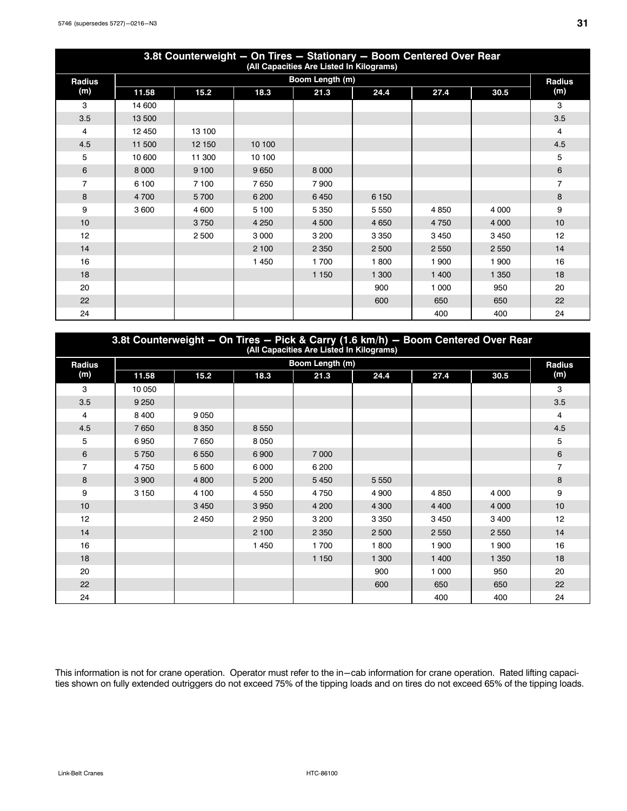<span id="page-34-0"></span>

| 3.8t Counterweight - On Tires - Stationary - Boom Centered Over Rear<br>(All Capacities Are Listed In Kilograms) |         |        |         |                 |         |         |         |                |  |  |  |
|------------------------------------------------------------------------------------------------------------------|---------|--------|---------|-----------------|---------|---------|---------|----------------|--|--|--|
| Radius                                                                                                           |         |        |         | Boom Length (m) |         |         |         | <b>Radius</b>  |  |  |  |
| (m)                                                                                                              | 11.58   | 15.2   | 18.3    | 21.3            | 24.4    | 27.4    | 30.5    | (m)            |  |  |  |
| 3                                                                                                                | 14 600  |        |         |                 |         |         |         | 3              |  |  |  |
| 3.5                                                                                                              | 13 500  |        |         |                 |         |         |         | 3.5            |  |  |  |
| 4                                                                                                                | 12 450  | 13 100 |         |                 |         |         |         | 4              |  |  |  |
| 4.5                                                                                                              | 11 500  | 12 150 | 10 100  |                 |         |         |         | 4.5            |  |  |  |
| 5                                                                                                                | 10 600  | 11 300 | 10 100  |                 |         |         |         | 5              |  |  |  |
| 6                                                                                                                | 8 0 0 0 | 9 100  | 9650    | 8 0 0 0         |         |         |         | 6              |  |  |  |
| $\overline{7}$                                                                                                   | 6 100   | 7 100  | 7650    | 7900            |         |         |         | $\overline{7}$ |  |  |  |
| 8                                                                                                                | 4700    | 5700   | 6 200   | 6450            | 6 1 5 0 |         |         | 8              |  |  |  |
| 9                                                                                                                | 3600    | 4 600  | 5 100   | 5 3 5 0         | 5 5 5 0 | 4 8 5 0 | 4 0 0 0 | 9              |  |  |  |
| 10                                                                                                               |         | 3750   | 4 2 5 0 | 4 500           | 4 6 5 0 | 4750    | 4 0 0 0 | 10             |  |  |  |
| 12                                                                                                               |         | 2 500  | 3 0 0 0 | 3 2 0 0         | 3 3 5 0 | 3 4 5 0 | 3 4 5 0 | 12             |  |  |  |
| 14                                                                                                               |         |        | 2 100   | 2 3 5 0         | 2 500   | 2 5 5 0 | 2550    | 14             |  |  |  |
| 16                                                                                                               |         |        | 1 4 5 0 | 1700            | 1800    | 1 900   | 1 900   | 16             |  |  |  |
| 18                                                                                                               |         |        |         | 1 1 5 0         | 1 300   | 1 400   | 1 3 5 0 | 18             |  |  |  |
| 20                                                                                                               |         |        |         |                 | 900     | 1 000   | 950     | 20             |  |  |  |
| 22                                                                                                               |         |        |         |                 | 600     | 650     | 650     | 22             |  |  |  |
| 24                                                                                                               |         |        |         |                 |         | 400     | 400     | 24             |  |  |  |

| 3.8t Counterweight - On Tires - Pick & Carry (1.6 km/h) - Boom Centered Over Rear<br>(All Capacities Are Listed In Kilograms) |         |         |         |                 |         |         |         |                |  |  |  |  |
|-------------------------------------------------------------------------------------------------------------------------------|---------|---------|---------|-----------------|---------|---------|---------|----------------|--|--|--|--|
| <b>Radius</b>                                                                                                                 |         |         |         | Boom Length (m) |         |         |         | <b>Radius</b>  |  |  |  |  |
| (m)                                                                                                                           | 11.58   | 15.2    | 18.3    | 21.3            | 24.4    | 27.4    | 30.5    | (m)            |  |  |  |  |
| 3                                                                                                                             | 10 050  |         |         |                 |         |         |         | 3              |  |  |  |  |
| 3.5                                                                                                                           | 9 2 5 0 |         |         |                 |         |         |         | 3.5            |  |  |  |  |
| 4                                                                                                                             | 8 4 0 0 | 9 0 5 0 |         |                 |         |         |         | 4              |  |  |  |  |
| 4.5                                                                                                                           | 7650    | 8 3 5 0 | 8 5 5 0 |                 |         |         |         | 4.5            |  |  |  |  |
| 5                                                                                                                             | 6950    | 7650    | 8 0 5 0 |                 |         |         |         | 5              |  |  |  |  |
| 6                                                                                                                             | 5750    | 6 5 5 0 | 6900    | 7 0 0 0         |         |         |         | 6              |  |  |  |  |
| $\overline{7}$                                                                                                                | 4750    | 5 600   | 6 0 0 0 | 6 200           |         |         |         | $\overline{7}$ |  |  |  |  |
| 8                                                                                                                             | 3 9 0 0 | 4 800   | 5 200   | 5 4 5 0         | 5 5 5 0 |         |         | 8              |  |  |  |  |
| 9                                                                                                                             | 3 1 5 0 | 4 100   | 4 5 5 0 | 4750            | 4 9 0 0 | 4 8 5 0 | 4 0 0 0 | 9              |  |  |  |  |
| 10                                                                                                                            |         | 3 4 5 0 | 3 9 5 0 | 4 200           | 4 300   | 4 4 0 0 | 4 0 0 0 | 10             |  |  |  |  |
| 12                                                                                                                            |         | 2 4 5 0 | 2950    | 3 2 0 0         | 3 3 5 0 | 3 4 5 0 | 3 4 0 0 | 12             |  |  |  |  |
| 14                                                                                                                            |         |         | 2 100   | 2 3 5 0         | 2 500   | 2 5 5 0 | 2 5 5 0 | 14             |  |  |  |  |
| 16                                                                                                                            |         |         | 1 4 5 0 | 1700            | 1800    | 1 900   | 1 900   | 16             |  |  |  |  |
| 18                                                                                                                            |         |         |         | 1 1 5 0         | 1 300   | 1 400   | 1 3 5 0 | 18             |  |  |  |  |
| 20                                                                                                                            |         |         |         |                 | 900     | 1 000   | 950     | 20             |  |  |  |  |
| 22                                                                                                                            |         |         |         |                 | 600     | 650     | 650     | 22             |  |  |  |  |
| 24                                                                                                                            |         |         |         |                 |         | 400     | 400     | 24             |  |  |  |  |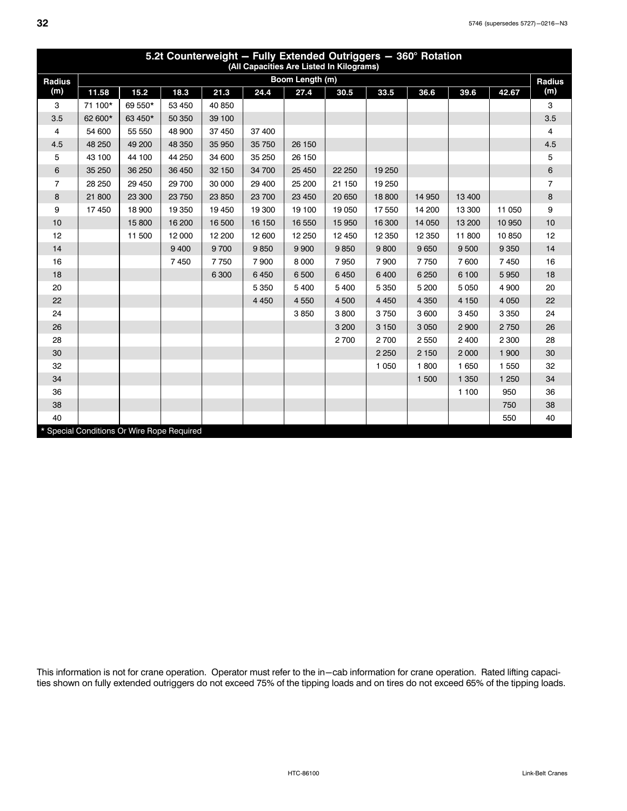<span id="page-35-0"></span>

| 5.2t Counterweight - Fully Extended Outriggers - 360° Rotation<br>(All Capacities Are Listed In Kilograms) |         |                                            |         |         |         |                 |        |         |         |         |         |                |
|------------------------------------------------------------------------------------------------------------|---------|--------------------------------------------|---------|---------|---------|-----------------|--------|---------|---------|---------|---------|----------------|
| <b>Radius</b>                                                                                              |         |                                            |         |         |         | Boom Length (m) |        |         |         |         |         | <b>Radius</b>  |
| (m)                                                                                                        | 11.58   | 15.2                                       | 18.3    | 21.3    | 24.4    | 27.4            | 30.5   | 33.5    | 36.6    | 39.6    | 42.67   | (m)            |
| 3                                                                                                          | 71 100* | 69 550*                                    | 53 450  | 40 850  |         |                 |        |         |         |         |         | 3              |
| 3.5                                                                                                        | 62 600* | 63 450*                                    | 50 350  | 39 100  |         |                 |        |         |         |         |         | 3.5            |
| 4                                                                                                          | 54 600  | 55 550                                     | 48 900  | 37 450  | 37 400  |                 |        |         |         |         |         | 4              |
| 4.5                                                                                                        | 48 250  | 49 200                                     | 48 350  | 35 950  | 35 750  | 26 150          |        |         |         |         |         | 4.5            |
| 5                                                                                                          | 43 100  | 44 100                                     | 44 250  | 34 600  | 35 250  | 26 150          |        |         |         |         |         | 5              |
| 6                                                                                                          | 35 250  | 36 250                                     | 36 450  | 32 150  | 34 700  | 25 450          | 22 250 | 19 250  |         |         |         | 6              |
| 7                                                                                                          | 28 250  | 29 450                                     | 29 700  | 30 000  | 29 400  | 25 200          | 21 150 | 19 250  |         |         |         | $\overline{7}$ |
| 8                                                                                                          | 21 800  | 23 300                                     | 23 750  | 23 850  | 23 700  | 23 450          | 20 650 | 18 800  | 14 950  | 13 400  |         | 8              |
| 9                                                                                                          | 17 450  | 18 900                                     | 19 350  | 19 450  | 19 300  | 19 100          | 19 050 | 17 550  | 14 200  | 13 300  | 11 050  | 9              |
| 10                                                                                                         |         | 15 800                                     | 16 200  | 16 500  | 16 150  | 16 550          | 15 950 | 16 300  | 14 050  | 13 200  | 10 950  | 10             |
| 12                                                                                                         |         | 11 500                                     | 12 000  | 12 200  | 12 600  | 12 250          | 12 450 | 12 350  | 12 350  | 11800   | 10850   | 12             |
| 14                                                                                                         |         |                                            | 9 4 0 0 | 9700    | 9850    | 9 9 0 0         | 9850   | 9800    | 9650    | 9 500   | 9 3 5 0 | 14             |
| 16                                                                                                         |         |                                            | 7450    | 7750    | 7 900   | 8 0 0 0         | 7950   | 7 9 0 0 | 7750    | 7600    | 7450    | 16             |
| 18                                                                                                         |         |                                            |         | 6 3 0 0 | 6 4 5 0 | 6500            | 6450   | 6400    | 6 2 5 0 | 6 100   | 5950    | 18             |
| 20                                                                                                         |         |                                            |         |         | 5 3 5 0 | 5400            | 5 400  | 5 3 5 0 | 5 200   | 5 0 5 0 | 4 9 0 0 | 20             |
| 22                                                                                                         |         |                                            |         |         | 4 4 5 0 | 4 5 5 0         | 4 500  | 4 4 5 0 | 4 3 5 0 | 4 1 5 0 | 4 0 5 0 | 22             |
| 24                                                                                                         |         |                                            |         |         |         | 3850            | 3800   | 3750    | 3600    | 3 4 5 0 | 3 3 5 0 | 24             |
| 26                                                                                                         |         |                                            |         |         |         |                 | 3 200  | 3 1 5 0 | 3 0 5 0 | 2 9 0 0 | 2750    | 26             |
| 28                                                                                                         |         |                                            |         |         |         |                 | 2700   | 2700    | 2550    | 2 4 0 0 | 2 3 0 0 | 28             |
| 30                                                                                                         |         |                                            |         |         |         |                 |        | 2 2 5 0 | 2 1 5 0 | 2 0 0 0 | 1 900   | 30             |
| 32                                                                                                         |         |                                            |         |         |         |                 |        | 1 0 5 0 | 1800    | 1 6 5 0 | 1 550   | 32             |
| 34                                                                                                         |         |                                            |         |         |         |                 |        |         | 1 500   | 1 3 5 0 | 1 2 5 0 | 34             |
| 36                                                                                                         |         |                                            |         |         |         |                 |        |         |         | 1 100   | 950     | 36             |
| 38                                                                                                         |         |                                            |         |         |         |                 |        |         |         |         | 750     | 38             |
| 40                                                                                                         |         |                                            |         |         |         |                 |        |         |         |         | 550     | 40             |
|                                                                                                            |         | * Special Conditions Or Wire Rope Required |         |         |         |                 |        |         |         |         |         |                |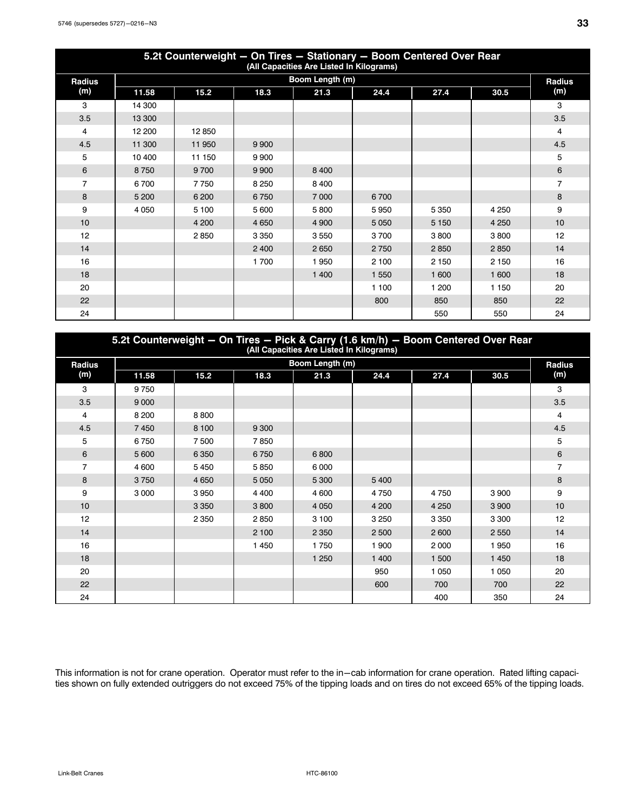<span id="page-36-0"></span>

| 5.2t Counterweight - On Tires - Stationary - Boom Centered Over Rear<br>(All Capacities Are Listed In Kilograms) |         |        |         |                 |         |         |         |                |  |  |  |
|------------------------------------------------------------------------------------------------------------------|---------|--------|---------|-----------------|---------|---------|---------|----------------|--|--|--|
| <b>Radius</b>                                                                                                    |         |        |         | Boom Length (m) |         |         |         | <b>Radius</b>  |  |  |  |
| (m)                                                                                                              | 11.58   | 15.2   | 18.3    | 21.3            | 24.4    | 27.4    | 30.5    | (m)            |  |  |  |
| 3                                                                                                                | 14 300  |        |         |                 |         |         |         | 3              |  |  |  |
| 3.5                                                                                                              | 13 300  |        |         |                 |         |         |         | 3.5            |  |  |  |
| 4                                                                                                                | 12 200  | 12850  |         |                 |         |         |         | 4              |  |  |  |
| 4.5                                                                                                              | 11 300  | 11 950 | 9 9 0 0 |                 |         |         |         | 4.5            |  |  |  |
| 5                                                                                                                | 10 400  | 11 150 | 9 9 0 0 |                 |         |         |         | 5              |  |  |  |
| 6                                                                                                                | 8750    | 9700   | 9 9 0 0 | 8 4 0 0         |         |         |         | 6              |  |  |  |
| $\overline{7}$                                                                                                   | 6700    | 7750   | 8 2 5 0 | 8400            |         |         |         | $\overline{7}$ |  |  |  |
| 8                                                                                                                | 5 200   | 6 200  | 6750    | 7 0 0 0         | 6700    |         |         | 8              |  |  |  |
| 9                                                                                                                | 4 0 5 0 | 5 100  | 5 600   | 5800            | 5950    | 5 3 5 0 | 4 2 5 0 | 9              |  |  |  |
| 10                                                                                                               |         | 4 200  | 4 6 5 0 | 4 9 0 0         | 5 0 5 0 | 5 1 5 0 | 4 2 5 0 | 10             |  |  |  |
| 12                                                                                                               |         | 2850   | 3 3 5 0 | 3550            | 3700    | 3800    | 3800    | 12             |  |  |  |
| 14                                                                                                               |         |        | 2 4 0 0 | 2650            | 2750    | 2850    | 2850    | 14             |  |  |  |
| 16                                                                                                               |         |        | 1700    | 1950            | 2 100   | 2 1 5 0 | 2 1 5 0 | 16             |  |  |  |
| 18                                                                                                               |         |        |         | 1 400           | 1 550   | 1 600   | 1 600   | 18             |  |  |  |
| 20                                                                                                               |         |        |         |                 | 1 100   | 1 200   | 1 1 5 0 | 20             |  |  |  |
| 22                                                                                                               |         |        |         |                 | 800     | 850     | 850     | 22             |  |  |  |
| 24                                                                                                               |         |        |         |                 |         | 550     | 550     | 24             |  |  |  |

| 5.2t Counterweight - On Tires - Pick & Carry (1.6 km/h) - Boom Centered Over Rear<br>(All Capacities Are Listed In Kilograms) |         |         |         |                 |         |         |         |                |  |  |  |  |
|-------------------------------------------------------------------------------------------------------------------------------|---------|---------|---------|-----------------|---------|---------|---------|----------------|--|--|--|--|
| Radius                                                                                                                        |         |         |         | Boom Length (m) |         |         |         | <b>Radius</b>  |  |  |  |  |
| (m)                                                                                                                           | 11.58   | 15.2    | 18.3    | 21.3            | 24.4    | 27.4    | 30.5    | (m)            |  |  |  |  |
| 3                                                                                                                             | 9750    |         |         |                 |         |         |         | 3              |  |  |  |  |
| 3.5                                                                                                                           | 9 0 0 0 |         |         |                 |         |         |         | 3.5            |  |  |  |  |
| 4                                                                                                                             | 8 2 0 0 | 8800    |         |                 |         |         |         | 4              |  |  |  |  |
| 4.5                                                                                                                           | 7450    | 8 100   | 9 3 0 0 |                 |         |         |         | 4.5            |  |  |  |  |
| 5                                                                                                                             | 6750    | 7500    | 7850    |                 |         |         |         | 5              |  |  |  |  |
| 6                                                                                                                             | 5 600   | 6 3 5 0 | 6750    | 6800            |         |         |         | 6              |  |  |  |  |
| $\overline{7}$                                                                                                                | 4 600   | 5 4 5 0 | 5850    | 6000            |         |         |         | $\overline{7}$ |  |  |  |  |
| 8                                                                                                                             | 3750    | 4 6 5 0 | 5 0 5 0 | 5 3 0 0         | 5 4 0 0 |         |         | 8              |  |  |  |  |
| 9                                                                                                                             | 3 0 0 0 | 3950    | 4 4 0 0 | 4 600           | 4750    | 4750    | 3 900   | 9              |  |  |  |  |
| 10                                                                                                                            |         | 3 3 5 0 | 3800    | 4 0 5 0         | 4 200   | 4 2 5 0 | 3 9 0 0 | 10             |  |  |  |  |
| 12                                                                                                                            |         | 2 3 5 0 | 2850    | 3 100           | 3 2 5 0 | 3 3 5 0 | 3 3 0 0 | 12             |  |  |  |  |
| 14                                                                                                                            |         |         | 2 100   | 2 3 5 0         | 2 500   | 2 600   | 2550    | 14             |  |  |  |  |
| 16                                                                                                                            |         |         | 1 4 5 0 | 1750            | 1 900   | 2 0 0 0 | 1950    | 16             |  |  |  |  |
| 18                                                                                                                            |         |         |         | 1 2 5 0         | 1 400   | 1 500   | 1 4 5 0 | 18             |  |  |  |  |
| 20                                                                                                                            |         |         |         |                 | 950     | 1 0 5 0 | 1 0 5 0 | 20             |  |  |  |  |
| 22                                                                                                                            |         |         |         |                 | 600     | 700     | 700     | 22             |  |  |  |  |
| 24                                                                                                                            |         |         |         |                 |         | 400     | 350     | 24             |  |  |  |  |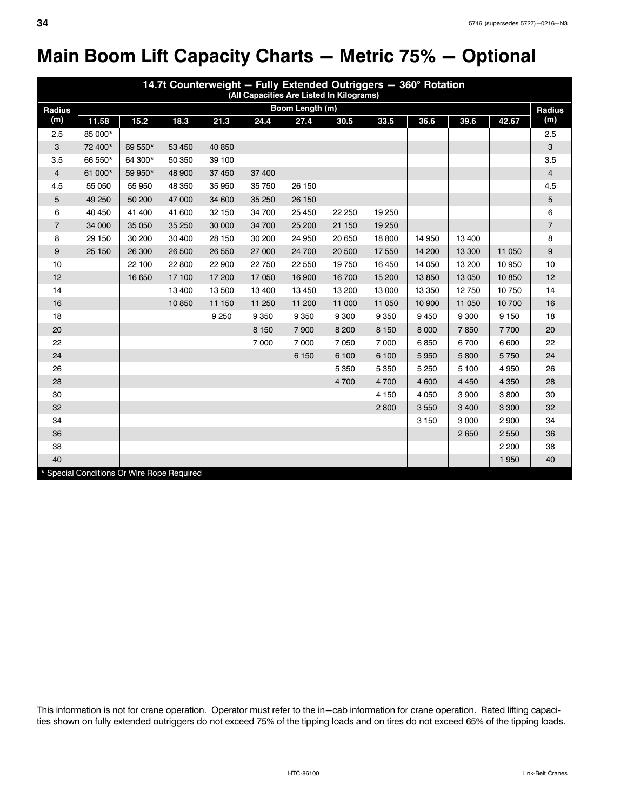# <span id="page-37-0"></span>**Main Boom Lift Capacity Charts - Metric 75% - Optional**

| 14.7t Counterweight - Fully Extended Outriggers - 360° Rotation<br>(All Capacities Are Listed In Kilograms) |         |                                            |        |         |         |                 |         |         |         |         |         |                |
|-------------------------------------------------------------------------------------------------------------|---------|--------------------------------------------|--------|---------|---------|-----------------|---------|---------|---------|---------|---------|----------------|
| Radius                                                                                                      |         |                                            |        |         |         | Boom Length (m) |         |         |         |         |         | <b>Radius</b>  |
| (m)                                                                                                         | 11.58   | 15.2                                       | 18.3   | 21.3    | 24.4    | 27.4            | 30.5    | 33.5    | 36.6    | 39.6    | 42.67   | (m)            |
| 2.5                                                                                                         | 85 000* |                                            |        |         |         |                 |         |         |         |         |         | 2.5            |
| 3                                                                                                           | 72 400* | 69 550*                                    | 53 450 | 40 850  |         |                 |         |         |         |         |         | 3              |
| 3.5                                                                                                         | 66 550* | 64 300*                                    | 50 350 | 39 100  |         |                 |         |         |         |         |         | 3.5            |
| $\overline{4}$                                                                                              | 61 000* | 59 950*                                    | 48 900 | 37 450  | 37 400  |                 |         |         |         |         |         | 4              |
| 4.5                                                                                                         | 55 050  | 55 950                                     | 48 350 | 35 950  | 35 750  | 26 150          |         |         |         |         |         | 4.5            |
| 5                                                                                                           | 49 250  | 50 200                                     | 47 000 | 34 600  | 35 250  | 26 150          |         |         |         |         |         | 5              |
| 6                                                                                                           | 40 450  | 41 400                                     | 41 600 | 32 150  | 34 700  | 25 450          | 22 250  | 19 250  |         |         |         | 6              |
| $\overline{7}$                                                                                              | 34 000  | 35 050                                     | 35 250 | 30 000  | 34 700  | 25 200          | 21 150  | 19 250  |         |         |         | $\overline{7}$ |
| 8                                                                                                           | 29 150  | 30 200                                     | 30 400 | 28 150  | 30 200  | 24 950          | 20 650  | 18 800  | 14 950  | 13 400  |         | 8              |
| 9                                                                                                           | 25 150  | 26 300                                     | 26 500 | 26 550  | 27 000  | 24 700          | 20 500  | 17 550  | 14 200  | 13 300  | 11 050  | 9              |
| 10                                                                                                          |         | 22 100                                     | 22 800 | 22 900  | 22 750  | 22 550          | 19750   | 16 450  | 14 050  | 13 200  | 10 950  | $10$           |
| 12                                                                                                          |         | 16 650                                     | 17 100 | 17 200  | 17 050  | 16 900          | 16700   | 15 200  | 13850   | 13 050  | 10850   | 12             |
| 14                                                                                                          |         |                                            | 13 400 | 13 500  | 13 400  | 13 450          | 13 200  | 13 000  | 13 350  | 12750   | 10750   | 14             |
| 16                                                                                                          |         |                                            | 10850  | 11 150  | 11 250  | 11 200          | 11 000  | 11 050  | 10 900  | 11 050  | 10 700  | 16             |
| 18                                                                                                          |         |                                            |        | 9 2 5 0 | 9 3 5 0 | 9 3 5 0         | 9 3 0 0 | 9 3 5 0 | 9450    | 9 3 0 0 | 9 1 5 0 | 18             |
| 20                                                                                                          |         |                                            |        |         | 8 1 5 0 | 7900            | 8 200   | 8 1 5 0 | 8 0 0 0 | 7850    | 7700    | 20             |
| 22                                                                                                          |         |                                            |        |         | 7 0 0 0 | 7 0 0 0         | 7 0 5 0 | 7 000   | 6850    | 6700    | 6 600   | 22             |
| 24                                                                                                          |         |                                            |        |         |         | 6 1 5 0         | 6 100   | 6 100   | 5950    | 5800    | 5750    | 24             |
| 26                                                                                                          |         |                                            |        |         |         |                 | 5 3 5 0 | 5 3 5 0 | 5 2 5 0 | 5 100   | 4 9 5 0 | 26             |
| 28                                                                                                          |         |                                            |        |         |         |                 | 4700    | 4700    | 4 600   | 4 4 5 0 | 4 3 5 0 | 28             |
| 30                                                                                                          |         |                                            |        |         |         |                 |         | 4 1 5 0 | 4 0 5 0 | 3 900   | 3800    | 30             |
| 32                                                                                                          |         |                                            |        |         |         |                 |         | 2800    | 3550    | 3 4 0 0 | 3 3 0 0 | 32             |
| 34                                                                                                          |         |                                            |        |         |         |                 |         |         | 3 1 5 0 | 3 0 0 0 | 2 9 0 0 | 34             |
| 36                                                                                                          |         |                                            |        |         |         |                 |         |         |         | 2650    | 2 5 5 0 | 36             |
| 38                                                                                                          |         |                                            |        |         |         |                 |         |         |         |         | 2 2 0 0 | 38             |
| 40                                                                                                          |         |                                            |        |         |         |                 |         |         |         |         | 1 9 5 0 | 40             |
|                                                                                                             |         | * Special Conditions Or Wire Rope Required |        |         |         |                 |         |         |         |         |         |                |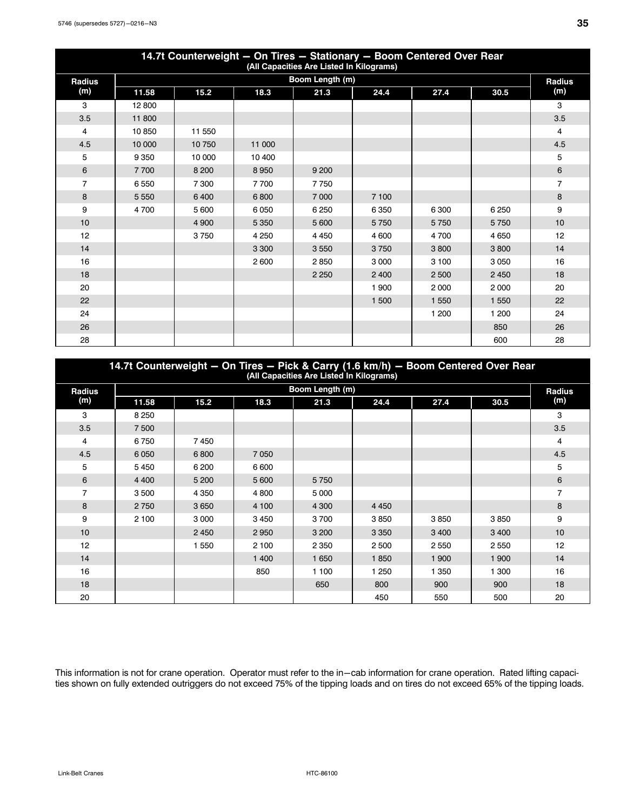<span id="page-38-0"></span>

| 14.7t Counterweight - On Tires - Stationary - Boom Centered Over Rear<br>(All Capacities Are Listed In Kilograms) |         |         |         |                 |         |         |         |               |  |  |  |  |  |
|-------------------------------------------------------------------------------------------------------------------|---------|---------|---------|-----------------|---------|---------|---------|---------------|--|--|--|--|--|
| <b>Radius</b>                                                                                                     |         |         |         | Boom Length (m) |         |         |         | <b>Radius</b> |  |  |  |  |  |
| (m)                                                                                                               | 11.58   | 15.2    | 18.3    | 21.3            | 24.4    | 27.4    | 30.5    | (m)           |  |  |  |  |  |
| 3                                                                                                                 | 12 800  |         |         |                 |         |         |         | 3             |  |  |  |  |  |
| 3.5                                                                                                               | 11 800  |         |         |                 |         |         |         | 3.5           |  |  |  |  |  |
| 4                                                                                                                 | 10850   | 11 550  |         |                 |         |         |         | 4             |  |  |  |  |  |
| 4.5                                                                                                               | 10 000  | 10750   | 11 000  |                 |         |         |         | 4.5           |  |  |  |  |  |
| 5                                                                                                                 | 9 3 5 0 | 10 000  | 10 400  |                 |         |         |         | 5             |  |  |  |  |  |
| 6                                                                                                                 | 7700    | 8 2 0 0 | 8950    | 9 2 0 0         |         |         |         | 6             |  |  |  |  |  |
| $\overline{7}$                                                                                                    | 6550    | 7 300   | 7700    | 7750            |         |         |         | 7             |  |  |  |  |  |
| 8                                                                                                                 | 5 5 5 0 | 6400    | 6800    | 7 0 0 0         | 7 100   |         |         | 8             |  |  |  |  |  |
| 9                                                                                                                 | 4 700   | 5 600   | 6050    | 6 2 5 0         | 6 3 5 0 | 6 300   | 6 2 5 0 | 9             |  |  |  |  |  |
| 10                                                                                                                |         | 4 9 0 0 | 5 3 5 0 | 5 600           | 5750    | 5750    | 5750    | 10            |  |  |  |  |  |
| 12 <sup>2</sup>                                                                                                   |         | 3750    | 4 2 5 0 | 4 4 5 0         | 4 600   | 4700    | 4650    | 12            |  |  |  |  |  |
| 14                                                                                                                |         |         | 3 3 0 0 | 3550            | 3750    | 3800    | 3800    | 14            |  |  |  |  |  |
| 16                                                                                                                |         |         | 2600    | 2850            | 3 0 0 0 | 3 100   | 3050    | 16            |  |  |  |  |  |
| 18                                                                                                                |         |         |         | 2 2 5 0         | 2 400   | 2 500   | 2 4 5 0 | 18            |  |  |  |  |  |
| 20                                                                                                                |         |         |         |                 | 1 900   | 2 0 0 0 | 2000    | 20            |  |  |  |  |  |
| 22                                                                                                                |         |         |         |                 | 1 500   | 1 5 5 0 | 1 5 5 0 | 22            |  |  |  |  |  |
| 24                                                                                                                |         |         |         |                 |         | 1 200   | 1 200   | 24            |  |  |  |  |  |
| 26                                                                                                                |         |         |         |                 |         |         | 850     | 26            |  |  |  |  |  |
| 28                                                                                                                |         |         |         |                 |         |         | 600     | 28            |  |  |  |  |  |

| 14.7t Counterweight - On Tires - Pick & Carry (1.6 km/h) - Boom Centered Over Rear<br>(All Capacities Are Listed In Kilograms) |         |         |         |                 |         |         |         |                |  |  |  |  |  |
|--------------------------------------------------------------------------------------------------------------------------------|---------|---------|---------|-----------------|---------|---------|---------|----------------|--|--|--|--|--|
| <b>Radius</b>                                                                                                                  |         |         |         | Boom Length (m) |         |         |         | <b>Radius</b>  |  |  |  |  |  |
| (m)                                                                                                                            | 11.58   | 15.2    | 18.3    | 21.3            | 24.4    | 27.4    | 30.5    | (m)            |  |  |  |  |  |
| 3                                                                                                                              | 8 2 5 0 |         |         |                 |         |         |         | 3              |  |  |  |  |  |
| 3.5                                                                                                                            | 7500    |         |         |                 |         |         |         | 3.5            |  |  |  |  |  |
| 4                                                                                                                              | 6750    | 7450    |         |                 |         |         |         | 4              |  |  |  |  |  |
| 4.5                                                                                                                            | 6050    | 6800    | 7 0 5 0 |                 |         |         |         | 4.5            |  |  |  |  |  |
| 5                                                                                                                              | 5 4 5 0 | 6 200   | 6 600   |                 |         |         |         | 5              |  |  |  |  |  |
| 6                                                                                                                              | 4 4 0 0 | 5 200   | 5 600   | 5750            |         |         |         | 6              |  |  |  |  |  |
| $\overline{7}$                                                                                                                 | 3500    | 4 3 5 0 | 4 800   | 5 0 0 0         |         |         |         | $\overline{7}$ |  |  |  |  |  |
| 8                                                                                                                              | 2750    | 3650    | 4 100   | 4 3 0 0         | 4 4 5 0 |         |         | 8              |  |  |  |  |  |
| 9                                                                                                                              | 2 100   | 3 0 0 0 | 3 4 5 0 | 3700            | 3850    | 3850    | 3850    | 9              |  |  |  |  |  |
| 10                                                                                                                             |         | 2 4 5 0 | 2950    | 3 2 0 0         | 3 3 5 0 | 3 4 0 0 | 3 4 0 0 | 10             |  |  |  |  |  |
| 12                                                                                                                             |         | 1 550   | 2 100   | 2 3 5 0         | 2500    | 2 5 5 0 | 2550    | 12             |  |  |  |  |  |
| 14                                                                                                                             |         |         | 1 400   | 1650            | 1850    | 1 900   | 1 900   | 14             |  |  |  |  |  |
| 16                                                                                                                             |         |         | 850     | 1 100           | 1 250   | 1 3 5 0 | 1 300   | 16             |  |  |  |  |  |
| 18                                                                                                                             |         |         |         | 650             | 800     | 900     | 900     | 18             |  |  |  |  |  |
| 20                                                                                                                             |         |         |         |                 | 450     | 550     | 500     | 20             |  |  |  |  |  |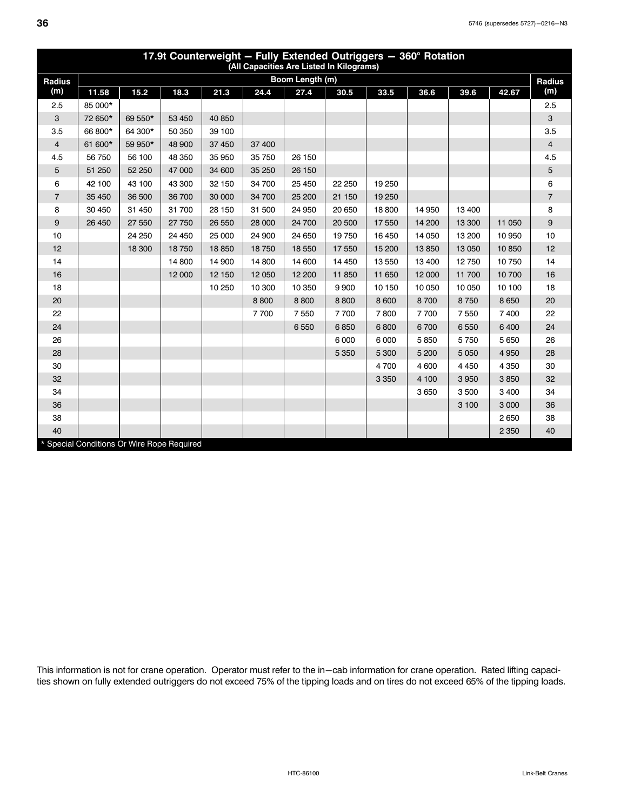<span id="page-39-0"></span>

| 17.9t Counterweight - Fully Extended Outriggers - 360° Rotation<br>(All Capacities Are Listed In Kilograms) |         |         |        |        |        |                 |         |         |        |         |         |                |
|-------------------------------------------------------------------------------------------------------------|---------|---------|--------|--------|--------|-----------------|---------|---------|--------|---------|---------|----------------|
| <b>Radius</b>                                                                                               |         |         |        |        |        | Boom Length (m) |         |         |        |         |         | <b>Radius</b>  |
| (m)                                                                                                         | 11.58   | 15.2    | 18.3   | 21.3   | 24.4   | 27.4            | 30.5    | 33.5    | 36.6   | 39.6    | 42.67   | (m)            |
| 2.5                                                                                                         | 85 000* |         |        |        |        |                 |         |         |        |         |         | 2.5            |
| 3                                                                                                           | 72 650* | 69 550* | 53 450 | 40 850 |        |                 |         |         |        |         |         | 3              |
| 3.5                                                                                                         | 66 800* | 64 300* | 50 350 | 39 100 |        |                 |         |         |        |         |         | 3.5            |
| $\overline{4}$                                                                                              | 61 600* | 59 950* | 48 900 | 37 450 | 37 400 |                 |         |         |        |         |         | $\overline{4}$ |
| 4.5                                                                                                         | 56 750  | 56 100  | 48 350 | 35 950 | 35 750 | 26 150          |         |         |        |         |         | 4.5            |
| 5                                                                                                           | 51 250  | 52 250  | 47 000 | 34 600 | 35 250 | 26 150          |         |         |        |         |         | 5              |
| 6                                                                                                           | 42 100  | 43 100  | 43 300 | 32 150 | 34 700 | 25 450          | 22 250  | 19 250  |        |         |         | 6              |
| $\overline{7}$                                                                                              | 35 450  | 36 500  | 36 700 | 30 000 | 34 700 | 25 200          | 21 150  | 19 250  |        |         |         | $\overline{7}$ |
| 8                                                                                                           | 30 450  | 31 450  | 31 700 | 28 150 | 31 500 | 24 950          | 20 650  | 18 800  | 14 950 | 13 400  |         | 8              |
| 9                                                                                                           | 26 450  | 27 550  | 27 750 | 26 550 | 28 000 | 24 700          | 20 500  | 17 550  | 14 200 | 13 300  | 11 050  | 9              |
| 10                                                                                                          |         | 24 250  | 24 450 | 25 000 | 24 900 | 24 650          | 19750   | 16 450  | 14 050 | 13 200  | 10 950  | 10             |
| 12                                                                                                          |         | 18 300  | 18750  | 18850  | 18750  | 18 550          | 17550   | 15 200  | 13850  | 13 0 50 | 10850   | 12             |
| 14                                                                                                          |         |         | 14 800 | 14 900 | 14 800 | 14 600          | 14 450  | 13 550  | 13 400 | 12750   | 10750   | 14             |
| 16                                                                                                          |         |         | 12 000 | 12 150 | 12 050 | 12 200          | 11850   | 11 650  | 12 000 | 11700   | 10 700  | 16             |
| 18                                                                                                          |         |         |        | 10 250 | 10 300 | 10 350          | 9 9 0 0 | 10 150  | 10 050 | 10 050  | 10 100  | 18             |
| 20                                                                                                          |         |         |        |        | 8800   | 8800            | 8800    | 8 600   | 8700   | 8750    | 8 6 5 0 | 20             |
| 22                                                                                                          |         |         |        |        | 7700   | 7550            | 7700    | 7800    | 7700   | 7 5 5 0 | 7 400   | 22             |
| 24                                                                                                          |         |         |        |        |        | 6550            | 6850    | 6800    | 6700   | 6 5 5 0 | 6 4 0 0 | 24             |
| 26                                                                                                          |         |         |        |        |        |                 | 6 0 0 0 | 6 0 0 0 | 5850   | 5750    | 5 6 5 0 | 26             |
| 28                                                                                                          |         |         |        |        |        |                 | 5 3 5 0 | 5 3 0 0 | 5 200  | 5 0 5 0 | 4 9 5 0 | 28             |
| 30                                                                                                          |         |         |        |        |        |                 |         | 4700    | 4 600  | 4 4 5 0 | 4 3 5 0 | 30             |
| 32                                                                                                          |         |         |        |        |        |                 |         | 3 3 5 0 | 4 100  | 3 9 5 0 | 3850    | 32             |
| 34                                                                                                          |         |         |        |        |        |                 |         |         | 3650   | 3500    | 3 4 0 0 | 34             |
| 36                                                                                                          |         |         |        |        |        |                 |         |         |        | 3 100   | 3 0 0 0 | 36             |
| 38                                                                                                          |         |         |        |        |        |                 |         |         |        |         | 2650    | 38             |
| 40                                                                                                          |         |         |        |        |        |                 |         |         |        |         | 2 3 5 0 | 40             |
| * Special Conditions Or Wire Rope Required                                                                  |         |         |        |        |        |                 |         |         |        |         |         |                |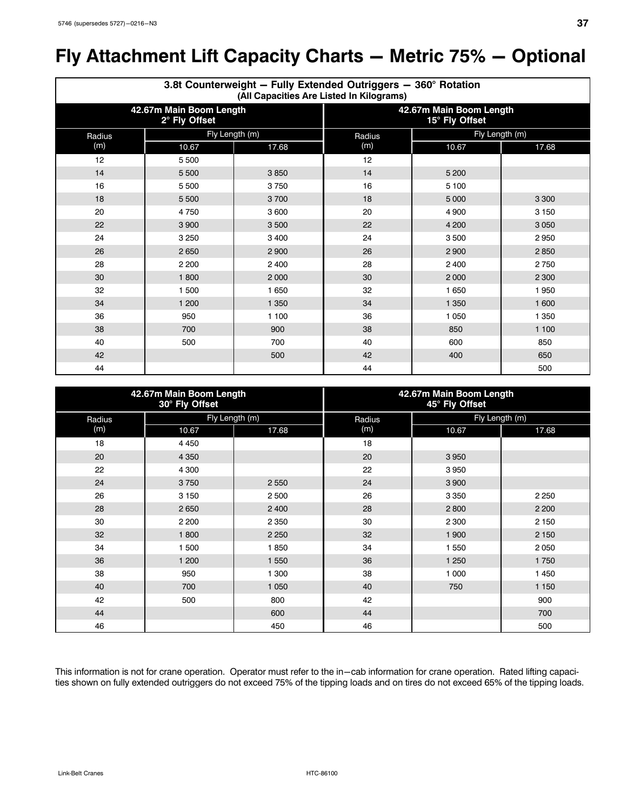# <span id="page-40-0"></span>**Fly Attachment Lift Capacity Charts - Metric 75% - Optional**

|        | 3.8t Counterweight - Fully Extended Outriggers - 360° Rotation<br>(All Capacities Are Listed In Kilograms) |                  |                                           |                |         |  |  |  |  |  |  |  |  |
|--------|------------------------------------------------------------------------------------------------------------|------------------|-------------------------------------------|----------------|---------|--|--|--|--|--|--|--|--|
|        | 42.67m Main Boom Length<br>2° Fly Offset                                                                   |                  | 42.67m Main Boom Length<br>15° Fly Offset |                |         |  |  |  |  |  |  |  |  |
| Radius |                                                                                                            | Fly Length $(m)$ | Radius                                    | Fly Length (m) |         |  |  |  |  |  |  |  |  |
| (m)    | 10.67                                                                                                      | 17.68            | (m)                                       | 10.67          | 17.68   |  |  |  |  |  |  |  |  |
| 12     | 5 500                                                                                                      |                  | 12                                        |                |         |  |  |  |  |  |  |  |  |
| 14     | 5 500                                                                                                      | 3850             | 14                                        | 5 200          |         |  |  |  |  |  |  |  |  |
| 16     | 5 500                                                                                                      | 3750             | 16                                        | 5 100          |         |  |  |  |  |  |  |  |  |
| 18     | 5 500                                                                                                      | 3700             | 18                                        | 5 0 0 0        | 3 3 0 0 |  |  |  |  |  |  |  |  |
| 20     | 4750                                                                                                       | 3 600            | 20                                        | 4 9 0 0        | 3 1 5 0 |  |  |  |  |  |  |  |  |
| 22     | 3 9 0 0                                                                                                    | 3 500            | 22                                        | 4 200          | 3 0 5 0 |  |  |  |  |  |  |  |  |
| 24     | 3 2 5 0                                                                                                    | 3 4 0 0          | 24                                        | 3500           | 2950    |  |  |  |  |  |  |  |  |
| 26     | 2650                                                                                                       | 2 9 0 0          | 26                                        | 2 9 0 0        | 2850    |  |  |  |  |  |  |  |  |
| 28     | 2 2 0 0                                                                                                    | 2 4 0 0          | 28                                        | 2 4 0 0        | 2750    |  |  |  |  |  |  |  |  |
| 30     | 1800                                                                                                       | 2 0 0 0          | 30                                        | 2 0 0 0        | 2 3 0 0 |  |  |  |  |  |  |  |  |
| 32     | 1 500                                                                                                      | 1 650            | 32                                        | 1 650          | 1 950   |  |  |  |  |  |  |  |  |
| 34     | 1 200                                                                                                      | 1 3 5 0          | 34                                        | 1 3 5 0        | 1 600   |  |  |  |  |  |  |  |  |
| 36     | 950                                                                                                        | 1 100            | 36                                        | 1 0 5 0        | 1 350   |  |  |  |  |  |  |  |  |
| 38     | 700                                                                                                        | 900              | 38                                        | 850            | 1 100   |  |  |  |  |  |  |  |  |
| 40     | 500                                                                                                        | 700              | 40                                        | 600            | 850     |  |  |  |  |  |  |  |  |
| 42     |                                                                                                            | 500              | 42                                        | 400            | 650     |  |  |  |  |  |  |  |  |
| 44     |                                                                                                            |                  | 44                                        |                | 500     |  |  |  |  |  |  |  |  |

|        | 42.67m Main Boom Length<br>30° Fly Offset |         | 42.67m Main Boom Length<br>45° Fly Offset |                |         |  |
|--------|-------------------------------------------|---------|-------------------------------------------|----------------|---------|--|
| Radius | Fly Length $(m)$                          |         | Radius                                    | Fly Length (m) |         |  |
| (m)    | 10.67                                     | 17.68   | (m)                                       | 10.67          | 17.68   |  |
| 18     | 4 4 5 0                                   |         | 18                                        |                |         |  |
| 20     | 4 3 5 0                                   |         | 20                                        | 3 9 5 0        |         |  |
| 22     | 4 300                                     |         | 22                                        | 3950           |         |  |
| 24     | 3750                                      | 2 5 5 0 | 24                                        | 3 9 0 0        |         |  |
| 26     | 3 1 5 0                                   | 2 500   | 26                                        | 3 3 5 0        | 2 2 5 0 |  |
| 28     | 2650                                      | 2 4 0 0 | 28                                        | 2 8 0 0        | 2 2 0 0 |  |
| 30     | 2 2 0 0                                   | 2 3 5 0 | 30                                        | 2 3 0 0        | 2 1 5 0 |  |
| 32     | 1800                                      | 2 2 5 0 | 32                                        | 1 900          | 2 1 5 0 |  |
| 34     | 1 500                                     | 1850    | 34                                        | 1 550          | 2 0 5 0 |  |
| 36     | 1 200                                     | 1 550   | 36                                        | 1 2 5 0        | 1750    |  |
| 38     | 950                                       | 1 300   | 38                                        | 1 000          | 1 450   |  |
| 40     | 700                                       | 1 0 5 0 | 40                                        | 750            | 1 1 5 0 |  |
| 42     | 500                                       | 800     | 42                                        |                | 900     |  |
| 44     |                                           | 600     | 44                                        |                | 700     |  |
| 46     |                                           | 450     | 46                                        |                | 500     |  |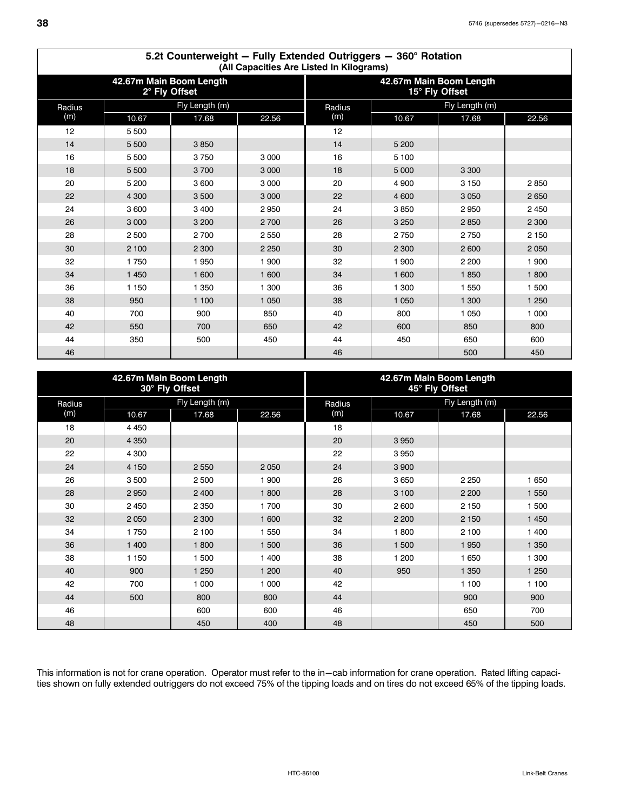٦

|        | 5.2t Counterweight - Fully Extended Outriggers - 360° Rotation<br>(All Capacities Are Listed In Kilograms) |                                          |         |        |                |                                           |         |  |  |  |  |  |  |  |
|--------|------------------------------------------------------------------------------------------------------------|------------------------------------------|---------|--------|----------------|-------------------------------------------|---------|--|--|--|--|--|--|--|
|        |                                                                                                            | 42.67m Main Boom Length<br>2° Fly Offset |         |        |                | 42.67m Main Boom Length<br>15° Fly Offset |         |  |  |  |  |  |  |  |
| Radius |                                                                                                            | Fly Length (m)                           |         | Radius | Fly Length (m) |                                           |         |  |  |  |  |  |  |  |
| (m)    | 10.67                                                                                                      | 17.68                                    | 22.56   | (m)    | 10.67          | 17.68                                     | 22.56   |  |  |  |  |  |  |  |
| 12     | 5 500                                                                                                      |                                          |         | 12     |                |                                           |         |  |  |  |  |  |  |  |
| 14     | 5 500                                                                                                      | 3850                                     |         | 14     | 5 200          |                                           |         |  |  |  |  |  |  |  |
| 16     | 5 500                                                                                                      | 3750                                     | 3 0 0 0 | 16     | 5 100          |                                           |         |  |  |  |  |  |  |  |
| 18     | 5 500                                                                                                      | 3700                                     | 3 0 0 0 | 18     | 5 0 0 0        | 3 3 0 0                                   |         |  |  |  |  |  |  |  |
| 20     | 5 200                                                                                                      | 3600                                     | 3 0 0 0 | 20     | 4 900          | 3 1 5 0                                   | 2850    |  |  |  |  |  |  |  |
| 22     | 4 300                                                                                                      | 3500                                     | 3 0 0 0 | 22     | 4 600          | 3 0 5 0                                   | 2650    |  |  |  |  |  |  |  |
| 24     | 3600                                                                                                       | 3 4 0 0                                  | 2950    | 24     | 3850           | 2950                                      | 2450    |  |  |  |  |  |  |  |
| 26     | 3 0 0 0                                                                                                    | 3 200                                    | 2700    | 26     | 3 2 5 0        | 2850                                      | 2 3 0 0 |  |  |  |  |  |  |  |
| 28     | 2 500                                                                                                      | 2700                                     | 2 5 5 0 | 28     | 2 7 5 0        | 2750                                      | 2 1 5 0 |  |  |  |  |  |  |  |
| 30     | 2 100                                                                                                      | 2 3 0 0                                  | 2 2 5 0 | 30     | 2 3 0 0        | 2600                                      | 2050    |  |  |  |  |  |  |  |
| 32     | 1750                                                                                                       | 1950                                     | 1 900   | 32     | 1 900          | 2 2 0 0                                   | 1 900   |  |  |  |  |  |  |  |
| 34     | 1 4 5 0                                                                                                    | 1 600                                    | 1 600   | 34     | 1 600          | 1850                                      | 1800    |  |  |  |  |  |  |  |
| 36     | 1 1 5 0                                                                                                    | 1 3 5 0                                  | 1 300   | 36     | 1 300          | 1 5 5 0                                   | 1500    |  |  |  |  |  |  |  |
| 38     | 950                                                                                                        | 1 100                                    | 1 0 5 0 | 38     | 1 0 5 0        | 1 300                                     | 1 2 5 0 |  |  |  |  |  |  |  |
| 40     | 700                                                                                                        | 900                                      | 850     | 40     | 800            | 1 0 5 0                                   | 1 0 0 0 |  |  |  |  |  |  |  |
| 42     | 550                                                                                                        | 700                                      | 650     | 42     | 600            | 850                                       | 800     |  |  |  |  |  |  |  |
| 44     | 350                                                                                                        | 500                                      | 450     | 44     | 450            | 650                                       | 600     |  |  |  |  |  |  |  |
| 46     |                                                                                                            |                                          |         | 46     |                | 500                                       | 450     |  |  |  |  |  |  |  |

|        | 42.67m Main Boom Length | 30° Fly Offset |         |        |                | 42.67m Main Boom Length<br>45° Fly Offset |         |
|--------|-------------------------|----------------|---------|--------|----------------|-------------------------------------------|---------|
| Radius |                         | Fly Length (m) |         | Radius | Fly Length (m) |                                           |         |
| (m)    | 10.67                   | 17.68          | 22.56   | (m)    | 10.67          | 17.68                                     | 22.56   |
| 18     | 4 4 5 0                 |                |         | 18     |                |                                           |         |
| 20     | 4 3 5 0                 |                |         | 20     | 3 9 5 0        |                                           |         |
| 22     | 4 300                   |                |         | 22     | 3950           |                                           |         |
| 24     | 4 1 5 0                 | 2 5 5 0        | 2050    | 24     | 3 900          |                                           |         |
| 26     | 3500                    | 2 500          | 1900    | 26     | 3650           | 2 2 5 0                                   | 1650    |
| 28     | 2950                    | 2 4 0 0        | 1800    | 28     | 3 100          | 2 2 0 0                                   | 1 550   |
| 30     | 2 4 5 0                 | 2 3 5 0        | 1700    | 30     | 2600           | 2 1 5 0                                   | 1 500   |
| 32     | 2 0 5 0                 | 2 3 0 0        | 1 600   | 32     | 2 2 0 0        | 2 1 5 0                                   | 1 4 5 0 |
| 34     | 1750                    | 2 100          | 550     | 34     | 1800           | 2 100                                     | 1 400   |
| 36     | 1 400                   | 1800           | 1500    | 36     | 1 500          | 1950                                      | 1 3 5 0 |
| 38     | 1 150                   | 1 500          | 1 400   | 38     | 1 200          | 1 650                                     | 1 300   |
| 40     | 900                     | 1 2 5 0        | 1 200   | 40     | 950            | 1 3 5 0                                   | 1 2 5 0 |
| 42     | 700                     | 1 0 0 0        | 1 0 0 0 | 42     |                | 1 100                                     | 1 100   |
| 44     | 500                     | 800            | 800     | 44     |                | 900                                       | 900     |
| 46     |                         | 600            | 600     | 46     |                | 650                                       | 700     |
| 48     |                         | 450            | 400     | 48     |                | 450                                       | 500     |

This information is not for crane operation. Operator must refer to the in-cab information for crane operation. Rated lifting capacities shown on fully extended outriggers do not exceed 75% of the tipping loads and on tires do not exceed 65% of the tipping loads.

<span id="page-41-0"></span> $\mathsf{r}$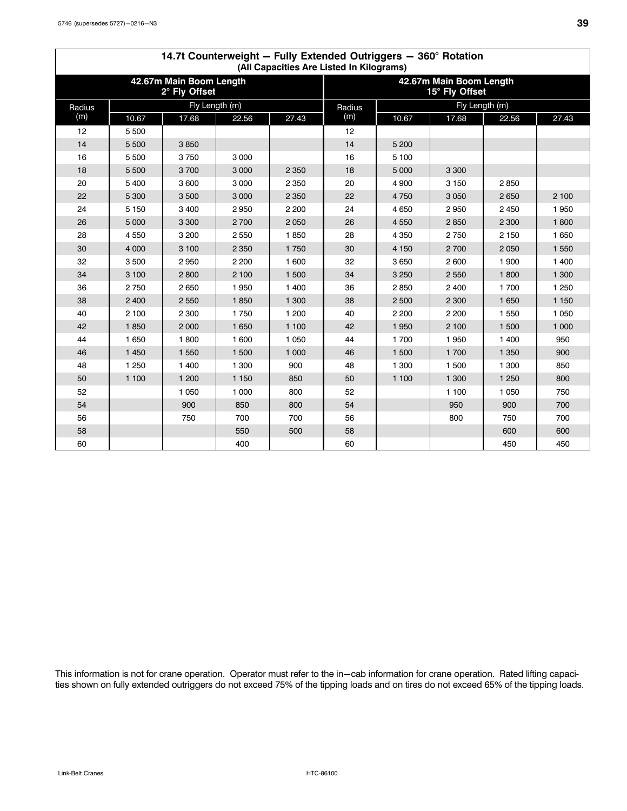<span id="page-42-0"></span> $\mathsf I$ 

|        | 14.7t Counterweight - Fully Extended Outriggers - 360° Rotation<br>(All Capacities Are Listed In Kilograms) |                                          |         |         |                                           |         |                |         |         |  |  |  |  |
|--------|-------------------------------------------------------------------------------------------------------------|------------------------------------------|---------|---------|-------------------------------------------|---------|----------------|---------|---------|--|--|--|--|
|        |                                                                                                             | 42.67m Main Boom Length<br>2° Fly Offset |         |         | 42.67m Main Boom Length<br>15° Fly Offset |         |                |         |         |  |  |  |  |
| Radius |                                                                                                             | Fly Length (m)                           |         |         | Radius                                    |         | Fly Length (m) |         |         |  |  |  |  |
| (m)    | 10.67                                                                                                       | 17.68                                    | 22.56   | 27.43   | (m)                                       | 10.67   | 17.68          | 22.56   | 27.43   |  |  |  |  |
| 12     | 5 5 0 0                                                                                                     |                                          |         |         | 12                                        |         |                |         |         |  |  |  |  |
| 14     | 5 500                                                                                                       | 3850                                     |         |         | 14                                        | 5 200   |                |         |         |  |  |  |  |
| 16     | 5 5 0 0                                                                                                     | 3750                                     | 3 0 0 0 |         | 16                                        | 5 100   |                |         |         |  |  |  |  |
| 18     | 5 500                                                                                                       | 3700                                     | 3 0 0 0 | 2 3 5 0 | 18                                        | 5 0 0 0 | 3 3 0 0        |         |         |  |  |  |  |
| 20     | 5400                                                                                                        | 3600                                     | 3 0 0 0 | 2 3 5 0 | 20                                        | 4 9 0 0 | 3 1 5 0        | 2850    |         |  |  |  |  |
| 22     | 5 300                                                                                                       | 3 500                                    | 3 0 0 0 | 2 3 5 0 | 22                                        | 4750    | 3 0 5 0        | 2650    | 2 100   |  |  |  |  |
| 24     | 5 1 5 0                                                                                                     | 3 4 0 0                                  | 2950    | 2 2 0 0 | 24                                        | 4650    | 2950           | 2 4 5 0 | 1950    |  |  |  |  |
| 26     | 5 0 0 0                                                                                                     | 3 3 0 0                                  | 2700    | 2 0 5 0 | 26                                        | 4550    | 2850           | 2 3 0 0 | 1800    |  |  |  |  |
| 28     | 4550                                                                                                        | 3 200                                    | 2 5 5 0 | 1850    | 28                                        | 4 3 5 0 | 2750           | 2 1 5 0 | 1 650   |  |  |  |  |
| 30     | 4 0 0 0                                                                                                     | 3 100                                    | 2 3 5 0 | 1750    | 30                                        | 4 1 5 0 | 2700           | 2 0 5 0 | 1 5 5 0 |  |  |  |  |
| 32     | 3500                                                                                                        | 2950                                     | 2 2 0 0 | 1 600   | 32                                        | 3650    | 2 600          | 1 900   | 1 400   |  |  |  |  |
| 34     | 3 100                                                                                                       | 2800                                     | 2 100   | 1 500   | 34                                        | 3 2 5 0 | 2 5 5 0        | 1800    | 1 300   |  |  |  |  |
| 36     | 2750                                                                                                        | 2 6 5 0                                  | 1950    | 1 400   | 36                                        | 2850    | 2 4 0 0        | 1 700   | 1 2 5 0 |  |  |  |  |
| 38     | 2 4 0 0                                                                                                     | 2 5 5 0                                  | 1850    | 1 300   | 38                                        | 2500    | 2 3 0 0        | 1 650   | 1 1 5 0 |  |  |  |  |
| 40     | 2 100                                                                                                       | 2 3 0 0                                  | 1750    | 1 200   | 40                                        | 2 2 0 0 | 2 2 0 0        | 1 550   | 1 0 5 0 |  |  |  |  |
| 42     | 1850                                                                                                        | 2 0 0 0                                  | 1 6 5 0 | 1 100   | 42                                        | 1950    | 2 100          | 1 500   | 1 0 0 0 |  |  |  |  |
| 44     | 1650                                                                                                        | 1800                                     | 1 600   | 1 0 5 0 | 44                                        | 1700    | 1950           | 1 400   | 950     |  |  |  |  |
| 46     | 1 4 5 0                                                                                                     | 1 550                                    | 1 500   | 1 000   | 46                                        | 1 500   | 1 700          | 1 3 5 0 | 900     |  |  |  |  |
| 48     | 1 2 5 0                                                                                                     | 1 400                                    | 1 300   | 900     | 48                                        | 1 300   | 1 500          | 1 300   | 850     |  |  |  |  |
| 50     | 1 100                                                                                                       | 1 200                                    | 1 1 5 0 | 850     | 50                                        | 1 100   | 1 300          | 1 2 5 0 | 800     |  |  |  |  |
| 52     |                                                                                                             | 1 0 5 0                                  | 1 0 0 0 | 800     | 52                                        |         | 1 100          | 1 0 5 0 | 750     |  |  |  |  |
| 54     |                                                                                                             | 900                                      | 850     | 800     | 54                                        |         | 950            | 900     | 700     |  |  |  |  |
| 56     |                                                                                                             | 750                                      | 700     | 700     | 56                                        |         | 800            | 750     | 700     |  |  |  |  |
| 58     |                                                                                                             |                                          | 550     | 500     | 58                                        |         |                | 600     | 600     |  |  |  |  |
| 60     |                                                                                                             |                                          | 400     |         | 60                                        |         |                | 450     | 450     |  |  |  |  |

# **14.7t Counterweight - Fully Extended Outriggers - 360° Rotation**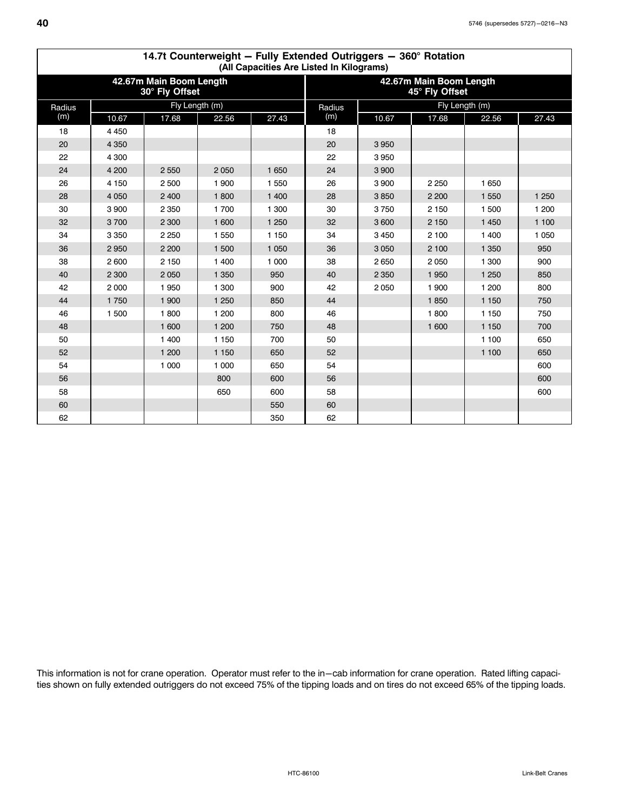|        | 14.7t Counterweight - Fully Extended Outriggers - 360° Rotation<br>(All Capacities Are Listed In Kilograms) |                                           |         |         |                                           |                |         |         |         |  |  |  |  |
|--------|-------------------------------------------------------------------------------------------------------------|-------------------------------------------|---------|---------|-------------------------------------------|----------------|---------|---------|---------|--|--|--|--|
|        |                                                                                                             | 42.67m Main Boom Length<br>30° Fly Offset |         |         | 42.67m Main Boom Length<br>45° Fly Offset |                |         |         |         |  |  |  |  |
| Radius |                                                                                                             | Fly Length (m)                            |         |         | Radius                                    | Fly Length (m) |         |         |         |  |  |  |  |
| (m)    | 10.67                                                                                                       | 17.68                                     | 22.56   | 27.43   | (m)                                       | 10.67          | 17.68   | 22.56   | 27.43   |  |  |  |  |
| 18     | 4 4 5 0                                                                                                     |                                           |         |         | 18                                        |                |         |         |         |  |  |  |  |
| 20     | 4 3 5 0                                                                                                     |                                           |         |         | 20                                        | 3950           |         |         |         |  |  |  |  |
| 22     | 4 3 0 0                                                                                                     |                                           |         |         | 22                                        | 3950           |         |         |         |  |  |  |  |
| 24     | 4 200                                                                                                       | 2 5 5 0                                   | 2050    | 1 6 5 0 | 24                                        | 3 9 0 0        |         |         |         |  |  |  |  |
| 26     | 4 1 5 0                                                                                                     | 2 500                                     | 1 900   | 1 550   | 26                                        | 3900           | 2 2 5 0 | 1650    |         |  |  |  |  |
| 28     | 4 0 5 0                                                                                                     | 2 4 0 0                                   | 1800    | 1 400   | 28                                        | 3850           | 2 2 0 0 | 1 550   | 1 2 5 0 |  |  |  |  |
| 30     | 3 9 0 0                                                                                                     | 2 3 5 0                                   | 1700    | 1 300   | 30                                        | 3750           | 2 1 5 0 | 1 500   | 1 200   |  |  |  |  |
| 32     | 3700                                                                                                        | 2 3 0 0                                   | 1 600   | 1 2 5 0 | 32                                        | 3600           | 2 1 5 0 | 1 4 5 0 | 1 100   |  |  |  |  |
| 34     | 3 3 5 0                                                                                                     | 2 2 5 0                                   | 1550    | 1 1 5 0 | 34                                        | 3 4 5 0        | 2 100   | 1 400   | 1 0 5 0 |  |  |  |  |
| 36     | 2950                                                                                                        | 2 2 0 0                                   | 1 500   | 1 0 5 0 | 36                                        | 3 0 5 0        | 2 100   | 1 3 5 0 | 950     |  |  |  |  |
| 38     | 2600                                                                                                        | 2 1 5 0                                   | 1 400   | 1 0 0 0 | 38                                        | 2650           | 2 0 5 0 | 1 300   | 900     |  |  |  |  |
| 40     | 2 3 0 0                                                                                                     | 2 0 5 0                                   | 1 3 5 0 | 950     | 40                                        | 2 3 5 0        | 1 950   | 1 2 5 0 | 850     |  |  |  |  |
| 42     | 2000                                                                                                        | 1950                                      | 1 300   | 900     | 42                                        | 2050           | 1 900   | 1 200   | 800     |  |  |  |  |
| 44     | 1750                                                                                                        | 1 900                                     | 1 2 5 0 | 850     | 44                                        |                | 1850    | 1 1 5 0 | 750     |  |  |  |  |
| 46     | 1500                                                                                                        | 1800                                      | 1 200   | 800     | 46                                        |                | 1800    | 1 1 5 0 | 750     |  |  |  |  |
| 48     |                                                                                                             | 1 600                                     | 1 200   | 750     | 48                                        |                | 1 600   | 1 1 5 0 | 700     |  |  |  |  |
| 50     |                                                                                                             | 1 400                                     | 1 1 5 0 | 700     | 50                                        |                |         | 1 100   | 650     |  |  |  |  |
| 52     |                                                                                                             | 1 200                                     | 1 1 5 0 | 650     | 52                                        |                |         | 1 100   | 650     |  |  |  |  |
| 54     |                                                                                                             | 1 0 0 0                                   | 1 0 0 0 | 650     | 54                                        |                |         |         | 600     |  |  |  |  |
| 56     |                                                                                                             |                                           | 800     | 600     | 56                                        |                |         |         | 600     |  |  |  |  |
| 58     |                                                                                                             |                                           | 650     | 600     | 58                                        |                |         |         | 600     |  |  |  |  |
| 60     |                                                                                                             |                                           |         | 550     | 60                                        |                |         |         |         |  |  |  |  |
| 62     |                                                                                                             |                                           |         | 350     | 62                                        |                |         |         |         |  |  |  |  |

# **14.7t Counterweight - Fully Extended Outriggers - 360° Rotation**

This information is not for crane operation. Operator must refer to the in-cab information for crane operation. Rated lifting capacities shown on fully extended outriggers do not exceed 75% of the tipping loads and on tires do not exceed 65% of the tipping loads.

 $\mathsf{r}$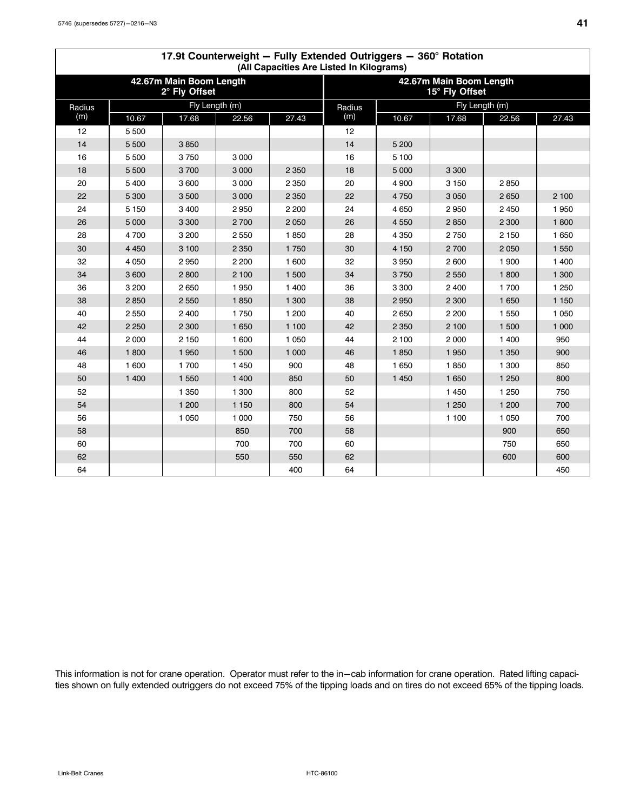<span id="page-44-0"></span> $\mathsf I$ 

|        | 17.9t Counterweight - Fully Extended Outriggers - 360° Rotation<br>(All Capacities Are Listed In Kilograms) |                                          |         |         |                                           |                |         |         |         |  |  |  |  |
|--------|-------------------------------------------------------------------------------------------------------------|------------------------------------------|---------|---------|-------------------------------------------|----------------|---------|---------|---------|--|--|--|--|
|        |                                                                                                             | 42.67m Main Boom Length<br>2° Fly Offset |         |         | 42.67m Main Boom Length<br>15° Fly Offset |                |         |         |         |  |  |  |  |
| Radius |                                                                                                             | Fly Length (m)                           |         |         | Radius                                    | Fly Length (m) |         |         |         |  |  |  |  |
| (m)    | 10.67                                                                                                       | 17.68                                    | 22.56   | 27.43   | (m)                                       | 10.67          | 17.68   | 22.56   | 27.43   |  |  |  |  |
| 12     | 5 500                                                                                                       |                                          |         |         | 12                                        |                |         |         |         |  |  |  |  |
| 14     | 5 5 0 0                                                                                                     | 3850                                     |         |         | 14                                        | 5 200          |         |         |         |  |  |  |  |
| 16     | 5 500                                                                                                       | 3750                                     | 3 0 0 0 |         | 16                                        | 5 100          |         |         |         |  |  |  |  |
| 18     | 5 500                                                                                                       | 3700                                     | 3 0 0 0 | 2 3 5 0 | 18                                        | 5 0 0 0        | 3 3 0 0 |         |         |  |  |  |  |
| 20     | 5400                                                                                                        | 3 600                                    | 3 0 0 0 | 2 3 5 0 | 20                                        | 4 9 0 0        | 3 1 5 0 | 2850    |         |  |  |  |  |
| 22     | 5 300                                                                                                       | 3500                                     | 3 0 0 0 | 2 3 5 0 | 22                                        | 4750           | 3 0 5 0 | 2650    | 2 100   |  |  |  |  |
| 24     | 5 1 5 0                                                                                                     | 3 4 0 0                                  | 2950    | 2 2 0 0 | 24                                        | 4650           | 2950    | 2 4 5 0 | 1950    |  |  |  |  |
| 26     | 5 0 0 0                                                                                                     | 3 3 0 0                                  | 2700    | 2 0 5 0 | 26                                        | 4 5 5 0        | 2850    | 2 3 0 0 | 1800    |  |  |  |  |
| 28     | 4700                                                                                                        | 3 200                                    | 2550    | 1850    | 28                                        | 4 3 5 0        | 2750    | 2 1 5 0 | 1 650   |  |  |  |  |
| 30     | 4 4 5 0                                                                                                     | 3 100                                    | 2 3 5 0 | 1750    | 30                                        | 4 1 5 0        | 2 700   | 2 0 5 0 | 1 5 5 0 |  |  |  |  |
| 32     | 4 0 5 0                                                                                                     | 2950                                     | 2 2 0 0 | 1 600   | 32                                        | 3950           | 2600    | 1 900   | 1 400   |  |  |  |  |
| 34     | 3600                                                                                                        | 2800                                     | 2 100   | 1 500   | 34                                        | 3750           | 2 5 5 0 | 1800    | 1 300   |  |  |  |  |
| 36     | 3 200                                                                                                       | 2650                                     | 1950    | 1 400   | 36                                        | 3 3 0 0        | 2 4 0 0 | 1700    | 1 2 5 0 |  |  |  |  |
| 38     | 2850                                                                                                        | 2 5 5 0                                  | 1850    | 1 300   | 38                                        | 2950           | 2 3 0 0 | 1 6 5 0 | 1 1 5 0 |  |  |  |  |
| 40     | 2550                                                                                                        | 2 400                                    | 1750    | 1 200   | 40                                        | 2650           | 2 2 0 0 | 1 550   | 1 0 5 0 |  |  |  |  |
| 42     | 2 2 5 0                                                                                                     | 2 3 0 0                                  | 1 6 5 0 | 1 100   | 42                                        | 2 3 5 0        | 2 100   | 1 500   | 1 0 0 0 |  |  |  |  |
| 44     | 2000                                                                                                        | 2 1 5 0                                  | 1 600   | 1 0 5 0 | 44                                        | 2 100          | 2 0 0 0 | 1 400   | 950     |  |  |  |  |
| 46     | 1800                                                                                                        | 1950                                     | 1 500   | 1 0 0 0 | 46                                        | 1850           | 1 9 5 0 | 1 3 5 0 | 900     |  |  |  |  |
| 48     | 1 600                                                                                                       | 1700                                     | 1 4 5 0 | 900     | 48                                        | 1650           | 1850    | 1 300   | 850     |  |  |  |  |
| 50     | 1 400                                                                                                       | 1 550                                    | 1 400   | 850     | 50                                        | 1 4 5 0        | 1 650   | 1 2 5 0 | 800     |  |  |  |  |
| 52     |                                                                                                             | 1 3 5 0                                  | 1 300   | 800     | 52                                        |                | 1 4 5 0 | 1 2 5 0 | 750     |  |  |  |  |
| 54     |                                                                                                             | 1 200                                    | 1 1 5 0 | 800     | 54                                        |                | 1 2 5 0 | 1 200   | 700     |  |  |  |  |
| 56     |                                                                                                             | 1 0 5 0                                  | 1 0 0 0 | 750     | 56                                        |                | 1 100   | 1 0 5 0 | 700     |  |  |  |  |
| 58     |                                                                                                             |                                          | 850     | 700     | 58                                        |                |         | 900     | 650     |  |  |  |  |
| 60     |                                                                                                             |                                          | 700     | 700     | 60                                        |                |         | 750     | 650     |  |  |  |  |
| 62     |                                                                                                             |                                          | 550     | 550     | 62                                        |                |         | 600     | 600     |  |  |  |  |
| 64     |                                                                                                             |                                          |         | 400     | 64                                        |                |         |         | 450     |  |  |  |  |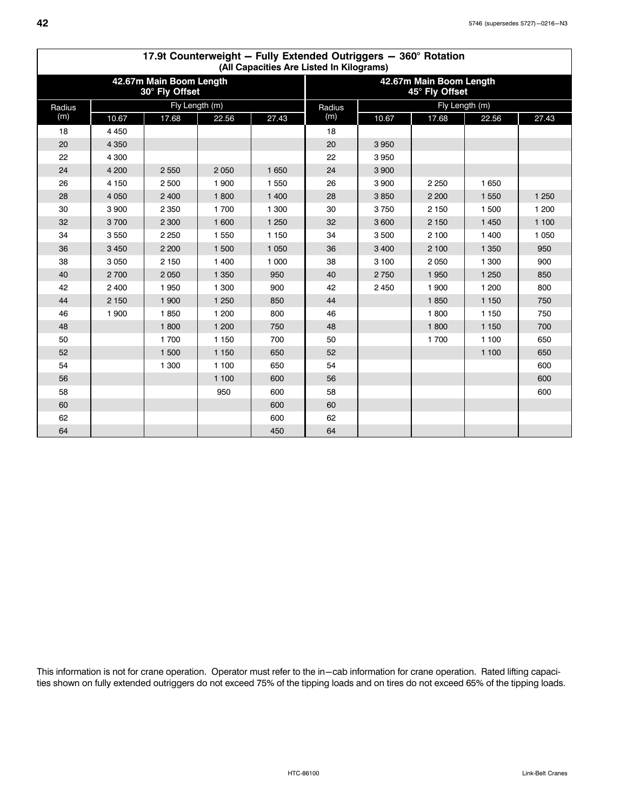|        | 17.9t Counterweight - Fully Extended Outriggers - 360° Rotation<br>(All Capacities Are Listed In Kilograms) |                                           |         |         |                                           |         |                |         |         |  |  |  |  |
|--------|-------------------------------------------------------------------------------------------------------------|-------------------------------------------|---------|---------|-------------------------------------------|---------|----------------|---------|---------|--|--|--|--|
|        |                                                                                                             | 42.67m Main Boom Length<br>30° Fly Offset |         |         | 42.67m Main Boom Length<br>45° Fly Offset |         |                |         |         |  |  |  |  |
| Radius |                                                                                                             | Fly Length (m)                            |         |         | Radius                                    |         | Fly Length (m) |         |         |  |  |  |  |
| (m)    | 10.67                                                                                                       | 17.68                                     | 22.56   | 27.43   | (m)                                       | 10.67   | 17.68          | 22.56   | 27.43   |  |  |  |  |
| 18     | 4 4 5 0                                                                                                     |                                           |         |         | 18                                        |         |                |         |         |  |  |  |  |
| 20     | 4 3 5 0                                                                                                     |                                           |         |         | 20                                        | 3 9 5 0 |                |         |         |  |  |  |  |
| 22     | 4 300                                                                                                       |                                           |         |         | 22                                        | 3950    |                |         |         |  |  |  |  |
| 24     | 4 200                                                                                                       | 2 5 5 0                                   | 2050    | 1 650   | 24                                        | 3 9 0 0 |                |         |         |  |  |  |  |
| 26     | 4 1 5 0                                                                                                     | 2 500                                     | 1 900   | 1 550   | 26                                        | 3 9 0 0 | 2 2 5 0        | 1 650   |         |  |  |  |  |
| 28     | 4 0 5 0                                                                                                     | 2 4 0 0                                   | 1800    | 1 400   | 28                                        | 3850    | 2 2 0 0        | 1 550   | 1 250   |  |  |  |  |
| 30     | 3 9 0 0                                                                                                     | 2 3 5 0                                   | 1700    | 1 300   | 30                                        | 3750    | 2 1 5 0        | 1 500   | 1 200   |  |  |  |  |
| 32     | 3700                                                                                                        | 2 3 0 0                                   | 1 600   | 1 2 5 0 | 32                                        | 3600    | 2 1 5 0        | 1 4 5 0 | 1 100   |  |  |  |  |
| 34     | 3550                                                                                                        | 2 2 5 0                                   | 1 5 5 0 | 1 1 5 0 | 34                                        | 3500    | 2 100          | 1 400   | 1 0 5 0 |  |  |  |  |
| 36     | 3 4 5 0                                                                                                     | 2 2 0 0                                   | 1 500   | 1 0 5 0 | 36                                        | 3 4 0 0 | 2 100          | 1 3 5 0 | 950     |  |  |  |  |
| 38     | 3 0 5 0                                                                                                     | 2 1 5 0                                   | 1 400   | 1 000   | 38                                        | 3 100   | 2 0 5 0        | 1 300   | 900     |  |  |  |  |
| 40     | 2700                                                                                                        | 2 0 5 0                                   | 1 3 5 0 | 950     | 40                                        | 2750    | 1 9 5 0        | 1 2 5 0 | 850     |  |  |  |  |
| 42     | 2400                                                                                                        | 1950                                      | 1 300   | 900     | 42                                        | 2450    | 1 900          | 1 200   | 800     |  |  |  |  |
| 44     | 2 1 5 0                                                                                                     | 1 900                                     | 1 2 5 0 | 850     | 44                                        |         | 1850           | 1 1 5 0 | 750     |  |  |  |  |
| 46     | 1 900                                                                                                       | 1850                                      | 1 200   | 800     | 46                                        |         | 1800           | 1 1 5 0 | 750     |  |  |  |  |
| 48     |                                                                                                             | 1800                                      | 1 200   | 750     | 48                                        |         | 1800           | 1 1 5 0 | 700     |  |  |  |  |
| 50     |                                                                                                             | 1700                                      | 1 1 5 0 | 700     | 50                                        |         | 1700           | 1 100   | 650     |  |  |  |  |
| 52     |                                                                                                             | 1 500                                     | 1 1 5 0 | 650     | 52                                        |         |                | 1 100   | 650     |  |  |  |  |
| 54     |                                                                                                             | 1 300                                     | 1 100   | 650     | 54                                        |         |                |         | 600     |  |  |  |  |
| 56     |                                                                                                             |                                           | 1 100   | 600     | 56                                        |         |                |         | 600     |  |  |  |  |
| 58     |                                                                                                             |                                           | 950     | 600     | 58                                        |         |                |         | 600     |  |  |  |  |
| 60     |                                                                                                             |                                           |         | 600     | 60                                        |         |                |         |         |  |  |  |  |
| 62     |                                                                                                             |                                           |         | 600     | 62                                        |         |                |         |         |  |  |  |  |
| 64     |                                                                                                             |                                           |         | 450     | 64                                        |         |                |         |         |  |  |  |  |

# **17.9t Counterweight - Fully Extended Outriggers - 360° Rotation**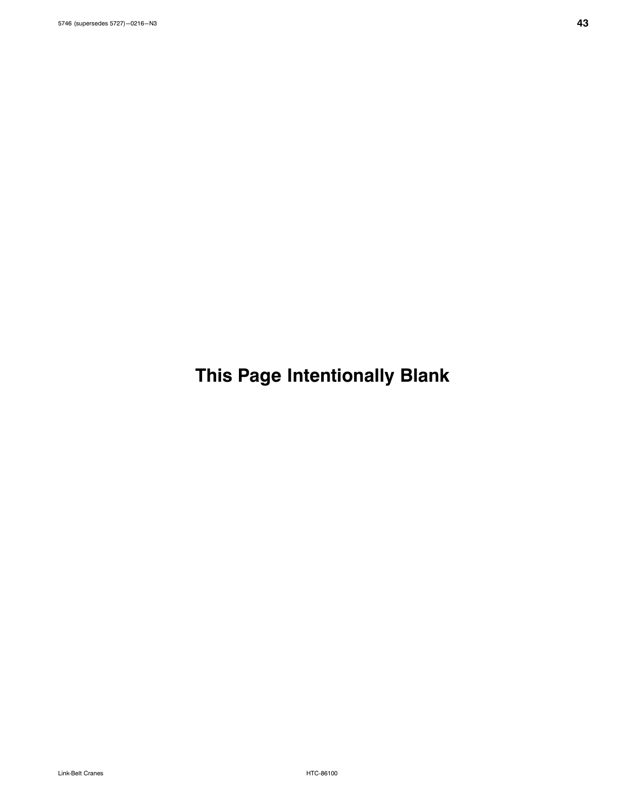**This Page Intentionally Blank**